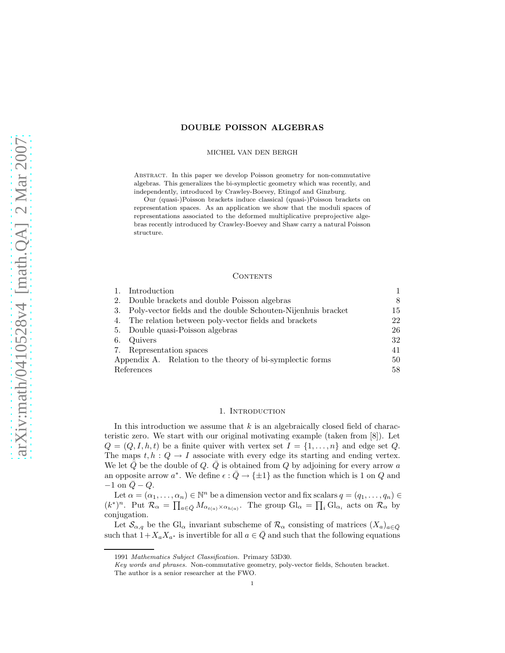## DOUBLE POISSON ALGEBRAS

#### MICHEL VAN DEN BERGH

Abstract. In this paper we develop Poisson geometry for non-commutative algebras. This generalizes the bi-symplectic geometry which was recently, and independently, introduced by Crawley-Boevey, Etingof and Ginzburg.

Our (quasi-)Poisson brackets induce classical (quasi-)Poisson brackets on representation spaces. As an application we show that the moduli spaces of representations associated to the deformed multiplicative preprojective algebras recently introduced by Crawley-Boevey and Shaw carry a natural Poisson structure.

### CONTENTS

|            | Introduction                                                    |    |
|------------|-----------------------------------------------------------------|----|
|            | 2. Double brackets and double Poisson algebras                  | 8  |
|            | 3. Poly-vector fields and the double Schouten-Nijenhuis bracket | 15 |
|            | 4. The relation between poly-vector fields and brackets         | 22 |
|            | 5. Double quasi-Poisson algebras                                | 26 |
| 6.         | Quivers                                                         | 32 |
|            | 7. Representation spaces                                        | 41 |
|            | Appendix A. Relation to the theory of bi-symplectic forms       | 50 |
| References |                                                                 | 58 |

### 1. INTRODUCTION

In this introduction we assume that  $k$  is an algebraically closed field of characteristic zero. We start with our original motivating example (taken from [8]). Let  $Q = (Q, I, h, t)$  be a finite quiver with vertex set  $I = \{1, \ldots, n\}$  and edge set Q. The maps  $t, h : Q \to I$  associate with every edge its starting and ending vertex. We let  $\overline{Q}$  be the double of  $Q$ .  $\overline{Q}$  is obtained from  $Q$  by adjoining for every arrow a an opposite arrow  $a^*$ . We define  $\epsilon : \overline{Q} \to {\pm 1}$  as the function which is 1 on Q and  $-1$  on  $\overline{Q} - Q$ .

Let  $\alpha = (\alpha_1, \ldots, \alpha_n) \in \mathbb{N}^n$  be a dimension vector and fix scalars  $q = (q_1, \ldots, q_n) \in$  $(k^*)^n$ . Put  $\mathcal{R}_{\alpha} = \prod_{a \in \bar{Q}} M_{\alpha_{t(a)} \times \alpha_{h(a)}}$ . The group  $Gl_{\alpha} = \prod_i Gl_{\alpha_i}$  acts on  $\mathcal{R}_{\alpha}$  by conjugation.

Let  $\mathcal{S}_{\alpha,q}$  be the Gl<sub>α</sub> invariant subscheme of  $\mathcal{R}_{\alpha}$  consisting of matrices  $(X_a)_{a\in\bar{Q}}$ such that  $1+X_aX_{a^*}$  is invertible for all  $a \in \overline{Q}$  and such that the following equations

<sup>1991</sup> *Mathematics Subject Classification.* Primary 53D30.

*Key words and phrases.* Non-commutative geometry, poly-vector fields, Schouten bracket. The author is a senior researcher at the FWO.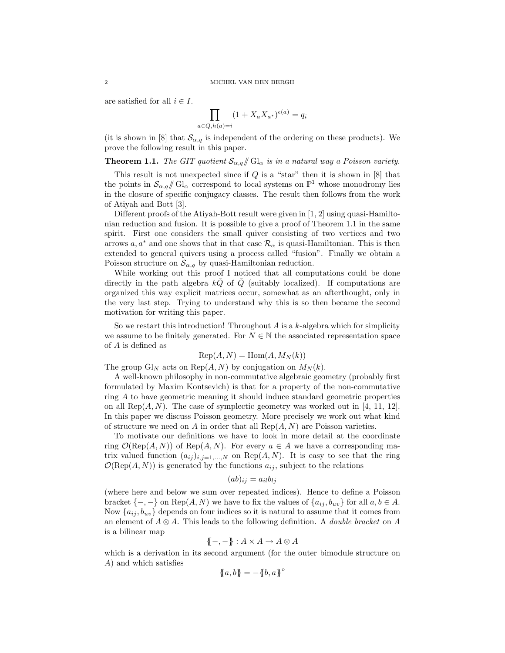are satisfied for all  $i \in I$ .

$$
\prod_{a \in \overline{Q}, h(a) = i} (1 + X_a X_{a^*})^{\epsilon(a)} = q_i
$$

(it is shown in [8] that  $\mathcal{S}_{\alpha,q}$  is independent of the ordering on these products). We prove the following result in this paper.

**Theorem 1.1.** *The GIT quotient*  $S_{\alpha,q}/\!\!/$  Gl<sub> $\alpha$ </sub> *is in a natural way a Poisson variety.* 

This result is not unexpected since if  $Q$  is a "star" then it is shown in  $[8]$  that the points in  $\mathcal{S}_{\alpha,q}/\!\!/$  Gl<sub> $\alpha$ </sub> correspond to local systems on  $\mathbb{P}^1$  whose monodromy lies in the closure of specific conjugacy classes. The result then follows from the work of Atiyah and Bott [3].

Different proofs of the Atiyah-Bott result were given in [1, 2] using quasi-Hamiltonian reduction and fusion. It is possible to give a proof of Theorem 1.1 in the same spirit. First one considers the small quiver consisting of two vertices and two arrows a,  $a^*$  and one shows that in that case  $\mathcal{R}_{\alpha}$  is quasi-Hamiltonian. This is then extended to general quivers using a process called "fusion". Finally we obtain a Poisson structure on  $\mathcal{S}_{\alpha,q}$  by quasi-Hamiltonian reduction.

While working out this proof I noticed that all computations could be done directly in the path algebra  $kQ$  of  $Q$  (suitably localized). If computations are organized this way explicit matrices occur, somewhat as an afterthought, only in the very last step. Trying to understand why this is so then became the second motivation for writing this paper.

So we restart this introduction! Throughout  $A$  is a  $k$ -algebra which for simplicity we assume to be finitely generated. For  $N \in \mathbb{N}$  the associated representation space of A is defined as

$$
Rep(A, N) = Hom(A, M_N(k))
$$

The group Gl<sub>N</sub> acts on Rep( $A, N$ ) by conjugation on  $M_N(k)$ .

A well-known philosophy in non-commutative algebraic geometry (probably first formulated by Maxim Kontsevich) is that for a property of the non-commutative ring A to have geometric meaning it should induce standard geometric properties on all Rep $(A, N)$ . The case of symplectic geometry was worked out in [4, 11, 12]. In this paper we discuss Poisson geometry. More precisely we work out what kind of structure we need on A in order that all  $\text{Rep}(A, N)$  are Poisson varieties.

To motivate our definitions we have to look in more detail at the coordinate ring  $\mathcal{O}(\text{Rep}(A, N))$  of  $\text{Rep}(A, N)$ . For every  $a \in A$  we have a corresponding matrix valued function  $(a_{ij})_{i,j=1,...,N}$  on Rep(A, N). It is easy to see that the ring  $\mathcal{O}(\text{Rep}(A, N))$  is generated by the functions  $a_{ij}$ , subject to the relations

$$
(ab)_{ij} = a_{il}b_{lj}
$$

(where here and below we sum over repeated indices). Hence to define a Poisson bracket  $\{-,-\}$  on Rep $(A, N)$  we have to fix the values of  $\{a_{ij}, b_{uv}\}$  for all  $a, b \in A$ . Now  $\{a_{ij}, b_{uv}\}$  depends on four indices so it is natural to assume that it comes from an element of A ⊗ A. This leads to the following definition. A *double bracket* on A is a bilinear map

$$
\{-,-\} : A \times A \to A \otimes A
$$

which is a derivation in its second argument (for the outer bimodule structure on A) and which satisfies

$$
\{\!\!\{a,b\}\!\!\}=-\{\!\!\{b,a\}\!\!\}^\circ
$$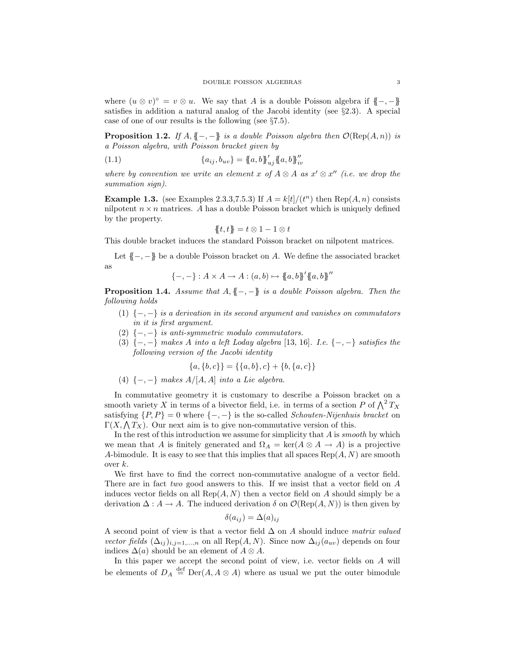where  $(u \otimes v)^{\circ} = v \otimes u$ . We say that A is a double Poisson algebra if  $\{-, -\}$ satisfies in addition a natural analog of the Jacobi identity (see  $\S 2.3$ ). A special case of one of our results is the following (see §7.5).

**Proposition 1.2.** *If*  $A, \{ \! \{-,-\} \! \}$  *is a double Poisson algebra then*  $\mathcal{O}(\text{Rep}(A,n))$  *is a Poisson algebra, with Poisson bracket given by*

(1.1) 
$$
\{a_{ij}, b_{uv}\} = \{a, b\}_{uj}^{\prime} \{a, b\}_{iv}^{\prime\prime}
$$

*where by convention we write an element* x of  $A \otimes A$  as  $x' \otimes x''$  (*i.e. we drop the summation sign).*

**Example 1.3.** (see Examples 2.3.3,7.5.3) If  $A = k[t]/(t^n)$  then Rep $(A, n)$  consists nilpotent  $n \times n$  matrices. A has a double Poisson bracket which is uniquely defined by the property.

$$
\{\!\!\{t,t\}\!\!\}=t\otimes 1-1\otimes t
$$

This double bracket induces the standard Poisson bracket on nilpotent matrices.

Let  $\{-,-\}$  be a double Poisson bracket on A. We define the associated bracket as

$$
\{-,-\}: A \times A \to A : (a,b) \mapsto \{a,b\}^{\prime} \{a,b\}^{\prime\prime}
$$

Proposition 1.4. *Assume that* A, {{−, −}} *is a double Poisson algebra. Then the following holds*

- (1) {−, −} *is a derivation in its second argument and vanishes on commutators in it is first argument.*
- (2) {−, −} *is anti-symmetric modulo commutators.*
- (3) {−, −} *makes* A *into a left Loday algebra* [13, 16]*. I.e.* {−, −} *satisfies the following version of the Jacobi identity*

$$
\{a,\{b,c\}\} = \{\{a,b\},c\} + \{b,\{a,c\}\}\
$$

(4) {−, −} *makes* A/[A, A] *into a Lie algebra.*

In commutative geometry it is customary to describe a Poisson bracket on a smooth variety X in terms of a bivector field, i.e. in terms of a section P of  $\bigwedge^2 T_X$ satisfying  $\{P, P\} = 0$  where  $\{-, -\}$  is the so-called *Schouten-Nijenhuis bracket* on  $\Gamma(X, \bigwedge T_X)$ . Our next aim is to give non-commutative version of this.

In the rest of this introduction we assume for simplicity that A is *smooth* by which we mean that A is finitely generated and  $\Omega_A = \text{ker}(A \otimes A \rightarrow A)$  is a projective A-bimodule. It is easy to see that this implies that all spaces  $\text{Rep}(A, N)$  are smooth over  $k$ .

We first have to find the correct non-commutative analogue of a vector field. There are in fact *two* good answers to this. If we insist that a vector field on A induces vector fields on all  $\text{Rep}(A, N)$  then a vector field on A should simply be a derivation  $\Delta: A \to A$ . The induced derivation  $\delta$  on  $\mathcal{O}(\text{Rep}(A, N))$  is then given by

$$
\delta(a_{ij}) = \Delta(a)_{ij}
$$

A second point of view is that a vector field ∆ on A should induce *matrix valued vector fields*  $(\Delta_{ij})_{i,j=1,\dots,n}$  on all Rep(A, N). Since now  $\Delta_{ij}(a_{uv})$  depends on four indices  $\Delta(a)$  should be an element of  $A \otimes A$ .

In this paper we accept the second point of view, i.e. vector fields on A will be elements of  $D_A \stackrel{\text{def}}{=} \text{Der}(A, A \otimes A)$  where as usual we put the outer bimodule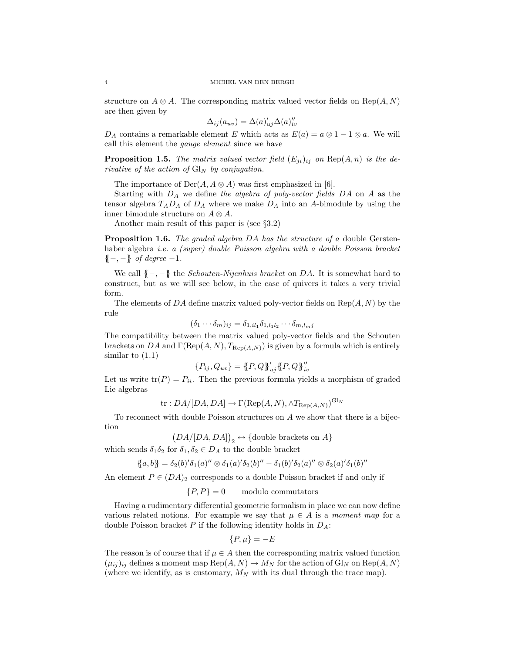structure on  $A \otimes A$ . The corresponding matrix valued vector fields on Rep( $A, N$ ) are then given by

$$
\Delta_{ij}(a_{uv}) = \Delta(a)'_{uj}\Delta(a)''_{iv}
$$

 $D_A$  contains a remarkable element E which acts as  $E(a) = a \otimes 1 - 1 \otimes a$ . We will call this element the *gauge element* since we have

**Proposition 1.5.** *The matrix valued vector field*  $(E_{ji})_{ij}$  *on*  $Rep(A, n)$  *is the derivative of the action of*  $\mathrm{Gl}_N$  *by conjugation.* 

The importance of  $Der(A, A \otimes A)$  was first emphasized in [6].

Starting with D<sup>A</sup> we define *the algebra of poly-vector fields* DA on A as the tensor algebra  $T_A D_A$  of  $D_A$  where we make  $D_A$  into an A-bimodule by using the inner bimodule structure on  $A \otimes A$ .

Another main result of this paper is (see §3.2)

Proposition 1.6. *The graded algebra* DA *has the structure of a* double Gerstenhaber algebra *i.e. a (super) double Poisson algebra with a double Poisson bracket* {{−, −}} *of degree* −1*.*

We call {{−, −}} the *Schouten-Nijenhuis bracket* on DA. It is somewhat hard to construct, but as we will see below, in the case of quivers it takes a very trivial form.

The elements of DA define matrix valued poly-vector fields on  $\text{Rep}(A, N)$  by the rule

$$
(\delta_1 \cdots \delta_m)_{ij} = \delta_{1,il_1} \delta_{1,l_1l_2} \cdots \delta_{m,l_mj}
$$

The compatibility between the matrix valued poly-vector fields and the Schouten brackets on DA and  $\Gamma(\text{Rep}(A, N), T_{\text{Rep}(A, N)})$  is given by a formula which is entirely similar to  $(1.1)$ 

$$
\{P_{ij}, Q_{uv}\} = \{P, Q\}_{uj}^{\prime} \{P, Q\}_{iv}^{\prime\prime}
$$

Let us write  $tr(P) = P_{ii}$ . Then the previous formula yields a morphism of graded Lie algebras

tr: 
$$
DA/[DA, DA] \rightarrow \Gamma(\text{Rep}(A, N), \land T_{\text{Rep}(A, N)})^{\text{Gl}_N}
$$

To reconnect with double Poisson structures on A we show that there is a bijection

$$
(DA/[DA,DA])_2 \leftrightarrow {\text{double brackets on }A}
$$

which sends  $\delta_1 \delta_2$  for  $\delta_1, \delta_2 \in D_A$  to the double bracket

$$
\{a,b\} = \delta_2(b)'\delta_1(a)'' \otimes \delta_1(a)'\delta_2(b)'' - \delta_1(b)'\delta_2(a)'' \otimes \delta_2(a)'\delta_1(b)''
$$

An element  $P \in (DA)_2$  corresponds to a double Poisson bracket if and only if

 ${P, P} = 0$  modulo commutators

Having a rudimentary differential geometric formalism in place we can now define various related notions. For example we say that  $\mu \in A$  is a *moment map* for a double Poisson bracket  $P$  if the following identity holds in  $D<sub>A</sub>$ :

$$
\{P,\mu\}=-E
$$

The reason is of course that if  $\mu \in A$  then the corresponding matrix valued function  $(\mu_{ij})_{ij}$  defines a moment map  $\text{Rep}(A, N) \to M_N$  for the action of  $\text{Gl}_N$  on  $\text{Rep}(A, N)$ (where we identify, as is customary,  $M_N$  with its dual through the trace map).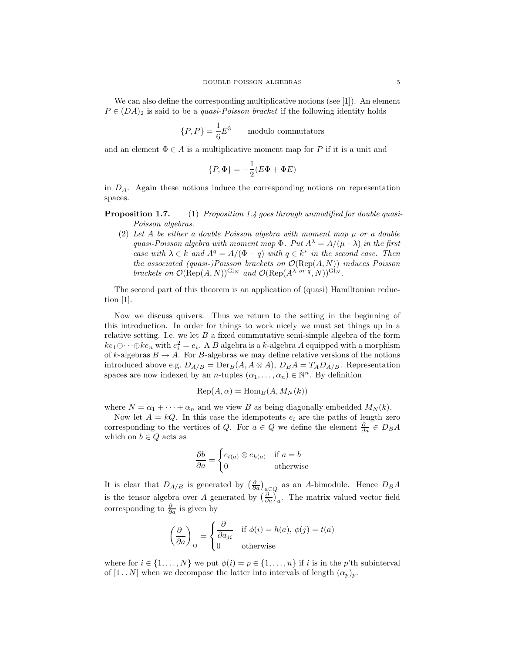We can also define the corresponding multiplicative notions (see [1]). An element  $P \in (DA)_2$  is said to be a *quasi-Poisson bracket* if the following identity holds

$$
\{P, P\} = \frac{1}{6}E^3
$$
 modulo commutators

and an element  $\Phi \in A$  is a multiplicative moment map for P if it is a unit and

$$
\{P, \Phi\} = -\frac{1}{2}(E\Phi + \Phi E)
$$

in  $D_A$ . Again these notions induce the corresponding notions on representation spaces.

Proposition 1.7. (1) *Proposition 1.4 goes through unmodified for double quasi-Poisson algebras.*

(2) Let  $A$  be either a double Poisson algebra with moment map  $\mu$  or a double *quasi-Poisson algebra with moment map*  $\Phi$ *. Put*  $A^{\lambda} = A/(\mu - \lambda)$  *in the first case with*  $\lambda \in k$  *and*  $A^q = A/(\Phi - q)$  *with*  $q \in k^*$  *in the second case. Then the associated (quasi-)Poisson brackets on* O(Rep(A, N)) *induces Poisson brackets on*  $\mathcal{O}(\text{Rep}(A, N))^{\text{GI}_N}$  *and*  $\mathcal{O}(\text{Rep}(A^{\lambda \text{ or } q}, N))^{\text{GI}_N}$ .

The second part of this theorem is an application of (quasi) Hamiltonian reduction [1].

Now we discuss quivers. Thus we return to the setting in the beginning of this introduction. In order for things to work nicely we must set things up in a relative setting. I.e. we let  $B$  a fixed commutative semi-simple algebra of the form  $ke_1 \oplus \cdots \oplus ke_n$  with  $e_i^2 = e_i$ . A B algebra is a k-algebra A equipped with a morphism of k-algebras  $B \to A$ . For B-algebras we may define relative versions of the notions introduced above e.g.  $D_{A/B} = \text{Der}_B(A, A \otimes A), D_B A = T_A D_{A/B}$ . Representation spaces are now indexed by an *n*-tuples  $(\alpha_1, \ldots, \alpha_n) \in \mathbb{N}^n$ . By definition

$$
Rep(A, \alpha) = Hom_B(A, M_N(k))
$$

where  $N = \alpha_1 + \cdots + \alpha_n$  and we view B as being diagonally embedded  $M_N(k)$ .

Now let  $A = kQ$ . In this case the idempotents  $e_i$  are the paths of length zero corresponding to the vertices of Q. For  $a \in Q$  we define the element  $\frac{\partial}{\partial a} \in D_B A$ which on  $b \in Q$  acts as

$$
\frac{\partial b}{\partial a} = \begin{cases} e_{t(a)} \otimes e_{h(a)} & \text{if } a = b \\ 0 & \text{otherwise} \end{cases}
$$

It is clear that  $D_{A/B}$  is generated by  $\left(\frac{\partial}{\partial a}\right)_{a\in Q}$  as an A-bimodule. Hence  $D_B A$ is the tensor algebra over A generated by  $\left(\frac{\partial}{\partial a}\right)_a$ . The matrix valued vector field corresponding to  $\frac{\partial}{\partial a}$  is given by

$$
\left(\frac{\partial}{\partial a}\right)_{ij} = \begin{cases} \frac{\partial}{\partial a_{ji}} & \text{if } \phi(i) = h(a), \ \phi(j) = t(a) \\ 0 & \text{otherwise} \end{cases}
$$

where for  $i \in \{1, ..., N\}$  we put  $\phi(i) = p \in \{1, ..., n\}$  if i is in the p'th subinterval of  $[1..N]$  when we decompose the latter into intervals of length  $(\alpha_p)_p$ .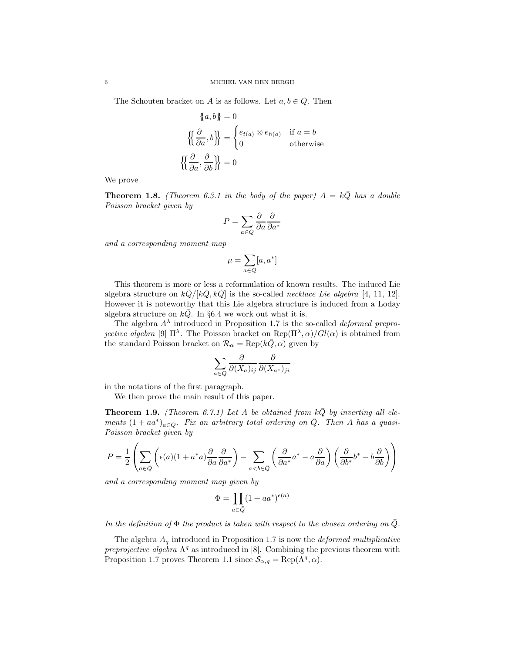The Schouten bracket on A is as follows. Let  $a, b \in Q$ . Then

$$
\{\!\!\{\,a,b\}\!\!\}=0
$$
\n
$$
\left\{\!\!\{\frac{\partial}{\partial a},b\}\!\!\{\right\} = \begin{cases} e_{t(a)} \otimes e_{h(a)} & \text{if } a=b\\ 0 & \text{otherwise} \end{cases}
$$
\n
$$
\left\{\!\!\{\frac{\partial}{\partial a},\frac{\partial}{\partial b}\}\!\!\{\right\} = 0
$$

We prove

**Theorem 1.8.** *(Theorem 6.3.1 in the body of the paper)*  $A = k\overline{Q}$  *has a double Poisson bracket given by*

$$
P = \sum_{a \in Q} \frac{\partial}{\partial a} \frac{\partial}{\partial a^*}
$$

*and a corresponding moment map*

$$
\mu = \sum_{a \in Q} [a, a^*]
$$

This theorem is more or less a reformulation of known results. The induced Lie algebra structure on  $k\overline{Q}/[k\overline{Q}, k\overline{Q}]$  is the so-called *necklace Lie algebra* [4, 11, 12]. However it is noteworthy that this Lie algebra structure is induced from a Loday algebra structure on  $k\overline{Q}$ . In §6.4 we work out what it is.

The algebra A<sup>λ</sup> introduced in Proposition 1.7 is the so-called *deformed preprojective algebra* [9]  $\Pi^{\lambda}$ . The Poisson bracket on  $\text{Rep}(\Pi^{\lambda}, \alpha)/\text{Gl}(\alpha)$  is obtained from the standard Poisson bracket on  $\mathcal{R}_{\alpha} = \text{Rep}(k\overline{Q}, \alpha)$  given by

$$
\sum_{a \in Q} \frac{\partial}{\partial (X_a)_{ij}} \frac{\partial}{\partial (X_{a^*})_{ji}}
$$

in the notations of the first paragraph.

We then prove the main result of this paper.

**Theorem 1.9.** *(Theorem 6.7.1)* Let A be obtained from  $k\overline{Q}$  by inverting all ele*ments*  $(1 + aa^*)_{a \in \bar{Q}}$ *. Fix an arbitrary total ordering on*  $\bar{Q}$ *. Then* A *has a quasi-Poisson bracket given by*

$$
P = \frac{1}{2} \left( \sum_{a \in \bar{Q}} \left( \epsilon(a) (1 + a^*a) \frac{\partial}{\partial a} \frac{\partial}{\partial a^*} \right) - \sum_{a < b \in \bar{Q}} \left( \frac{\partial}{\partial a^*} a^* - a \frac{\partial}{\partial a} \right) \left( \frac{\partial}{\partial b^*} b^* - b \frac{\partial}{\partial b} \right) \right)
$$

*and a corresponding moment map given by*

$$
\Phi=\prod_{a\in \bar Q}(1+aa^*)^{\epsilon(a)}
$$

*In the definition of*  $\Phi$  *the product is taken with respect to the chosen ordering on*  $\overline{Q}$ *.* 

The algebra A<sup>q</sup> introduced in Proposition 1.7 is now the *deformed multiplicative preprojective algebra*  $\Lambda^q$  as introduced in [8]. Combining the previous theorem with Proposition 1.7 proves Theorem 1.1 since  $\mathcal{S}_{\alpha,q} = \text{Rep}(\Lambda^q, \alpha)$ .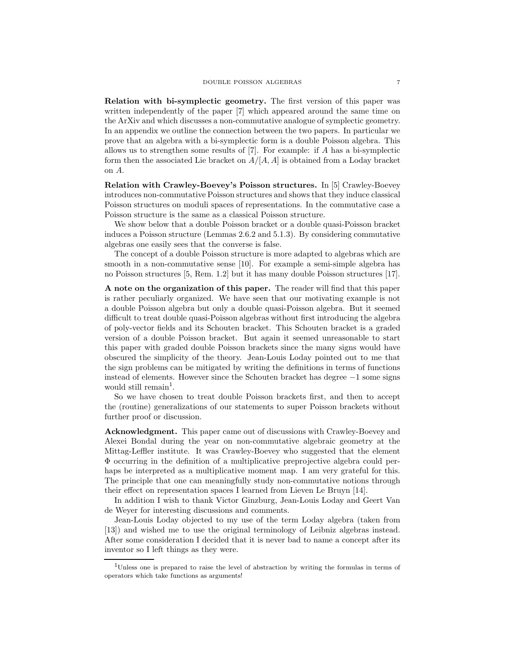Relation with bi-symplectic geometry. The first version of this paper was written independently of the paper [7] which appeared around the same time on the ArXiv and which discusses a non-commutative analogue of symplectic geometry. In an appendix we outline the connection between the two papers. In particular we prove that an algebra with a bi-symplectic form is a double Poisson algebra. This allows us to strengthen some results of  $[7]$ . For example: if A has a bi-symplectic form then the associated Lie bracket on  $A/[A, A]$  is obtained from a Loday bracket on A.

Relation with Crawley-Boevey's Poisson structures. In [5] Crawley-Boevey introduces non-commutative Poisson structures and shows that they induce classical Poisson structures on moduli spaces of representations. In the commutative case a Poisson structure is the same as a classical Poisson structure.

We show below that a double Poisson bracket or a double quasi-Poisson bracket induces a Poisson structure (Lemmas 2.6.2 and 5.1.3). By considering commutative algebras one easily sees that the converse is false.

The concept of a double Poisson structure is more adapted to algebras which are smooth in a non-commutative sense [10]. For example a semi-simple algebra has no Poisson structures [5, Rem. 1.2] but it has many double Poisson structures [17].

A note on the organization of this paper. The reader will find that this paper is rather peculiarly organized. We have seen that our motivating example is not a double Poisson algebra but only a double quasi-Poisson algebra. But it seemed difficult to treat double quasi-Poisson algebras without first introducing the algebra of poly-vector fields and its Schouten bracket. This Schouten bracket is a graded version of a double Poisson bracket. But again it seemed unreasonable to start this paper with graded double Poisson brackets since the many signs would have obscured the simplicity of the theory. Jean-Louis Loday pointed out to me that the sign problems can be mitigated by writing the definitions in terms of functions instead of elements. However since the Schouten bracket has degree −1 some signs would still remain<sup>1</sup>.

So we have chosen to treat double Poisson brackets first, and then to accept the (routine) generalizations of our statements to super Poisson brackets without further proof or discussion.

Acknowledgment. This paper came out of discussions with Crawley-Boevey and Alexei Bondal during the year on non-commutative algebraic geometry at the Mittag-Leffler institute. It was Crawley-Boevey who suggested that the element Φ occurring in the definition of a multiplicative preprojective algebra could perhaps be interpreted as a multiplicative moment map. I am very grateful for this. The principle that one can meaningfully study non-commutative notions through their effect on representation spaces I learned from Lieven Le Bruyn [14].

In addition I wish to thank Victor Ginzburg, Jean-Louis Loday and Geert Van de Weyer for interesting discussions and comments.

Jean-Louis Loday objected to my use of the term Loday algebra (taken from [13]) and wished me to use the original terminology of Leibniz algebras instead. After some consideration I decided that it is never bad to name a concept after its inventor so I left things as they were.

<sup>1</sup>Unless one is prepared to raise the level of abstraction by writing the formulas in terms of operators which take functions as arguments!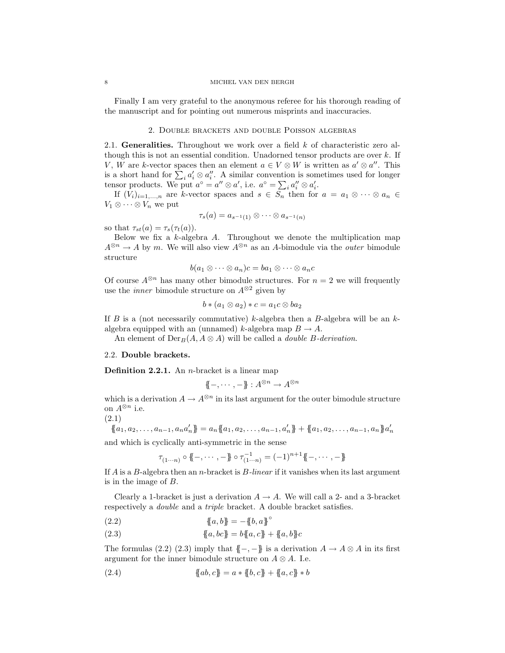#### 8 MICHEL VAN DEN BERGH

Finally I am very grateful to the anonymous referee for his thorough reading of the manuscript and for pointing out numerous misprints and inaccuracies.

## 2. Double brackets and double Poisson algebras

2.1. Generalities. Throughout we work over a field  $k$  of characteristic zero although this is not an essential condition. Unadorned tensor products are over  $k$ . If V, W are k-vector spaces then an element  $a \in V \otimes W$  is written as  $a' \otimes a''$ . This is a short hand for  $\sum_i a'_i \otimes a''_i$ . A similar convention is sometimes used for longer tensor products. We put  $a^{\circ} = a'' \otimes a'$ , i.e.  $a^{\circ} = \sum_i a''_i \otimes a'_i$ .

If  $(V_i)_{i=1,\ldots,n}$  are k-vector spaces and  $s \in S_n$  then for  $a = a_1 \otimes \cdots \otimes a_n \in$  $V_1 \otimes \cdots \otimes V_n$  we put

$$
\tau_s(a)=a_{s^{-1}(1)}\otimes\cdots\otimes a_{s^{-1}(n)}
$$

so that  $\tau_{st}(a) = \tau_s(\tau_t(a))$ .

Below we fix a  $k$ -algebra  $A$ . Throughout we denote the multiplication map  $A^{\otimes n} \to A$  by m. We will also view  $A^{\otimes n}$  as an A-bimodule via the *outer* bimodule structure

$$
b(a_1\otimes\cdots\otimes a_n)c=ba_1\otimes\cdots\otimes a_nc
$$

Of course  $A^{\otimes n}$  has many other bimodule structures. For  $n = 2$  we will frequently use the *inner* bimodule structure on  $A^{\otimes 2}$  given by

$$
b*(a_1\otimes a_2)*c=a_1c\otimes ba_2
$$

If B is a (not necessarily commutative) k-algebra then a B-algebra will be an  $k$ algebra equipped with an (unnamed) k-algebra map  $B \to A$ .

An element of  $Der_B(A, A \otimes A)$  will be called a *double* B-derivation.

## 2.2. Double brackets.

**Definition 2.2.1.** An *n*-bracket is a linear map

$$
\{\!\!\{-,\cdots,-\}\!\!\}:A^{\otimes n}\to A^{\otimes n}
$$

which is a derivation  $A \to A^{\otimes n}$  in its last argument for the outer bimodule structure on  $A^{\otimes n}$  i.e.

(2.1)

$$
\{a_1, a_2, \dots, a_{n-1}, a_n a'_n\} = a_n \{a_1, a_2, \dots, a_{n-1}, a'_n\} + \{a_1, a_2, \dots, a_{n-1}, a_n\} a'_n
$$

and which is cyclically anti-symmetric in the sense

$$
\tau_{(1\cdots n)} \circ \{\!\!\{-,\cdots,-\}\!\!\} \circ \tau_{(1\cdots n)}^{-1} = (-1)^{n+1} \{\!\!\{-,\cdots,-\}\!\!\}
$$

If A is a B-algebra then an n-bracket is B*-linear* if it vanishes when its last argument is in the image of B.

Clearly a 1-bracket is just a derivation  $A \to A$ . We will call a 2- and a 3-bracket respectively a *double* and a *triple* bracket. A double bracket satisfies.

(2.2) 
$$
\{a, b\} = -\{b, a\}^{\circ}
$$

(2.3) 
$$
\{a, bc\} = b\{a, c\} + \{a, b\}c
$$

The formulas (2.2) (2.3) imply that  $\{-,-\}$  is a derivation  $A \to A \otimes A$  in its first argument for the inner bimodule structure on  $A \otimes A$ . I.e.

(2.4) 
$$
\{ab, c\} = a * \{b, c\} + \{a, c\} * b
$$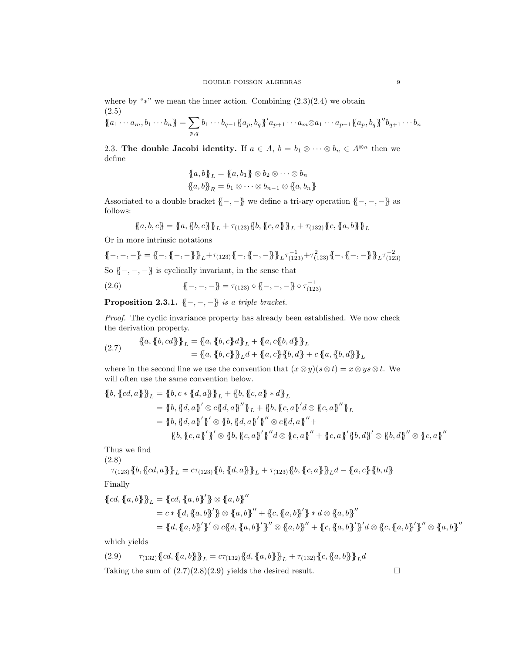$$
\{a_1\cdots a_m, b_1\cdots b_n\} = \sum_{p,q} b_1\cdots b_{q-1} \{a_p, b_q\}^{\prime} a_{p+1}\cdots a_m \otimes a_1\cdots a_{p-1} \{a_p, b_q\}^{\prime\prime} b_{q+1}\cdots b_n
$$

2.3. The double Jacobi identity. If  $a \in A$ ,  $b = b_1 \otimes \cdots \otimes b_n \in A^{\otimes n}$  then we define

$$
\{a, b\}_L = \{a, b_1\} \otimes b_2 \otimes \cdots \otimes b_n
$$
  

$$
\{a, b\}_R = b_1 \otimes \cdots \otimes b_{n-1} \otimes \{a, b_n\}
$$

Associated to a double bracket  $\{-,-\}$  we define a tri-ary operation  $\{-,-,-\}$  as follows:

$$
\{a, b, c\} = \{a, \{b, c\}\}_L + \tau_{(123)} \{b, \{c, a\}\}_L + \tau_{(132)} \{c, \{a, b\}\}_L
$$

Or in more intrinsic notations

$$
\{-,-,-\} = \{-,\{-\}\} + \tau_{(123)} + \tau_{(123)} + \tau_{(123)} + \tau_{(123)} + \tau_{(123)}^2 + \tau_{(123)}^2 + \tau_{(123)}^2 + \tau_{(123)}^2 + \tau_{(123)}^2
$$

So  ${ -,-,-}$  is cyclically invariant, in the sense that

(2.6) 
$$
\{\!\!\{-,-,-\}\!\!\} = \tau_{(123)} \circ \{\!\!\{-,-,-\}\!\!\} \circ \tau_{(123)}^{-1}
$$

Proposition 2.3.1. {{−, −, −}} *is a triple bracket.*

*Proof.* The cyclic invariance property has already been established. We now check the derivation property.

$$
\begin{aligned} \{\!\!\{a,\{\!\!\{b,cd\}\!\!\}\!\!\}_{L} &= \{\!\!\{a,\{\!\!\{b,c\}\!\!\}\!\}\}_{L} + \{\!\!\{a,c\{\!\!\{b,d\}\!\!\}\!\}\}_{L} \\ &= \{\!\!\{a,\{\!\!\{b,c\}\!\!\}\!\}_{L} + \{\!\!\{a,c\{\!\!\{b,d\}\}\!\!\}\}_{L} \\ &= \{\!\!\{a,\{\!\!\{b,c\}\}\!\}\}_{L} + \{\!\!\{a,c\{\!\!\{b,d\}\}\!\!\}\}_{L} \end{aligned}
$$

where in the second line we use the convention that  $(x \otimes y)(s \otimes t) = x \otimes ys \otimes t$ . We will often use the same convention below.

$$
\begin{aligned} \{\![b,\{\![cd,a]\!] \}\!]_L &= \{\![b,c*\{\![d,a]\!] \}\!]_L + \{\![b,\{\![c,a]\!] \}*d\}\!]_L \\ &= \{\![b,\{\![d,a]\!] \} \text{ or } \{\![d,a]\!] \} \text{ or } \{\![d,a]\!] \} \text{ or } \{\![d,a]\!] \} \text{ or } \{\![d,a]\!] \text{ or } \{\![d,a]\!] \} \text{ or } \{\![d,a]\!] \text{ or } \{\![d,a]\!] \} \text{ or } \{\![d,a]\!] \text{ or } \{\![d,a]\!] \} \text{ or } \{\![d,a]\!] \text{ or } \{\![d,a]\!] \} \text{ or } \{\![d,a]\!] \text{ or } \{\![d,a]\!] \} \text{ or } \{\![d,a]\!] \text{ or } \{\![d,a]\!] \} \text{ or } \{\![d,a]\!] \text{ or } \{\![d,a]\!] \} \text{ or } \{\![d,a]\!] \text{ or } \{\![d,a]\!] \} \text{ or } \{\![d,a]\!] \text{ or } \{\![d,a]\!] \} \text{ or } \{\![d,a]\!] \text{ or } \{\![d,a]\!] \} \text{ or } \{\![d,a]\!] \text{ or } \{\![d,a]\!] \} \text{ or } \{\![d,a]\!] \text{ or } \{\![d,a]\!] \} \text{ or } \{\![d,a]\!] \text{ or } \{\![d,a]\!] \} \text{ or } \{\![d,a]\!] \text{ or } \{\![d,a]\!] \} \text{ or } \{\![d,a]\!] \text{ or } \{\![d,a]\!] \} \text{ or } \{\![d,a]\!] \text{ or } \{\![d,a]\!] \} \text{ or } \{\![d,a]\!] \text{ or } \{\![d,a]\!] \} \text{ or } \{\![d,a]\!] \text{ or } \{\![d,a]\!] \} \text{ or } \{\![d,a]\!] \text{ or } \{\![d,a]\!] \} \text{ or } \{\![d,a]\!] \text{ or } \{\![d,a]\!] \} \text{ or } \{\![d,a]\!] \text{ or } \{\![d,a]\!] \} \text{ or } \{\![d,a]\!] \text{ or } \{\![d,a]\!] \} \text{ or } \{\![d,a]\!] \text{ or } \{\![d,a]\!] \} \text{ or } \{\![d,a]\!] \text{ or } \{\![d,a]\!] \} \text{ or } \{\![d,a]\!] \text
$$

Thus we find (2.8)

$$
\tau_{(123)}\{\!\!\{b, \{\!\!\{cd, a\}\!\!\}\!\!\}_{L}=c\tau_{(123)}\{\!\!\{b, \{\!\!\{d, a\}\!\!\}\!\}\}_{L}+\tau_{(123)}\{\!\!\{b, \{\!\!\{c, a\}\!\!\}\!\}\}_{L}d-\{\!\!\{a, c\}\!\!\}\{\!\!\{b, d\}\!\!\}
$$

Finally

$$
\{cd, \{a, b\}\}_L = \{cd, \{a, b\}'\} \otimes \{a, b\}''
$$
  
=  $c * \{d, \{a, b\}'\} \otimes \{a, b\}'' + \{c, \{a, b\}'\} * d \otimes \{a, b\}''$   
=  $d \cdot \{d, \{a, b\}'\} \otimes c \{d, \{a, b\}'\}'' \otimes \{a, b\}'' + \{c, \{a, b\}'\} \otimes d \otimes \{c, \{a, b\}'\}'' \otimes \{a, b\}''$   
=  $d \cdot \{d, \{a, b\}'\} \otimes c \{d, \{a, b\}'\}'' \otimes \{a, b\}'' + \{c, \{a, b\}'\} \otimes d \otimes \{c, \{a, b\}'\}'' \otimes \{a, b\}''$ 

which yields

(2.9) 
$$
\tau_{(132)} \{cd, \{a, b\}\}_{L} = c\tau_{(132)} \{d, \{a, b\}\}_{L} + \tau_{(132)} \{c, \{a, b\}\}_{L} d
$$
  
Taking the sum of (2.7)(2.8)(2.9) yields the desired result.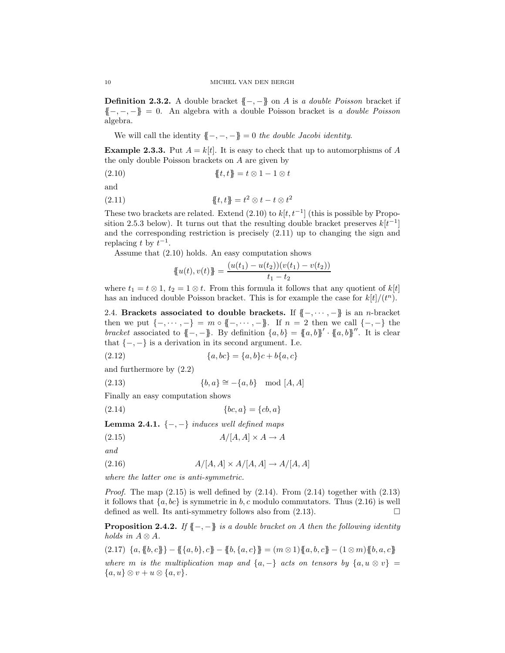Definition 2.3.2. A double bracket {{−, −}} on A is *a double Poisson* bracket if {{−, −, −}} = 0. An algebra with a double Poisson bracket is *a double Poisson* algebra.

We will call the identity  ${,-,-}$ } = 0 *the double Jacobi identity*.

**Example 2.3.3.** Put  $A = k[t]$ . It is easy to check that up to automorphisms of A the only double Poisson brackets on A are given by

(2.10)  ${t, t} = t \otimes 1 - 1 \otimes t$ 

and

(2.11) {{t, t}} =  $t^2 \otimes t - t \otimes t^2$ 

These two brackets are related. Extend  $(2.10)$  to  $k[t, t^{-1}]$  (this is possible by Proposition 2.5.3 below). It turns out that the resulting double bracket preserves  $k[t^{-1}]$ and the corresponding restriction is precisely (2.11) up to changing the sign and replacing t by  $t^{-1}$ .

Assume that (2.10) holds. An easy computation shows

$$
\{u(t), v(t)\} = \frac{(u(t_1) - u(t_2))(v(t_1) - v(t_2))}{t_1 - t_2}
$$

where  $t_1 = t \otimes 1$ ,  $t_2 = 1 \otimes t$ . From this formula it follows that any quotient of  $k[t]$ has an induced double Poisson bracket. This is for example the case for  $k[t]/(t^n)$ .

2.4. Brackets associated to double brackets. If  ${{-, \cdots, -}}$  is an n-bracket then we put  $\{-, \dots, -\} = m \circ \{-, \dots, -\}$ . If  $n = 2$  then we call  $\{-, -\}$  the *bracket* associated to  $\{-, -\}$ . By definition  $\{a, b\} = \{a, b\}' \cdot \{a, b\}''$ . It is clear that  $\{-,-\}$  is a derivation in its second argument. I.e.

(2.12) 
$$
\{a, bc\} = \{a, b\}c + b\{a, c\}
$$

and furthermore by (2.2)

$$
(2.13) \qquad \{b, a\} \cong -\{a, b\} \mod [A, A]
$$

Finally an easy computation shows

(2.14) 
$$
\{bc, a\} = \{cb, a\}
$$

Lemma 2.4.1. {−, −} *induces well defined maps*

$$
(2.15)\quad A/[A,A] \times A \to A
$$

*and*

$$
(2.16) \t\t A/[A,A] \times A/[A,A] \to A/[A,A]
$$

*where the latter one is anti-symmetric.*

*Proof.* The map  $(2.15)$  is well defined by  $(2.14)$ . From  $(2.14)$  together with  $(2.13)$ it follows that  $\{a, bc\}$  is symmetric in b, c modulo commutators. Thus (2.16) is well defined as well. Its anti-symmetry follows also from (2.13). defined as well. Its anti-symmetry follows also from (2.13).

Proposition 2.4.2. *If* {{−, −}} *is a double bracket on* A *then the following identity holds in*  $A \otimes A$ *.* 

 $(2.17) \ \{a, \{b, c\}\} - \{\{a, b\}, c\} - \{b, \{a, c\}\} = (m \otimes 1)\{a, b, c\} - (1 \otimes m)\{b, a, c\}$ *where* m *is the multiplication map and*  $\{a, -\}$  *acts on tensors by*  $\{a, u \otimes v\}$  =  ${a, u} \otimes v + u \otimes {a, v}.$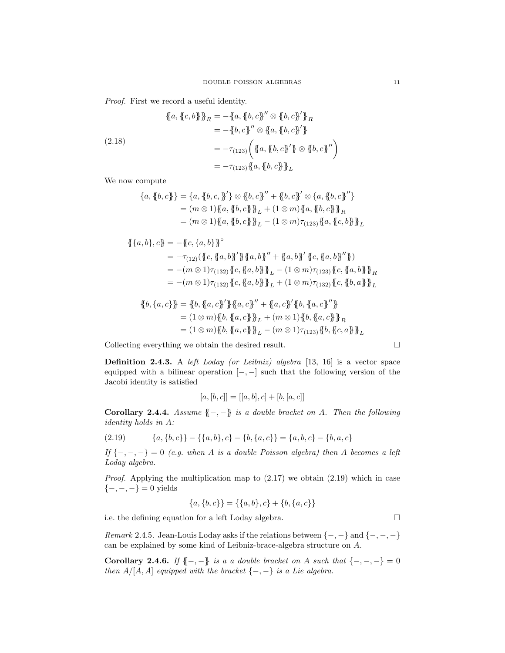*Proof.* First we record a useful identity.

$$
\begin{aligned}\n\{\!\!\{a,\{c,b\}\}\!\!\}_R &= -\{\!\!\{a,\{b,c\}\!\!\}'' \otimes \{b,c\}\!\!\} \!\!\}_R \\
&= -\{\!\!\{b,c\}\!\!\}'' \otimes \{\!\!\{a,\{b,c\}\!\!\}'\!\}\n\\
&= -\{\!\!\{c,c\}\!\!\}'' \otimes \{\!\!\{a,\{b,c\}\!\!\}'\!\}\n\\
&= -\tau_{(123)} \left(\{\!\!\{a,\{b,c\}\!\!\}'\}\!\otimes \{\!\!\{b,c\}\!\!\}''\right)\n\\
&= -\tau_{(123)} \{\!\!\{a,\{b,c\}\}\!\!\}_L\n\end{aligned}
$$

We now compute

$$
{a, {b, c}} = {a, {b, c}, {'} } \otimes {b, c} \qquad {'' } + {b, c} \otimes {a, {b, c}}'' }
$$
  
=  $(m \otimes 1) {a, {b, c}} {b, c} {b, c} \otimes {a, {b, c}} {b, c} {b}$   
=  $(m \otimes 1) {a, {b, c}} {b, c} {b} {c, c} {c} {c, c} {d}$   
=  $(m \otimes 1) {a, {b, c}} {b, c} {d} {c, c} {d, {c, b}} {d} {c}$ 

$$
\begin{aligned} \{\{a,b\},c\} &= -\{c,\{a,b\}\}^{\circ} \\ &= -\tau_{(12)}(\{c,\{a,b\}^{\prime}\} \{a,b\}^{\prime\prime} + \{a,b\}^{\prime} \{c,\{a,b\}^{\prime\prime}\}) \\ &= -(m \otimes 1)\tau_{(132)}\{c,\{a,b\}\} \}_{L} - (1 \otimes m)\tau_{(123)}\{c,\{a,b\}\} _{R} \\ &= -(m \otimes 1)\tau_{(132)}\{c,\{a,b\}\} _{L} + (1 \otimes m)\tau_{(132)}\{c,\{b,a\}\} _{L} \end{aligned}
$$

$$
\begin{aligned} \n\{\!\{b,\{a,c\}\}\!\} &= \{\!\{b,\{a,c\}\!\}^\prime\}\{\!\{a,c\}\!\}^{\prime\prime} + \{\!\{a,c\}\!\}^\prime\{\!\{b,\{a,c\}\!\}^{\prime\prime}\}\n\\ &= (1 \otimes m)\{\!\{b,\{a,c\}\}\!\}^{\phantom{a\!}}_L + (m \otimes 1)\{\!\{b,\{a,c\}\}\!\}^{\phantom{a\!}}_R \\
&= (1 \otimes m)\{\!\{b,\{a,c\}\}\!\}^{\phantom{a\!}}_L - (m \otimes 1)\tau_{(123)}\{\!\{b,\{c,a\}\}\!\}^{\phantom{a\!}}_L\n\end{aligned}
$$

Collecting everything we obtain the desired result.

Definition 2.4.3. A *left Loday (or Leibniz) algebra* [13, 16] is a vector space equipped with a bilinear operation  $[-,-]$  such that the following version of the Jacobi identity is satisfied

$$
[a,[b,c]] = [[a,b],c] + [b,[a,c]]
$$

Corollary 2.4.4. *Assume* {{−, −}} *is a double bracket on* A*. Then the following identity holds in* A*:*

$$
(2.19) \qquad \{a, \{b, c\}\} - \{\{a, b\}, c\} - \{b, \{a, c\}\} = \{a, b, c\} - \{b, a, c\}
$$

*If* {−, −, −} = 0 *(e.g. when* A *is a double Poisson algebra) then* A *becomes a left Loday algebra.*

*Proof.* Applying the multiplication map to  $(2.17)$  we obtain  $(2.19)$  which in case  ${-,-,-} = 0$  yields

$$
\{a,\{b,c\}\} = \{\{a,b\},c\} + \{b,\{a,c\}\}\
$$

i.e. the defining equation for a left Loday algebra.

*Remark* 2.4.5*.* Jean-Louis Loday asks if the relations between  $\{-,-\}$  and  $\{-,-\}$ can be explained by some kind of Leibniz-brace-algebra structure on A.

**Corollary 2.4.6.** *If*  $\{-,-\}$  *is a a double bracket on A such that*  $\{-,-,-\} = 0$ *then*  $A/[A, A]$  *equipped with the bracket*  $\{-,-\}$  *is a Lie algebra.* 

$$
\exists
$$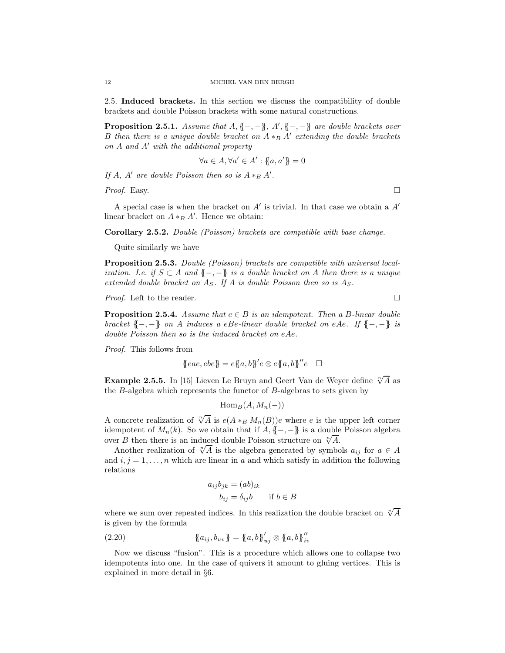2.5. Induced brackets. In this section we discuss the compatibility of double brackets and double Poisson brackets with some natural constructions.

**Proposition 2.5.1.** *Assume that*  $A, \{-, -\}$ *, A'*,  $\{-, -\}$  *are double brackets over B then there is a unique double bracket on*  $A \ast_B A'$  *extending the double brackets on* A *and* A′ *with the additional property*

$$
\forall a \in A, \forall a' \in A' : \{\!\!\{\,a, a'\}\!\!\}=0
$$

*If*  $A$ *,*  $A'$  are double Poisson then so is  $A *_{B} A'$ .

*Proof.* Easy.

A special case is when the bracket on  $A'$  is trivial. In that case we obtain a  $A'$ linear bracket on  $A *_B A'$ . Hence we obtain:

Corollary 2.5.2. *Double (Poisson) brackets are compatible with base change.*

Quite similarly we have

Proposition 2.5.3. *Double (Poisson) brackets are compatible with universal localization. I.e. if*  $S \subset A$  *and*  ${T, -}$  *is a double bracket on* A *then there is a unique extended double bracket on* AS*. If* A *is double Poisson then so is* AS*.*

*Proof.* Left to the reader. □

**Proposition 2.5.4.** *Assume that*  $e \in B$  *is an idempotent. Then a B-linear double bracket* {{−, −}} *on* A *induces a* eBe*-linear double bracket on* eAe*. If* {{−, −}} *is double Poisson then so is the induced bracket on* eAe*.*

*Proof.* This follows from

$$
{\{eae, ebe\}} = e{\{a, b\}}'e \otimes e{\{a, b\}}''e \quad \Box
$$

**Example 2.5.5.** In [15] Lieven Le Bruyn and Geert Van de Weyer define  $\sqrt[n]{A}$  as the B-algebra which represents the functor of B-algebras to sets given by

$$
\operatorname{Hom}_B(A, M_n(-))
$$

A concrete realization of  $\sqrt[n]{A}$  is  $e(A *_{B} M_{n}(B))e$  where e is the upper left corner idempotent of  $M_n(k)$ . So we obtain that if  $A, \{[-,-]\}$  is a double Poisson algebra over B then there is an induced double Poisson structure on  $\sqrt[n]{A}$ .

Another realization of  $\sqrt[n]{A}$  is the algebra generated by symbols  $a_{ij}$  for  $a \in A$ and  $i, j = 1, \ldots, n$  which are linear in a and which satisfy in addition the following relations

$$
a_{ij}b_{jk} = (ab)_{ik}
$$
  

$$
b_{ij} = \delta_{ij}b \quad \text{if } b \in B
$$

where we sum over repeated indices. In this realization the double bracket on  $\sqrt[n]{A}$ is given by the formula

(2.20) 
$$
\{a_{ij}, b_{uv}\} = \{a, b\}_{uj}^{\prime\prime} \otimes \{a, b\}_{iv}^{\prime\prime}
$$

Now we discuss "fusion". This is a procedure which allows one to collapse two idempotents into one. In the case of quivers it amount to gluing vertices. This is explained in more detail in §6.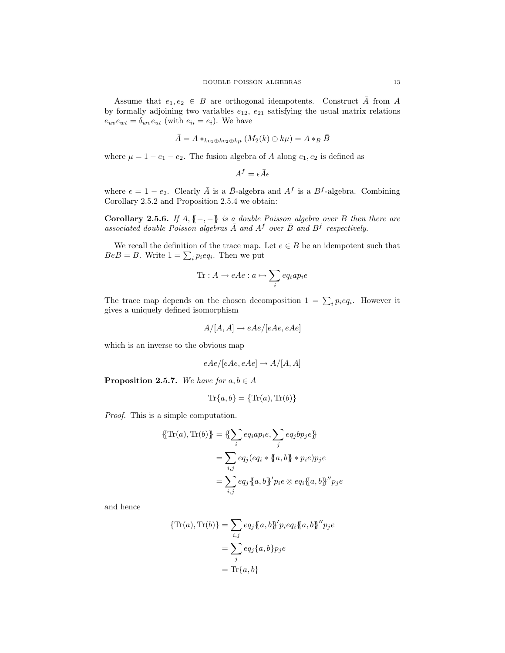Assume that  $e_1, e_2 \in B$  are orthogonal idempotents. Construct  $\overline{A}$  from  $A$ by formally adjoining two variables  $e_{12}$ ,  $e_{21}$  satisfying the usual matrix relations  $e_{uv}e_{wt} = \delta_{wv}e_{ut}$  (with  $e_{ii} = e_i$ ). We have

$$
\bar{A} = A *_{ke_1 \oplus ke_2 \oplus k\mu} (M_2(k) \oplus k\mu) = A *_{B} \bar{B}
$$

where  $\mu = 1 - e_1 - e_2$ . The fusion algebra of A along  $e_1, e_2$  is defined as

 $A^f = \epsilon \bar{A} \epsilon$ 

where  $\epsilon = 1 - e_2$ . Clearly  $\overline{A}$  is a  $\overline{B}$ -algebra and  $A^f$  is a  $B^f$ -algebra. Combining Corollary 2.5.2 and Proposition 2.5.4 we obtain:

Corollary 2.5.6. *If* A, {{−, −}} *is a double Poisson algebra over* B *then there are* associated double Poisson algebras  $\bar{A}$  and  $A^f$  over  $\bar{B}$  and  $B^f$  respectively.

We recall the definition of the trace map. Let  $e \in B$  be an idempotent such that  $BeB = B$ . Write  $1 = \sum_{i} p_i e q_i$ . Then we put

$$
\text{Tr}: A \to eAe : a \mapsto \sum_{i} eq_iap_ie
$$

The trace map depends on the chosen decomposition  $1 = \sum_i p_i e q_i$ . However it gives a uniquely defined isomorphism

$$
A/[A,A] \to eAe/[eAe, eAe]
$$

which is an inverse to the obvious map

$$
eAe/[eAe, eAe] \rightarrow A/[A, A]
$$

**Proposition 2.5.7.** *We have for*  $a, b \in A$ 

$$
\mathrm{Tr}\{a,b\} = \{\mathrm{Tr}(a),\mathrm{Tr}(b)\}
$$

*Proof.* This is a simple computation.

$$
\{\{\text{Tr}(a), \text{Tr}(b)\} = \{\{\sum_i eq_i a p_i e, \sum_j eq_j b p_j e\}\}
$$
  
= 
$$
\sum_{i,j} eq_j (eq_i * \{a, b\} * p_i e) p_j e
$$
  
= 
$$
\sum_{i,j} eq_j \{a, b\} 'p_i e \otimes eq_i \{a, b\} ''p_j e
$$

and hence

$$
\{\text{Tr}(a), \text{Tr}(b)\} = \sum_{i,j} e q_j \{a, b\}^{\prime} p_i e q_i \{a, b\}^{\prime\prime} p_j e
$$

$$
= \sum_j e q_j \{a, b\} p_j e
$$

$$
= \text{Tr}\{a, b\}
$$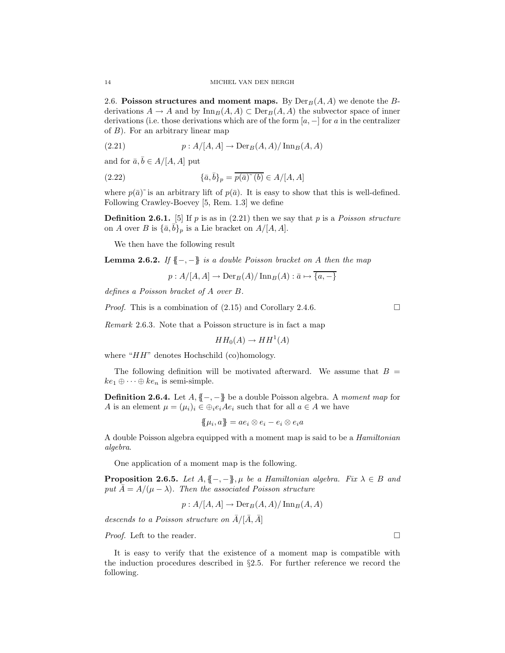2.6. Poisson structures and moment maps. By  $Der_B(A, A)$  we denote the Bderivations  $A \to A$  and by  $\text{Inn}_B(A, A) \subset \text{Der}_B(A, A)$  the subvector space of inner derivations (i.e. those derivations which are of the form  $[a, -]$  for a in the centralizer of  $B$ ). For an arbitrary linear map

(2.21) 
$$
p: A/[A, A] \to \mathrm{Der}_B(A, A)/\mathrm{Inn}_B(A, A)
$$

and for  $\bar{a}, \bar{b} \in A/[A, A]$  put

(2.22) 
$$
\{\bar{a}, \bar{b}\}_p = \overline{p(\bar{a})} \tilde{b} \in A/[A, A]
$$

where  $p(\bar{a})^{\sim}$  is an arbitrary lift of  $p(\bar{a})$ . It is easy to show that this is well-defined. Following Crawley-Boevey [5, Rem. 1.3] we define

Definition 2.6.1. [5] If p is as in (2.21) then we say that p is a *Poisson structure* on A over B is  $\{\bar{a}, \bar{b}\}_p$  is a Lie bracket on  $A/[A, A]$ .

We then have the following result

Lemma 2.6.2. *If* {{−, −}} *is a double Poisson bracket on* A *then the map*

 $p : A/[A, A] \rightarrow Der_B(A)/\operatorname{Inn}_B(A) : \overline{a} \mapsto \overline{\{a, -\}}$ 

*defines a Poisson bracket of* A *over* B*.*

*Proof.* This is a combination of  $(2.15)$  and Corollary 2.4.6.

*Remark* 2.6.3*.* Note that a Poisson structure is in fact a map

 $HH_0(A) \rightarrow HH^1(A)$ 

where "HH" denotes Hochschild (co)homology.

The following definition will be motivated afterward. We assume that  $B =$  $ke_1 \oplus \cdots \oplus ke_n$  is semi-simple.

Definition 2.6.4. Let A, {{−, −}} be a double Poisson algebra. A *moment map* for A is an element  $\mu = (\mu_i)_i \in \bigoplus_i A_i e_i$  such that for all  $a \in A$  we have

$$
\{\!\!\{\mu_i,a\}\!\!\} = ae_i \otimes e_i - e_i \otimes e_i a
$$

A double Poisson algebra equipped with a moment map is said to be a *Hamiltonian algebra*.

One application of a moment map is the following.

**Proposition 2.6.5.** *Let*  $A, \{-, -\}$ ,  $\mu$  *be a Hamiltonian algebra. Fix*  $\lambda \in B$  *and put*  $\overline{A} = A/(\mu - \lambda)$ *. Then the associated Poisson structure* 

$$
p: A/[A, A] \to \mathrm{Der}_B(A, A)/\mathrm{Inn}_B(A, A)
$$

*descends to a Poisson structure on*  $\overline{A}/[\overline{A}, \overline{A}]$ 

*Proof.* Left to the reader. □

It is easy to verify that the existence of a moment map is compatible with the induction procedures described in §2.5. For further reference we record the following.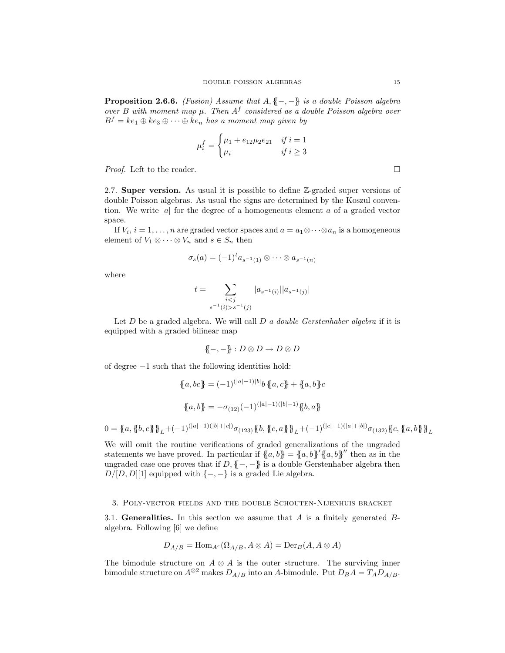Proposition 2.6.6. *(Fusion) Assume that* A, {{−, −}} *is a double Poisson algebra over* B with moment map  $\mu$ . Then  $A^f$  considered as a double Poisson algebra over  $B^f = ke_1 \oplus ke_3 \oplus \cdots \oplus ke_n$  *has a moment map given by* 

$$
\mu_i^f = \begin{cases} \mu_1 + e_{12}\mu_2 e_{21} & \text{if } i = 1\\ \mu_i & \text{if } i \ge 3 \end{cases}
$$

*Proof.* Left to the reader. □

2.7. Super version. As usual it is possible to define Z-graded super versions of double Poisson algebras. As usual the signs are determined by the Koszul convention. We write |a| for the degree of a homogeneous element a of a graded vector space.

If  $V_i$ ,  $i = 1, \ldots, n$  are graded vector spaces and  $a = a_1 \otimes \cdots \otimes a_n$  is a homogeneous element of  $V_1 \otimes \cdots \otimes V_n$  and  $s \in S_n$  then

$$
\sigma_s(a) = (-1)^t a_{s^{-1}(1)} \otimes \cdots \otimes a_{s^{-1}(n)}
$$

where

$$
t = \sum_{\substack{i < j \\ s^{-1}(i) > s^{-1}(j)}} |a_{s^{-1}(i)}| |a_{s^{-1}(j)}|
$$

Let D be a graded algebra. We will call D *a double Gerstenhaber algebra* if it is equipped with a graded bilinear map

$$
\{-,-\}: D \otimes D \to D \otimes D
$$

of degree −1 such that the following identities hold:

$$
\{a, bc\} = (-1)^{(|a|-1)|b|} b \{a, c\} + \{a, b\} c
$$

$$
\{a, b\} = -\sigma_{(12)} (-1)^{(|a|-1)(|b|-1)} \{b, a\}
$$

 $0=\{\!\!\{a,\{\!\!\{b,c\}\!\!\}\}_{L}\!+\!(-1)^{(|a|-1)(|b|+|c|)}\sigma_{(123)}\{\!\!\{b,\{c,a\}\!\!\}\}_{L}\!+\!(-1)^{(|c|-1)(|a|+|b|)}\sigma_{(132)}\{\!\!\{c,\{a,b\}\}\!\!\}_{L}$ 

We will omit the routine verifications of graded generalizations of the ungraded statements we have proved. In particular if  $\{a, b\} = \{a, b\}' \{a, b\}''$  then as in the ungraded case one proves that if  $D, \{-, -\}$  is a double Gerstenhaber algebra then  $D/[D, D][1]$  equipped with  $\{-, -\}$  is a graded Lie algebra.

# 3. Poly-vector fields and the double Schouten-Nijenhuis bracket

3.1. Generalities. In this section we assume that  $A$  is a finitely generated  $B$ algebra. Following [6] we define

$$
D_{A/B} = \text{Hom}_{A^e}(\Omega_{A/B}, A \otimes A) = \text{Der}_B(A, A \otimes A)
$$

The bimodule structure on  $A \otimes A$  is the outer structure. The surviving inner bimodule structure on  $A^{\otimes 2}$  makes  $D_{A/B}$  into an A-bimodule. Put  $D_B A = T_A D_{A/B}$ .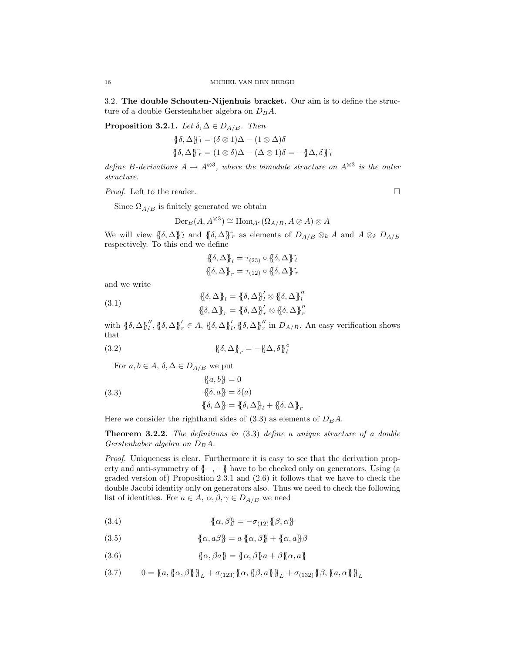3.2. The double Schouten-Nijenhuis bracket. Our aim is to define the structure of a double Gerstenhaber algebra on  $D_B A$ .

**Proposition 3.2.1.** *Let*  $\delta, \Delta \in D_{A/B}$ *. Then* 

$$
\{\delta, \Delta\}^{\tilde{\jmath}} = (\delta \otimes 1)\Delta - (1 \otimes \Delta)\delta
$$
  

$$
\{\delta, \Delta\}^{\tilde{\jmath}} = (1 \otimes \delta)\Delta - (\Delta \otimes 1)\delta = -\{\Delta, \delta\}^{\tilde{\jmath}}
$$

define B-derivations  $A \to A^{\otimes 3}$ , where the bimodule structure on  $A^{\otimes 3}$  is the outer *structure.*

*Proof.* Left to the reader. □

Since  $\Omega_{A/B}$  is finitely generated we obtain

$$
\operatorname{Der}_B(A, A^{\otimes 3}) \cong \operatorname{Hom}_{A^e}(\Omega_{A/B}, A \otimes A) \otimes A
$$

We will view  $\{\delta, \Delta\}$ <sup>γ</sup><sub>l</sub> and  $\{\delta, \Delta\}$ <sup>γ</sup><sub>r</sub> as elements of  $D_{A/B} \otimes_k A$  and  $A \otimes_k D_{A/B}$ respectively. To this end we define

$$
\{\{\delta,\Delta\}\}_l = \tau_{(23)} \circ \{\{\delta,\Delta\}\}_l^{\tilde{\iota}}
$$

$$
\{\{\delta,\Delta\}\}_r = \tau_{(12)} \circ \{\{\delta,\Delta\}\}_r^{\tilde{\iota}}
$$

and we write

(3.1) 
$$
\{\{\delta, \Delta\}\}_l = \{\{\delta, \Delta\}\}_l' \otimes \{\{\delta, \Delta\}\}_l''
$$

$$
\{\{\delta, \Delta\}\}_r = \{\{\delta, \Delta\}\}_r' \otimes \{\{\delta, \Delta\}\}_r''
$$

with  $\{\delta, \Delta\}_{l}^{\prime\prime}, \{\delta, \Delta\}_{r}^{\prime} \in A$ ,  $\{\delta, \Delta\}_{l}^{\prime}$ ,  $\{\delta, \Delta\}_{r}^{\prime\prime}$  in  $D_{A/B}$ . An easy verification shows that

(3.2) 
$$
\{\!\!\{\delta,\Delta\}\!\!\}_r = -\{\!\!\{\Delta,\delta\}\!\!\}_l^{\circ}
$$

For  $a, b \in A$ ,  $\delta, \Delta \in D_{A/B}$  we put

(3.3)  
\n
$$
\{a, b\} = 0
$$
\n
$$
\{b, a\} = \delta(a)
$$
\n
$$
\{\delta, \Delta\} = \{\delta, \Delta\}_l + \{\delta, \Delta\}_r
$$

Here we consider the righthand sides of  $(3.3)$  as elements of  $D_B A$ .

Theorem 3.2.2. *The definitions in* (3.3) *define a unique structure of a double Gerstenhaber algebra on*  $D_B A$ .

*Proof.* Uniqueness is clear. Furthermore it is easy to see that the derivation property and anti-symmetry of  ${{-, -}}$  have to be checked only on generators. Using (a graded version of) Proposition 2.3.1 and (2.6) it follows that we have to check the double Jacobi identity only on generators also. Thus we need to check the following list of identities. For  $a \in A$ ,  $\alpha, \beta, \gamma \in D_{A/B}$  we need

(3.4) 
$$
\{\!\!\{\alpha,\beta\}\!\!\} = -\sigma_{(12)}\{\!\!\{\beta,\alpha\}\!\!\}
$$

(3.5) 
$$
\{\!\!\{\alpha,a\beta\}\!\!\}=a\{\!\!\{\alpha,\beta\}\!\!\}+\{\!\!\{\alpha,a\}\!\!\}\beta
$$

(3.6) 
$$
\{\!\{\alpha,\beta a\}\!\} = \{\!\{\alpha,\beta\}\!\}a + \beta\{\!\{\alpha,a\}\!\}
$$

$$
(3.7) \qquad 0 = \{\!\{a, \{\!\{a, \beta\}\!\}\!\}_{L} + \sigma_{(123)}\{\!\{a, \{\!\{ \beta, a \}\!\}\!\}_{L} + \sigma_{(132)}\{\!\{ \beta, \{a, \alpha\}\!\}\!\}_{L}
$$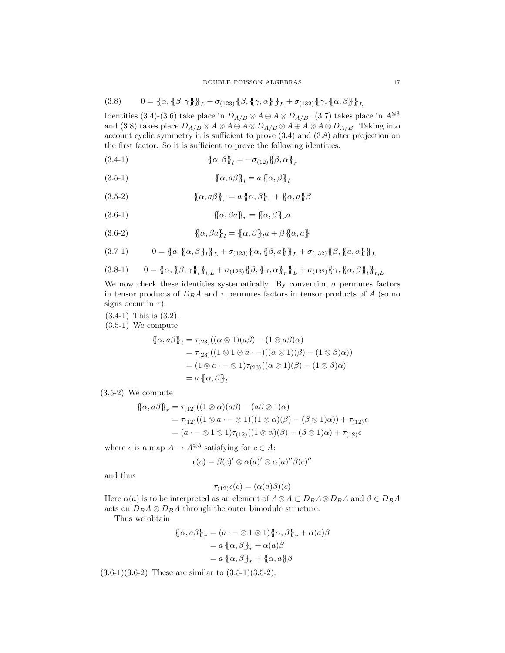$$
(3.8) \qquad 0 = {\mathopen{\{\!\!\{} a,\{\beta,\gamma\}\!\!\}\!\!\}}_L + \sigma_{(123)} {\mathopen{\{\!\!\{}\beta,\{\gamma,\alpha\}\!\!\}\!\!\}}_L + \sigma_{(132)} {\mathopen{\{\!\!\{}\gamma,\{\alpha,\beta\}\!\!\}\!\!\}}_L
$$

Identities (3.4)-(3.6) take place in  $D_{A/B}\otimes A\oplus A\otimes D_{A/B}.$  (3.7) takes place in  $A^{\otimes 3}$ and (3.8) takes place  $D_{A/B} \otimes A \otimes A \oplus A \otimes D_{A/B} \otimes A \oplus A \otimes A \otimes D_{A/B}$ . Taking into account cyclic symmetry it is sufficient to prove (3.4) and (3.8) after projection on the first factor. So it is sufficient to prove the following identities.

(3.4-1) 
$$
\{\!\{\alpha,\beta\}\!\}_l = -\sigma_{(12)}\{\!\{\beta,\alpha\}\!\}_r
$$

(3.5-1) 
$$
\{\!\!\{\alpha,a\beta\}\!\!\}_l = a \{\!\!\{\alpha,\beta\}\!\!\}_l
$$

(3.5-2) 
$$
\{\!\{\alpha, a\beta\}\!\}_r = a \{\!\{\alpha, \beta\}\!\}_r + \{\!\{\alpha, a\}\!\}\beta
$$

(3.6-1) 
$$
\{\!\!\{\alpha,\beta a\}\!\!\}_r = \{\!\!\{\alpha,\beta\}\!\!\}_r a
$$

(3.6-2) 
$$
\{\!\{\alpha,\beta a\}\!\}_l = \{\!\{\alpha,\beta\}\!\}_l a + \beta \{\!\{\alpha,a\}\!\}
$$

$$
(3.7-1) \qquad 0 = {\mathbf{a}, {\mathbf{a}, \beta}}_L^{\mathbf{a}} + \sigma_{(123)} {\mathbf{a}, {\mathbf{a}, \beta}}_L + \sigma_{(132)} {\mathbf{a}, {\mathbf{a}, \alpha}}_L^{\mathbf{a}}.
$$

$$
(3.8-1) \qquad 0 = \{\!\{\alpha, \{\!\{\beta, \gamma\}\!\}\_\ell\}_{\!\!L,L} + \sigma_{(123)}\{\!\{\beta, \{\!\{\gamma, \alpha\}\!\}\_\ell\}_{\!\!L} + \sigma_{(132)}\{\!\{\gamma, \{\!\{\alpha, \beta\}\!\}\_\ell\}_{\!\!r,L}
$$

We now check these identities systematically. By convention  $\sigma$  permutes factors in tensor products of  $D_B A$  and  $\tau$  permutes factors in tensor products of A (so no signs occur in  $\tau$ ).

(3.4-1) This is (3.2).

(3.5-1) We compute

$$
\begin{aligned} \{\!\!\{\alpha, a\beta\}\!\!\}_l &= \tau_{(23)}((\alpha \otimes 1)(a\beta) - (1 \otimes a\beta)\alpha) \\ &= \tau_{(23)}((1 \otimes 1 \otimes a \cdot -)((\alpha \otimes 1)(\beta) - (1 \otimes \beta)\alpha)) \\ &= (1 \otimes a \cdot - \otimes 1)\tau_{(23)}((\alpha \otimes 1)(\beta) - (1 \otimes \beta)\alpha) \\ &= a \,\{\!\!\{\alpha, \beta\}\!\!\}_l \end{aligned}
$$

(3.5-2) We compute

$$
\begin{aligned} \{\!\!\{\alpha, a\beta\}\!\!\}_r &= \tau_{(12)}((1 \otimes \alpha)(a\beta) - (a\beta \otimes 1)\alpha) \\ &= \tau_{(12)}((1 \otimes a \cdot - \otimes 1)((1 \otimes \alpha)(\beta) - (\beta \otimes 1)\alpha)) + \tau_{(12)}\epsilon \\ &= (a \cdot - \otimes 1 \otimes 1)\tau_{(12)}((1 \otimes \alpha)(\beta) - (\beta \otimes 1)\alpha) + \tau_{(12)}\epsilon \end{aligned}
$$

where  $\epsilon$  is a map  $A \to A^{\otimes 3}$  satisfying for  $c \in A$ :

$$
\epsilon(c) = \beta(c)'\otimes \alpha(a)'\otimes \alpha(a)''\beta(c)''
$$

and thus

$$
\tau_{(12)}\epsilon(c) = (\alpha(a)\beta)(c)
$$

Here  $\alpha(a)$  is to be interpreted as an element of  $A \otimes A \subset D_B A \otimes D_B A$  and  $\beta \in D_B A$ acts on  $D_B A \otimes D_B A$  through the outer bimodule structure.

Thus we obtain

$$
\begin{aligned} \{\!\!\{\alpha, a\beta\}\!\!\}_r &= (a \cdot - \otimes 1 \otimes 1) \{\!\!\{\alpha, \beta\}\!\!\}_r + \alpha(a)\beta \\ &= a \{\!\!\{\alpha, \beta\}\!\!\}_r + \alpha(a)\beta \\ &= a \{\!\!\{\alpha, \beta\}\!\!\}_r + \{\!\!\{\alpha, a\}\!\!\}\beta \end{aligned}
$$

 $(3.6-1)(3.6-2)$  These are similar to  $(3.5-1)(3.5-2)$ .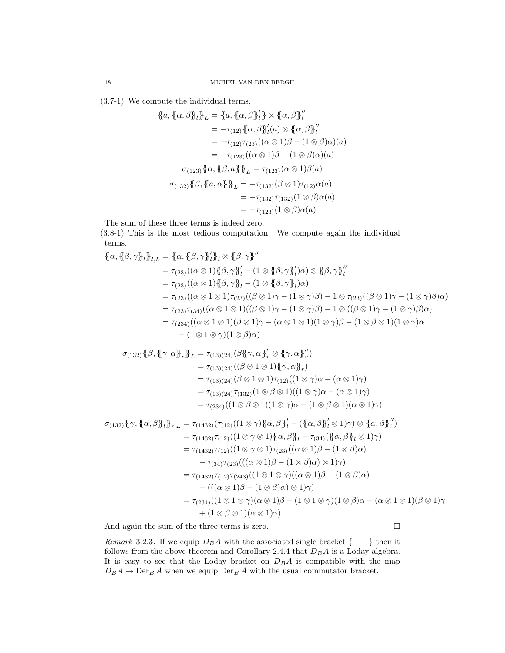(3.7-1) We compute the individual terms.

$$
\{a, \{\alpha, \beta\}\}\]_L = \{a, \{\alpha, \beta\}\}\]_L^{\mathcal{B}}
$$
\n
$$
= -\tau_{(12)}\{\{\alpha, \beta\}\}\]_L^{\mathcal{B}}
$$
\n
$$
= -\tau_{(12)}\{\{\alpha, \beta\}\}\]_L^{\mathcal{B}}
$$
\n
$$
= -\tau_{(12)}\tau_{(23)}((\alpha \otimes 1)\beta - (1 \otimes \beta)\alpha)(a)
$$
\n
$$
= -\tau_{(123)}((\alpha \otimes 1)\beta - (1 \otimes \beta)\alpha)(a)
$$
\n
$$
\sigma_{(123)}\{\{\alpha, \{\beta, a\}\}\}\]_L = \tau_{(123)}(\alpha \otimes 1)\beta(a)
$$
\n
$$
\sigma_{(132)}\{\{\beta, \{\alpha, \alpha\}\}\}\]_L = -\tau_{(132)}(\beta \otimes 1)\tau_{(12)}\alpha(a)
$$
\n
$$
= -\tau_{(132)}\tau_{(132)}(1 \otimes \beta)\alpha(a)
$$
\n
$$
= -\tau_{(123)}(1 \otimes \beta)\alpha(a)
$$

The sum of these three terms is indeed zero.

(3.8-1) This is the most tedious computation. We compute again the individual terms.

$$
\{\alpha, \{\beta, \gamma\}\}\}_{l,L} = \{\alpha, \{\beta, \gamma\}'\}_{l} = \{\alpha, \{\beta, \gamma\}'\}_{l} = \{\beta, \gamma\}''
$$
\n
$$
= \tau_{(23)}((\alpha \otimes 1)\{\beta, \gamma\}'_{l} - (1 \otimes \{\beta, \gamma\}'_{l})\alpha) \otimes \{\beta, \gamma\}''_{l}
$$
\n
$$
= \tau_{(23)}((\alpha \otimes 1)\{\beta, \gamma\}'_{l} - (1 \otimes \{\beta, \gamma\}'_{l})\alpha)
$$
\n
$$
= \tau_{(23)}((\alpha \otimes 1 \otimes 1)\tau_{(23)}((\beta \otimes 1)\gamma - (1 \otimes \gamma)\beta) - 1 \otimes \tau_{(23)}((\beta \otimes 1)\gamma - (1 \otimes \gamma)\beta)\alpha)
$$
\n
$$
= \tau_{(23)}\tau_{(34)}((\alpha \otimes 1 \otimes 1)((\beta \otimes 1)\gamma - (1 \otimes \gamma)\beta) - 1 \otimes ((\beta \otimes 1)\gamma - (1 \otimes \gamma)\beta)\alpha)
$$
\n
$$
= \tau_{(234)}((\alpha \otimes 1 \otimes 1)(\beta \otimes 1)\gamma - (\alpha \otimes 1 \otimes 1)(1 \otimes \gamma)\beta - (1 \otimes \beta \otimes 1)(1 \otimes \gamma)\alpha
$$
\n
$$
+ (1 \otimes 1 \otimes \gamma)(1 \otimes \beta)\alpha)
$$
\n
$$
\sigma_{(132)}\{\beta, \{\beta, \{\gamma, \alpha\}\}_{r}\}_{L} = \tau_{(13)(24)}(\beta\{\gamma, \alpha\}'_{r} \otimes \{\gamma, \alpha\}'_{r})
$$
\n
$$
= \tau_{(13)(24)}((\beta \otimes 1 \otimes 1)\{\gamma, \alpha\}\}_{r})
$$
\n
$$
= \tau_{(13)(24)}(\beta \otimes 1 \otimes 1)\tau_{(12)}((1 \otimes \gamma)\alpha - (\alpha \otimes 1)\gamma)
$$
\n
$$
= \tau_{(234)}((1 \otimes \beta \otimes 1)(1 \otimes \gamma)\alpha - (1 \otimes \beta \otimes 1)(\alpha \otimes 1)\gamma)
$$
\n
$$
= \tau_{(234)}((1 \otimes \beta \otimes
$$

$$
\sigma_{(132)}\{\gamma,\{\alpha,\beta\}_l\}_{r,L} = \tau_{(1432)}(\tau_{(12)}((1 \otimes \gamma)\{\alpha,\beta\}'_l - (\{\alpha,\beta\}'_l \otimes 1)\gamma) \otimes \{\alpha,\beta\}'_l)
$$
  
\n
$$
= \tau_{(1432)}\tau_{(12)}((1 \otimes \gamma \otimes 1)\{\alpha,\beta\}_l - \tau_{(34)}(\{\alpha,\beta\}_l \otimes 1)\gamma)
$$
  
\n
$$
= \tau_{(1432)}\tau_{(12)}((1 \otimes \gamma \otimes 1)\tau_{(23)}((\alpha \otimes 1)\beta - (1 \otimes \beta)\alpha)
$$
  
\n
$$
- \tau_{(34)}\tau_{(23)}(((\alpha \otimes 1)\beta - (1 \otimes \beta)\alpha) \otimes 1)\gamma)
$$
  
\n
$$
= \tau_{(1432)}\tau_{(12)}\tau_{(243)}((1 \otimes 1 \otimes \gamma)((\alpha \otimes 1)\beta - (1 \otimes \beta)\alpha)
$$
  
\n
$$
-(((\alpha \otimes 1)\beta - (1 \otimes \beta)\alpha) \otimes 1)\gamma)
$$
  
\n
$$
= \tau_{(234)}((1 \otimes 1 \otimes \gamma)(\alpha \otimes 1)\beta - (1 \otimes 1 \otimes \gamma)(1 \otimes \beta)\alpha - (\alpha \otimes 1 \otimes 1)(\beta \otimes 1)\gamma
$$
  
\n
$$
+ (1 \otimes \beta \otimes 1)(\alpha \otimes 1)\gamma)
$$

And again the sum of the three terms is zero.  $\Box$ 

*Remark* 3.2.3. If we equip  $D_B A$  with the associated single bracket  $\{-,-\}$  then it follows from the above theorem and Corollary 2.4.4 that  $D_B A$  is a Loday algebra. It is easy to see that the Loday bracket on  $D_B A$  is compatible with the map  $D_B A \to \operatorname{Der}_B A$  when we equip  $\operatorname{Der}_B A$  with the usual commutator bracket.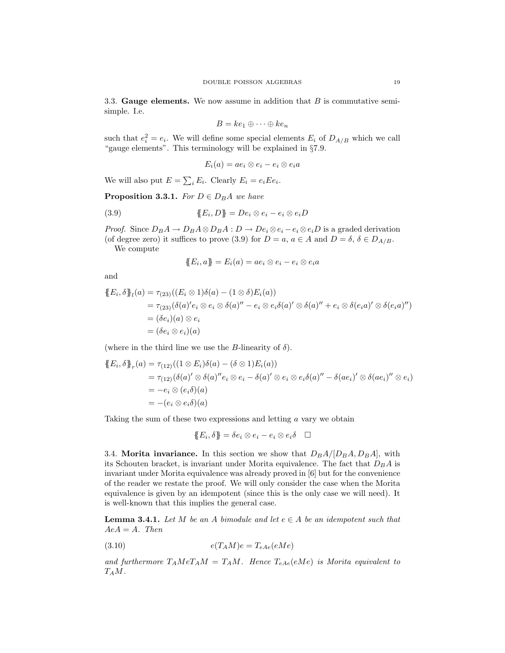3.3. Gauge elements. We now assume in addition that  $B$  is commutative semisimple. I.e.

$$
B = ke_1 \oplus \cdots \oplus ke_n
$$

such that  $e_i^2 = e_i$ . We will define some special elements  $E_i$  of  $D_{A/B}$  which we call "gauge elements". This terminology will be explained in §7.9.

$$
E_i(a) = ae_i \otimes e_i - e_i \otimes e_i a
$$

We will also put  $E = \sum_i E_i$ . Clearly  $E_i = e_i E e_i$ .

**Proposition 3.3.1.** *For*  $D \in D_B A$  *we have* 

(3.9) 
$$
\{E_i, D\} = De_i \otimes e_i - e_i \otimes e_i D
$$

*Proof.* Since  $D_B A \to D_B A \otimes D_B A : D \to De_i \otimes e_i - e_i \otimes e_i D$  is a graded derivation (of degree zero) it suffices to prove (3.9) for  $D = a$ ,  $a \in A$  and  $D = \delta$ ,  $\delta \in D_{A/B}$ .

We compute

$$
\{\!\!\{\boldsymbol{E}_i,\boldsymbol{a}\}\!\!\} = \boldsymbol{E}_i(\boldsymbol{a}) = \boldsymbol{a}\boldsymbol{e}_i \otimes \boldsymbol{e}_i - \boldsymbol{e}_i \otimes \boldsymbol{e}_i \boldsymbol{a}
$$

and

$$
\{E_i, \delta\}_l(a) = \tau_{(23)}((E_i \otimes 1)\delta(a) - (1 \otimes \delta)E_i(a))
$$
  
=  $\tau_{(23)}(\delta(a)'e_i \otimes e_i \otimes \delta(a)'' - e_i \otimes e_i\delta(a) \otimes \delta(a)'' + e_i \otimes \delta(e_i a) \otimes \delta(e_i a)')$   
=  $(\delta e_i)(a) \otimes e_i$   
=  $(\delta e_i \otimes e_i)(a)$ 

(where in the third line we use the *B*-linearity of  $\delta$ ).

$$
\{E_i, \delta\}_r(a) = \tau_{(12)}((1 \otimes E_i)\delta(a) - (\delta \otimes 1)E_i(a))
$$
  
=  $\tau_{(12)}(\delta(a)' \otimes \delta(a)''e_i \otimes e_i - \delta(a)' \otimes e_i \otimes e_i\delta(a)'' - \delta(ae_i)' \otimes \delta(ae_i)'' \otimes e_i)$   
=  $-e_i \otimes (e_i \delta)(a)$   
=  $-(e_i \otimes e_i \delta)(a)$ 

Taking the sum of these two expressions and letting a vary we obtain

$$
\{\!\!\{\boldsymbol{E}_i,\delta\}\!\!\}=\delta e_i\otimes e_i-e_i\otimes e_i\delta\quad \Box
$$

3.4. Morita invariance. In this section we show that  $D_B A / [D_B A, D_B A]$ , with its Schouten bracket, is invariant under Morita equivalence. The fact that  $D_B A$  is invariant under Morita equivalence was already proved in [6] but for the convenience of the reader we restate the proof. We will only consider the case when the Morita equivalence is given by an idempotent (since this is the only case we will need). It is well-known that this implies the general case.

**Lemma 3.4.1.** Let M be an A bimodule and let  $e \in A$  be an idempotent such that  $AeA = A$ *. Then* 

(3.10) 
$$
e(T_A M)e = T_{eAe}(eMe)
$$

and furthermore  $T_A M e T_A M = T_A M$ . Hence  $T_{eAe} (eMe)$  is Morita equivalent to TAM*.*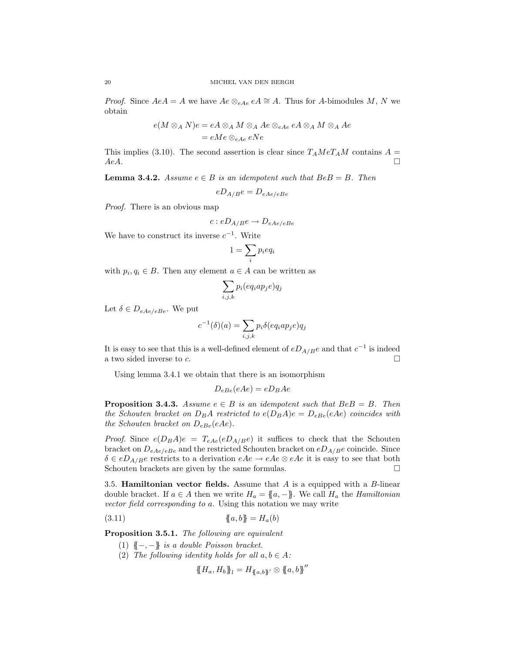*Proof.* Since  $AeA = A$  we have  $Ae \otimes_{eAe} eA \cong A$ . Thus for A-bimodules M, N we obtain

$$
e(M \otimes_A N)e = eA \otimes_A M \otimes_A Ae \otimes_{eAe} eA \otimes_A M \otimes_A Ae
$$
  
= eMe \otimes\_{eAe} eNe

This implies (3.10). The second assertion is clear since  $T_A M e T_A M$  contains  $A =$  $AeA.$ 

**Lemma 3.4.2.** *Assume*  $e \in B$  *is an idempotent such that*  $BeB = B$ *. Then* 

$$
eD_{A/B}e = D_{eAe/eBe}
$$

*Proof.* There is an obvious map

$$
c: eD_{A/B}e \to D_{eAe/eBe}
$$

We have to construct its inverse  $c^{-1}$ . Write

$$
1 = \sum_{i} p_i e q_i
$$

with  $p_i, q_i \in B$ . Then any element  $a \in A$  can be written as

$$
\sum_{i,j,k} p_i (eq_i ap_j e) q_j
$$

Let  $\delta \in D_{eAe/eBe}$ . We put

$$
c^{-1}(\delta)(a) = \sum_{i,j,k} p_i \delta(eq_iap_je)q_j
$$

It is easy to see that this is a well-defined element of  $eD_{A/B}e$  and that  $c^{-1}$  is indeed a two sided inverse to  $c$ .

Using lemma 3.4.1 we obtain that there is an isomorphism

$$
D_{eBe}(eAe) = eD_BAe
$$

**Proposition 3.4.3.** Assume  $e \in B$  is an idempotent such that  $BeB = B$ . Then *the Schouten bracket on*  $D_B A$  *restricted to*  $e(D_B A)e = D_{eBe}(eAe)$  *coincides with the Schouten bracket on*  $D_{eBe}(eAe)$ *.* 

*Proof.* Since  $e(D_B A)e = T_{eAe}(eD_{A/B}e)$  it suffices to check that the Schouten bracket on  $D_{eAe/eBe}$  and the restricted Schouten bracket on  $eD_{A/Be}$  coincide. Since  $\delta \in eD_{A/B}e$  restricts to a derivation  $eAe \to eAe \otimes eAe$  it is easy to see that both Schouten brackets are given by the same formulas. Schouten brackets are given by the same formulas.

3.5. **Hamiltonian vector fields.** Assume that  $A$  is a equipped with a  $B$ -linear double bracket. If  $a \in A$  then we write  $H_a = \{a, -\}$ . We call  $H_a$  the *Hamiltonian vector field corresponding to* a. Using this notation we may write

(3.11) 
$$
\{a, b\} = H_a(b)
$$

Proposition 3.5.1. *The following are equivalent*

- (1) {{−, −}} *is a double Poisson bracket.*
- (2) *The following identity holds for all*  $a, b \in A$ *:*

$$
\{\!\!\{H_a, H_b\}\!\!\}_l = H_{\{\!\!\{a,b\}\!\!\}}\!\!\!'\otimes \{\!\!\{a,b\}\!\!\}''
$$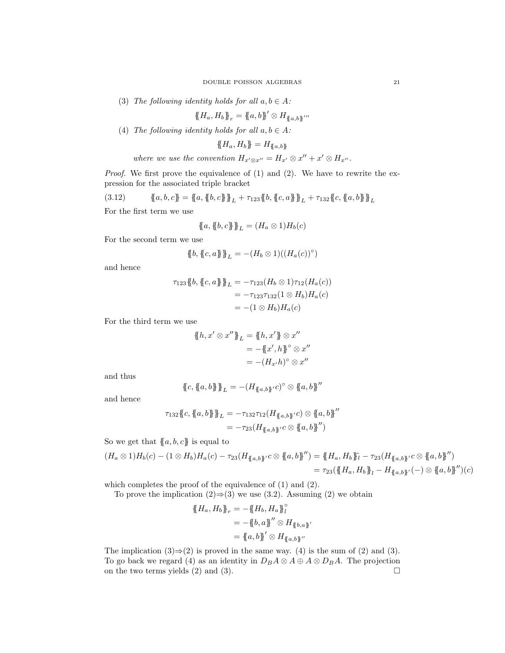(3) *The following identity holds for all*  $a, b \in A$ *:* 

$$
\{\!\!\{ H_a, H_b \}\!\!\}_r = \{\!\!\{ a, b \}\!\!\}^\prime \otimes H_{\{\!\!\{ a, b \}\!\!\}}^{\prime \prime \prime}
$$

(4) *The following identity holds for all*  $a, b \in A$ *:* 

$$
\{\!\!\{H_a, H_b\}\!\!\} = H_{\{\!\!\{a,b\}\!\!\}}
$$

*where we use the convention*  $H_{x' \otimes x''} = H_{x'} \otimes x'' + x' \otimes H_{x''}$ *.* 

*Proof.* We first prove the equivalence of (1) and (2). We have to rewrite the expression for the associated triple bracket

$$
(3.12) \qquad \{a, b, c\} = \{a, \{b, c\}\}_L + \tau_{123} \{b, \{c, a\}\}_L + \tau_{132} \{c, \{a, b\}\}_L
$$

For the first term we use

$$
\{\!\!\{a,\{\!\!\{b,c\}\!\!\}\}_{L}=(H_a\otimes 1)H_b(c)
$$

For the second term we use

$$
\{\mskip-5mu\{ b, \{\mskip-5mu\{ c, a \}\mskip-5mu\}\mskip-5mu\}_{L} = -(H_b \otimes 1)((H_a(c))^\circ)
$$

and hence

$$
\tau_{123}\{\!\!\{b,\{c,a\}\}\!\!\}_{L} = -\tau_{123}(H_b \otimes 1)\tau_{12}(H_a(c))
$$
  

$$
= -\tau_{123}\tau_{132}(1 \otimes H_b)H_a(c)
$$
  

$$
= -(1 \otimes H_b)H_a(c)
$$

For the third term we use

$$
\begin{aligned} \{\!\!\{\boldsymbol{h}, \boldsymbol{x}' \otimes \boldsymbol{x}''\}\!\!\}_{L} &= \{\!\!\{\boldsymbol{h}, \boldsymbol{x}'\}\!\!\}\otimes \boldsymbol{x}'' \\ &= -\{\!\!\{\boldsymbol{x}', \boldsymbol{h}\}\!\!\}^{\circ} \otimes \boldsymbol{x}'' \\ &= -(\boldsymbol{H}_{\boldsymbol{x}'}\boldsymbol{h})^{\circ} \otimes \boldsymbol{x}'' \end{aligned}
$$

and thus

$$
\mathopen{\{\!\!\{} c,\mathopen{\{\!\!\{} a,b\mathclose{\}\!\!\!\}\mathclose{\}\!\!\}}_L = -(H_{\mathopen{\{\!\!\{}\ a,b\mathclose{\}\!\!\}}^{\prime}c)^{\circ}\otimes \mathopen{\{\!\!\{}\ a,b\mathclose{\}\!\!\}}^{\prime\prime}
$$

and hence

$$
\tau_{132}\{\!\!\{c,\{a,b\}\}\!\!\}_{L} = -\tau_{132}\tau_{12}(H_{\{a,b\}'}c) \otimes \{a,b\}''
$$

$$
= -\tau_{23}(H_{\{a,b\}'}c \otimes \{a,b\}'')
$$

So we get that  ${a, b, c}$  is equal to

$$
(H_a \otimes 1)H_b(c) - (1 \otimes H_b)H_a(c) - \tau_{23}(H_{\{\!\!\{\,a,b\!\!\}\,'}c \otimes \{\!\!\{\,a,b\!\!\}\,''\}) = \{\!\!\{\,H_a, H_b\}\!\!\} \tilde{l} - \tau_{23}(H_{\{\!\!\{\,a,b\!\!\}\,'}c \otimes \{\!\!\{\,a,b\}\,''\})
$$
  

$$
= \tau_{23}(\{\!\!\{\,H_a, H_b\}\!\!\}_{l} - H_{\{\!\!\{\,a,b\}\!}\prime}c(-) \otimes \{\!\!\{\,a,b\}\,''\})
$$

which completes the proof of the equivalence of (1) and (2).

To prove the implication  $(2) \Rightarrow (3)$  we use  $(3.2)$ . Assuming  $(2)$  we obtain

$$
\{H_a, H_b\}_{r} = -\{H_b, H_a\}_{l}^{\circ}
$$
  
= -\{b, a\}'' \otimes H\_{\{b, a\}'}  
= -\{a, b\}' \otimes H\_{\{a, b\}''}

The implication  $(3) \Rightarrow (2)$  is proved in the same way.  $(4)$  is the sum of  $(2)$  and  $(3)$ . To go back we regard (4) as an identity in  $D_B A \otimes A \oplus A \otimes D_B A$ . The projection on the two terms yields (2) and (3). on the two terms yields (2) and (3).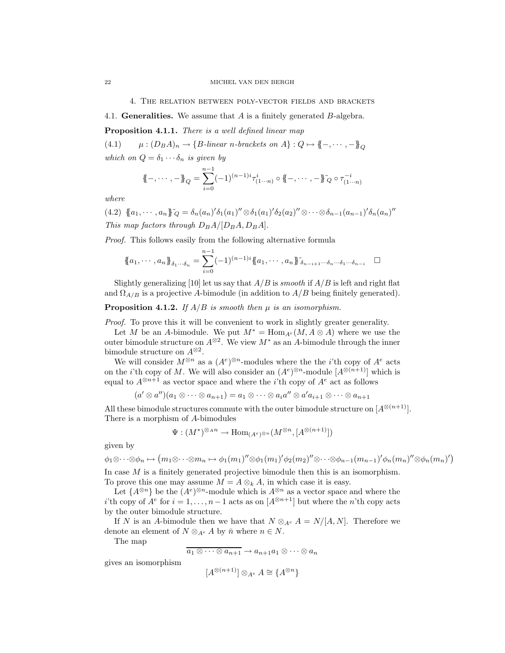4. The relation between poly-vector fields and brackets

4.1. **Generalities.** We assume that  $A$  is a finitely generated  $B$ -algebra.

Proposition 4.1.1. *There is a well defined linear map*

(4.1)  $\mu: (D_B A)_n \to \{B\text{-linear } n\text{-brackets on } A\}: Q \mapsto \{-,\cdots,-\}_O$ *which on*  $Q = \delta_1 \cdots \delta_n$  *is given by* 

$$
\{\!\!\{-,\cdots,-\}\!\!\}_Q = \sum_{i=0}^{n-1} (-1)^{(n-1)i} \tau^i_{(1\cdots n)} \circ \{\!\!\{-,\cdots,-\}\!\!\}_Q \circ \tau^{-i}_{(1\cdots n)}
$$

*where*

 $(4.2) \ \{a_1, \cdots, a_n\}^{\sim} \sim \delta_n(a_n)'\delta_1(a_1)'' \otimes \delta_1(a_1)'\delta_2(a_2)'' \otimes \cdots \otimes \delta_{n-1}(a_{n-1})'\delta_n(a_n)''$ *This map factors through*  $D_B A / [D_B A, D_B A]$ .

*Proof.* This follows easily from the following alternative formula

$$
\{\!\!\{\,a_1,\cdots,a_n\,\!\}\!\}_{\delta_1\cdots\delta_n}=\sum_{i=0}^{n-1}(-1)^{(n-1)i}\{\!\!\{\,a_1,\cdots,a_n\,\!\}\!\}^{\,\,\gamma}_{\delta_{n-i+1}\cdots\delta_n\cdots\delta_1\cdots\delta_{n-i}}\quad\Box
$$

Slightly generalizing [10] let us say that  $A/B$  is *smooth* if  $A/B$  is left and right flat and  $\Omega_{A/B}$  is a projective A-bimodule (in addition to  $A/B$  being finitely generated).

**Proposition 4.1.2.** *If*  $A/B$  *is smooth then*  $\mu$  *is an isomorphism.* 

*Proof.* To prove this it will be convenient to work in slightly greater generality.

Let M be an A-bimodule. We put  $M^* = \text{Hom}_{A^e}(M, A \otimes A)$  where we use the outer bimodule structure on  $A^{\otimes 2}$ . We view  $M^*$  as an A-bimodule through the inner bimodule structure on  $A^{\otimes 2}$ .

We will consider  $M^{\otimes n}$  as a  $(A^e)^{\otimes n}$ -modules where the the *i*'th copy of  $A^e$  acts on the *i*'th copy of M. We will also consider an  $(A^e)^{\otimes n}$ -module  $[A^{\otimes (n+1)}]$  which is equal to  $A^{\otimes n+1}$  as vector space and where the *i*'th copy of  $A^e$  act as follows

$$
(a' \otimes a'')(a_1 \otimes \cdots \otimes a_{n+1}) = a_1 \otimes \cdots \otimes a_i a'' \otimes a' a_{i+1} \otimes \cdots \otimes a_{n+1}
$$

All these bimodule structures commute with the outer bimodule structure on  $[A^{\otimes (n+1)}]$ . There is a morphism of A-bimodules

$$
\Psi: (M^*)^{\otimes_A n} \to \text{Hom}_{(A^e)^{\otimes n}}(M^{\otimes n}, [A^{\otimes (n+1)}])
$$

given by

$$
\phi_1 \otimes \cdots \otimes \phi_n \mapsto (m_1 \otimes \cdots \otimes m_n \mapsto \phi_1(m_1)'' \otimes \phi_1(m_1)'\phi_2(m_2)'' \otimes \cdots \otimes \phi_{n-1}(m_{n-1})'\phi_n(m_n)'' \otimes \phi_n(m_n)')
$$

In case  $M$  is a finitely generated projective bimodule then this is an isomorphism. To prove this one may assume  $M = A \otimes_k A$ , in which case it is easy.

Let  $\{A^{\otimes n}\}\$  be the  $(A^e)^{\otimes n}$ -module which is  $A^{\otimes n}$  as a vector space and where the i'th copy of  $A^e$  for  $i = 1, ..., n-1$  acts as on  $[A^{\otimes n+1}]$  but where the *n*'th copy acts by the outer bimodule structure.

If N is an A-bimodule then we have that  $N \otimes_{A^e} A = N/[A, N]$ . Therefore we denote an element of  $N \otimes_{A^e} A$  by  $\bar{n}$  where  $n \in N$ .

The map

$$
a_1 \otimes \cdots \otimes a_{n+1} \to a_{n+1}a_1 \otimes \cdots \otimes a_n
$$

gives an isomorphism

$$
[A^{\otimes (n+1)}] \otimes_{A^e} A \cong \{A^{\otimes n}\}\
$$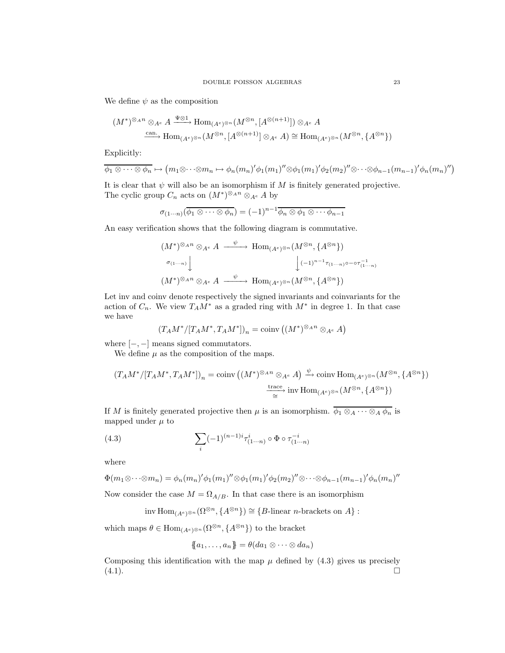We define  $\psi$  as the composition

$$
(M^*)^{\otimes_A n} \otimes_{A^e} A \xrightarrow{\Psi \otimes 1} \text{Hom}_{(A^e)^{\otimes n}}(M^{\otimes n}, [A^{\otimes (n+1)}]) \otimes_{A^e} A
$$
  

$$
\xrightarrow{\text{can.}} \text{Hom}_{(A^e)^{\otimes n}}(M^{\otimes n}, [A^{\otimes (n+1)}] \otimes_{A^e} A) \cong \text{Hom}_{(A^e)^{\otimes n}}(M^{\otimes n}, \{A^{\otimes n}\})
$$

Explicitly:

$$
\overline{\phi_1 \otimes \cdots \otimes \phi_n} \mapsto (m_1 \otimes \cdots \otimes m_n \mapsto \phi_n(m_n) \phi_1(m_1) \otimes \phi_1(m_1) \phi_2(m_2) \otimes \cdots \otimes \phi_{n-1}(m_{n-1}) \phi_n(m_n)')
$$

It is clear that  $\psi$  will also be an isomorphism if M is finitely generated projective. The cyclic group  $C_n$  acts on  $(M^*)^{\otimes_A n} \otimes_{A^e} A$  by

$$
\sigma_{(1\cdots n)}(\overline{\phi_1\otimes\cdots\otimes\phi_n}) = (-1)^{n-1}\overline{\phi_n\otimes\phi_1\otimes\cdots\phi_{n-1}}
$$

An easy verification shows that the following diagram is commutative.

$$
(M^*)^{\otimes_A n} \otimes_{A^e} A \xrightarrow{\psi} \text{Hom}_{(A^e)^{\otimes n}}(M^{\otimes n}, \{A^{\otimes n}\})
$$

$$
\downarrow \qquad \qquad \downarrow \qquad \qquad \downarrow \qquad \qquad \downarrow \qquad \qquad \downarrow \qquad \qquad \downarrow \qquad \qquad \downarrow \qquad \qquad \downarrow \qquad \qquad \downarrow \qquad \qquad \downarrow \qquad \qquad \downarrow \qquad \qquad \downarrow \qquad \qquad \downarrow \qquad \qquad \downarrow \qquad \qquad \downarrow \qquad \qquad \downarrow \qquad \qquad \downarrow \qquad \qquad \downarrow \qquad \qquad \downarrow \qquad \qquad \downarrow \qquad \qquad \downarrow \qquad \qquad \downarrow \qquad \qquad \downarrow \qquad \qquad \downarrow \qquad \qquad \downarrow \qquad \qquad \downarrow \qquad \qquad \downarrow \qquad \qquad \downarrow \qquad \qquad \downarrow \qquad \qquad \downarrow \qquad \qquad \downarrow \qquad \qquad \downarrow \qquad \qquad \downarrow \qquad \qquad \downarrow \qquad \qquad \downarrow \qquad \qquad \downarrow \qquad \qquad \downarrow \qquad \qquad \downarrow \qquad \qquad \downarrow \qquad \qquad \downarrow \qquad \qquad \downarrow \qquad \qquad \downarrow \qquad \qquad \downarrow \qquad \qquad \downarrow \qquad \qquad \downarrow \qquad \qquad \downarrow \qquad \qquad \downarrow \qquad \qquad \downarrow \qquad \qquad \downarrow \qquad \qquad \downarrow \qquad \qquad \downarrow \qquad \qquad \downarrow \qquad \qquad \downarrow \qquad \qquad \downarrow \qquad \qquad \downarrow \qquad \qquad \downarrow \qquad \qquad \downarrow \qquad \qquad \downarrow \qquad \qquad \downarrow \qquad \qquad \downarrow \qquad \qquad \downarrow \qquad \qquad \downarrow \qquad \qquad \downarrow \qquad \qquad \downarrow \qquad \qquad \downarrow \qquad \qquad \downarrow \qquad \qquad \downarrow \qquad \qquad \downarrow \qquad \qquad \downarrow \qquad \qquad \downarrow \qquad \qquad \downarrow \qquad \qquad \downarrow \qquad \qquad \downarrow \qquad \qquad \downarrow \qquad \qquad \downarrow \qquad \qquad \downarrow \qquad \qquad \downarrow \qquad \qquad \
$$

Let inv and coinv denote respectively the signed invariants and coinvariants for the action of  $C_n$ . We view  $T_A M^*$  as a graded ring with  $M^*$  in degree 1. In that case we have

$$
(T_A M^* / [T_A M^*, T_A M^*])_n = \operatorname{coinv} \left( (M^*)^{\otimes_A n} \otimes_{A^e} A \right)
$$

where  $\left[-,-\right]$  means signed commutators.

We define  $\mu$  as the composition of the maps.

$$
(T_A M^*/[T_A M^*, T_A M^*])_n = \text{coinv } \left( (M^*)^{\otimes_A n} \otimes_{A^e} A \right) \xrightarrow{\psi} \text{coinv Hom}_{(A^e)^{\otimes n}} (M^{\otimes n}, \{A^{\otimes n}\})
$$
  

$$
\xrightarrow{\text{trace}} \text{inv Hom}_{(A^e)^{\otimes n}} (M^{\otimes n}, \{A^{\otimes n}\})
$$

If M is finitely generated projective then  $\mu$  is an isomorphism.  $\overline{\phi_1 \otimes_A \cdots \otimes_A \phi_n}$  is mapped under  $\mu$  to

(4.3) 
$$
\sum_{i} (-1)^{(n-1)i} \tau_{(1...n)}^{i} \circ \Phi \circ \tau_{(1...n)}^{-i}
$$

where

$$
\Phi(m_1 \otimes \cdots \otimes m_n) = \phi_n(m_n) \phi_1(m_1) \otimes \phi_1(m_1) \phi_2(m_2) \otimes \cdots \otimes \phi_{n-1}(m_{n-1}) \phi_n(m_n)
$$

Now consider the case  $M = \Omega_{A/B}$ . In that case there is an isomorphism

inv  $\text{Hom}_{(A^e)^{\otimes n}}(\Omega^{\otimes n}, \{A^{\otimes n}\}) \cong \{B\text{-linear }n\text{-brackets on }A\}$ :

which maps  $\theta \in \text{Hom}_{(A^e)^{\otimes n}}(\Omega^{\otimes n}, \{A^{\otimes n}\})$  to the bracket

$$
\{\!\!\{a_1,\ldots,a_n\}\!\!\}=\theta(da_1\otimes\cdots\otimes da_n)
$$

Composing this identification with the map  $\mu$  defined by (4.3) gives us precisely (4.1).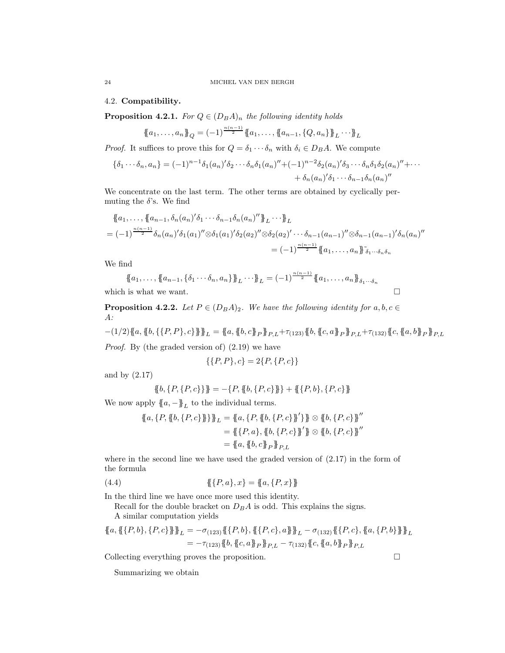4.2. Compatibility.

**Proposition 4.2.1.** *For*  $Q \in (D_B A)_n$  *the following identity holds* 

$$
\{a_1, \ldots, a_n\}_Q = (-1)^{\frac{n(n-1)}{2}} \{a_1, \ldots, \{a_{n-1}, \{Q, a_n\}\}_L \cdots \}_L
$$

*Proof.* It suffices to prove this for  $Q = \delta_1 \cdots \delta_n$  with  $\delta_i \in D_B A$ . We compute

$$
\{\delta_1 \cdots \delta_n, a_n\} = (-1)^{n-1} \delta_1(a_n) \delta_2 \cdots \delta_n \delta_1(a_n)'' + (-1)^{n-2} \delta_2(a_n) \delta_3 \cdots \delta_n \delta_1 \delta_2(a_n)'' + \cdots + \delta_n(a_n) \delta_1 \cdots \delta_{n-1} \delta_n(a_n)''
$$

We concentrate on the last term. The other terms are obtained by cyclically permuting the  $\delta$ 's. We find

$$
\begin{aligned}\n\{\!\!\{a_1,\ldots,\{a_{n-1},\delta_n(a_n)'\delta_1\cdots\delta_{n-1}\delta_n(a_n)''\}\!\!\}_{L} \cdots \!\!\}_{L} \\
&= (-1)^{\frac{n(n-1)}{2}} \delta_n(a_n)'\delta_1(a_1)'' \otimes \delta_1(a_1)'\delta_2(a_2)'' \otimes \delta_2(a_2)'\cdots \delta_{n-1}(a_{n-1})'' \otimes \delta_{n-1}(a_{n-1})'\delta_n(a_n)'' \\
&= (-1)^{\frac{n(n-1)}{2}} \{\!\!\{a_1,\ldots,a_n\}\!\!\}_{\delta_1\cdots\delta_n\delta_n}\n\end{aligned}
$$

We find

 $\{a_1, \ldots, \{a_{n-1}, \{\delta_1 \cdots \delta_n, a_n\}\}\}\L} \cdots \}$ <sub>L</sub> =  $(-1)^{\frac{n(n-1)}{2}} \{a_1, \ldots, a_n\}\}_{\delta_1 \cdots \delta_n}$ which is what we want.  $\Box$ 

**Proposition 4.2.2.** *Let*  $P \in (D_B A)_2$ *. We have the following identity for*  $a, b, c \in$ A*:*

$$
-(1/2)\{\!\!\{a,\{b,\{\{P,P\},c\}\}\!\!\}\}_L=\{\!\!\{a,\{b,c\}\!\!\}_{P}\}\!\!\}_{P,L}+\tau_{(123)}\{\!\!\{b,\{c,a\}\!\!\}_{P}\}\!\!\}_{P,L}+\tau_{(132)}\{\!\!\{c,\{a,b\}\!\!\}_{P}\}\!\!\}_{P,L}
$$

*Proof.* By (the graded version of) (2.19) we have

$$
\{\{P,P\},c\}=2\{P,\{P,c\}\}
$$

and by (2.17)

$$
\{\!\!\{\,b,\,\{P,\{P,c\}\,\}\!\!\}\ = -\{P,\{\!\!\{b,\,\{P,c\}\}\!\}\ + \{\!\!\{ \{P,b\},\{P,c\}\}\!\!\}
$$

We now apply  ${a, -}_{L}$  to the individual terms.

$$
\{a, \{P, \{b, \{P, c\}\}\}\}\_L = \{a, \{P, \{b, \{P, c\}\}\}\}\_B \otimes \{b, \{P, c\}\}''
$$

$$
= \{\{P, a\}, \{b, \{P, c\}\}\}\_B \otimes \{b, \{P, c\}\}''
$$

$$
= \{a, \{b, c\}\}_P\_P,L
$$

where in the second line we have used the graded version of  $(2.17)$  in the form of the formula

(4.4) 
$$
\{\{P,a\},x\} = \{a,\{P,x\}\}\
$$

In the third line we have once more used this identity.

Recall for the double bracket on  $D_B A$  is odd. This explains the signs. A similar computation yields

$$
\{a, \{\{P, b\}, \{P, c\}\}\}\_L = -\sigma_{(123)}\{\{P, b\}, \{\{P, c\}, a\}\}\_L - \sigma_{(132)}\{\{P, c\}, \{a, \{P, b\}\}\}\_L
$$
  

$$
= -\tau_{(123)}\{b, \{c, a\}\}_P\}_{P,L} - \tau_{(132)}\{c, \{a, b\}\}_P\}_{P,L}
$$

Collecting everything proves the proposition.

Summarizing we obtain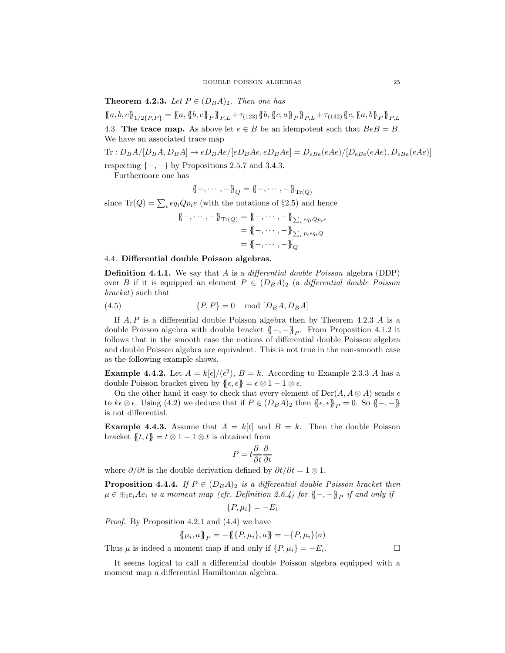**Theorem 4.2.3.** *Let*  $P \in (D_B A)_2$ *. Then one has* 

 ${a, b, c}_{1/2{P, P}} = {a, {b, c}_{P}}_{P}$   ${b, c}_{P}$   ${b}_{P,L}$  +  $\tau_{(123)} {b, {c, a}_{P}}_{P,L}$  +  $\tau_{(132)} {c, {a, b}_{P}}_{P,L}$ 4.3. The trace map. As above let  $e \in B$  be an idempotent such that  $BeB = B$ . We have an associated trace map

 $\text{Tr}: D_B A/[D_B A, D_B A] \rightarrow e D_B A e/[e D_B A e, e D_B A e] = D_{eBe}(eAe)/[D_{eBe}(eAe), D_{eBe}(eAe)]$ respecting  $\{-,-\}$  by Propositions 2.5.7 and 3.4.3.

Furthermore one has

$$
\{\!\!\{-,\cdots,-\}\!\!\}_Q=\{\!\!\{-,\cdots,-\}\!\!\}_{\mathrm{Tr}(Q)}
$$

since  $\text{Tr}(Q) = \sum_i e q_i Q p_i e$  (with the notations of §2.5) and hence

$$
\begin{aligned} \{\!\{-,\cdots,-\}\!\}_{\mathrm{Tr}(Q)} &= \{\!\{-,\cdots,-\}\!\}_{\sum_i eq_i Q_{p_i e} \\ &= \{\!\{-,\cdots,-\}\!\}_{\sum_i p_i eq_i Q} \\ &= \{\!\{-,\cdots,-\}\!\}_{Q} \end{aligned}
$$

# 4.4. Differential double Poisson algebras.

Definition 4.4.1. We say that A is a *differential double Poisson* algebra (DDP) over B if it is equipped an element  $P \in (D_B A)_2$  (a *differential double Poisson bracket*) such that

$$
(4.5) \t\t\t{P,P} = 0 \mod [D_B A, D_B A]
$$

If  $A, P$  is a differential double Poisson algebra then by Theorem 4.2.3  $A$  is a double Poisson algebra with double bracket  $\{-, -\}$ <sub>P</sub>. From Proposition 4.1.2 it follows that in the smooth case the notions of differential double Poisson algebra and double Poisson algebra are equivalent. This is not true in the non-smooth case as the following example shows.

**Example 4.4.2.** Let  $A = k[\epsilon]/(\epsilon^2)$ ,  $B = k$ . According to Example 2.3.3 A has a double Poisson bracket given by  $\{\epsilon, \epsilon\} = \epsilon \otimes 1 - 1 \otimes \epsilon$ .

On the other hand it easy to check that every element of  $Der(A, A \otimes A)$  sends  $\epsilon$ to  $k\epsilon \otimes \epsilon$ . Using (4.2) we deduce that if  $P \in (D_B A)_2$  then  $\{\!\!\{\epsilon,\epsilon\}\!\!\}_P = 0$ . So  $\{\!\!\{-,- \}\!\!\}$ is not differential.

**Example 4.4.3.** Assume that  $A = k[t]$  and  $B = k$ . Then the double Poisson bracket  ${t, t} = t \otimes 1 - 1 \otimes t$  is obtained from

$$
P = t \frac{\partial}{\partial t} \frac{\partial}{\partial t}
$$

where  $\partial/\partial t$  is the double derivation defined by  $\partial t/\partial t = 1 \otimes 1$ .

**Proposition 4.4.4.** *If*  $P \in (D_B A)_2$  *is a differential double Poisson bracket then*  $\mu \in \bigoplus_i e_iAe_i$  *is a moment map (cfr. Definition 2.6.4)* for  $\{-,-\}$ <sub>P</sub> *if and only if* 

$$
\{P, \mu_i\} = -E_i
$$

*Proof.* By Proposition 4.2.1 and (4.4) we have

$$
\{\!\{\mu_i, a\}\!\}_P = -\{\!\{\{P, \mu_i\}, a\}\!\} = -\{P, \mu_i\}(a)
$$

Thus  $\mu$  is indeed a moment map if and only if  $\{P, \mu_i\} = -E_i$ . . — Профессор — Профессор — Профессор — Профессор — Профессор — Профессор — Профессор — Профессор — Профессор <br>В профессор — Профессор — Профессор — Профессор — Профессор — Профессор — Профессор — Профессор — Профессор —<br>

It seems logical to call a differential double Poisson algebra equipped with a moment map a differential Hamiltonian algebra.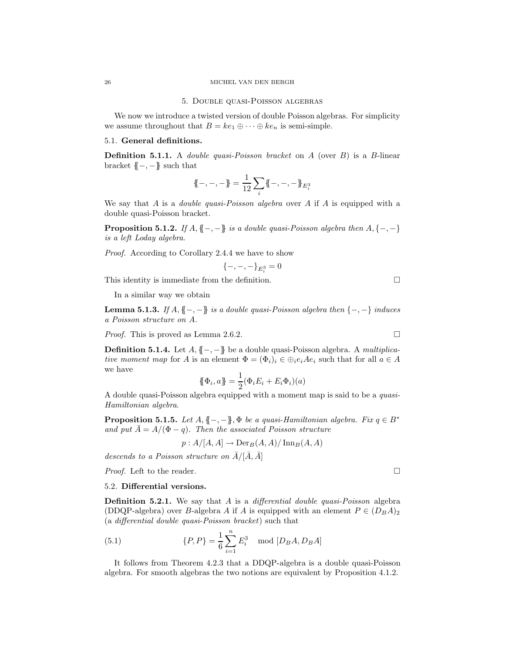# 26 MICHEL VAN DEN BERGH

#### 5. Double quasi-Poisson algebras

We now we introduce a twisted version of double Poisson algebras. For simplicity we assume throughout that  $B = ke_1 \oplus \cdots \oplus ke_n$  is semi-simple.

# 5.1. General definitions.

Definition 5.1.1. A *double quasi-Poisson bracket* on A (over B) is a B-linear bracket  $\{-,-\}$  such that

$$
\{\!\!\{-,-,-\}\!\!\}=\frac{1}{12}\sum_i\{\!\!\{-,-,-\}\!\!\}_{E_i^3}
$$

We say that A is a *double quasi-Poisson algebra* over A if A is equipped with a double quasi-Poisson bracket.

**Proposition 5.1.2.** *If*  $A, \{-,-\}$  *is a double quasi-Poisson algebra then*  $A, \{-,-\}$ *is a left Loday algebra.*

*Proof.* According to Corollary 2.4.4 we have to show

$$
\{-,-,-\}_{E_i^3}=0
$$

This identity is immediate from the definition.  $\Box$ 

In a similar way we obtain

**Lemma 5.1.3.** *If*  $A, \{$ | −, − $\}$  *is a double quasi-Poisson algebra then* {−,−} *induces a Poisson structure on* A*.*

*Proof.* This is proved as Lemma 2.6.2. □

Definition 5.1.4. Let A, {{−, −}} be a double quasi-Poisson algebra. A *multiplicative moment map* for A is an element  $\Phi = (\Phi_i)_i \in \bigoplus_i e_i A e_i$  such that for all  $a \in A$ we have

$$
\{\!\!\{\Phi_i, a\}\!\!\} = \frac{1}{2} (\Phi_i E_i + E_i \Phi_i)(a)
$$

A double quasi-Poisson algebra equipped with a moment map is said to be a *quasi-Hamiltonian algebra*.

**Proposition 5.1.5.** *Let*  $A, \{-, -\}$ ,  $\Phi$  *be a quasi-Hamiltonian algebra. Fix*  $q \in B^*$ *and put*  $\overline{A} = A/(\Phi - q)$ *. Then the associated Poisson structure* 

$$
p: A/[A, A] \to \text{Der}_B(A, A)/\text{Inn}_B(A, A)
$$

 $descends\ to\ a\ Poisson\ structure\ on\ \bar{A}/[\bar{A},\bar{A}]$ 

*Proof.* Left to the reader. □

### 5.2. Differential versions.

Definition 5.2.1. We say that A is a *differential double quasi-Poisson* algebra (DDQP-algebra) over B-algebra A if A is equipped with an element  $P \in (D_B A)_2$ (a *differential double quasi-Poisson bracket*) such that

(5.1) 
$$
\{P, P\} = \frac{1}{6} \sum_{i=1}^{n} E_i^3 \mod [D_B A, D_B A]
$$

It follows from Theorem 4.2.3 that a DDQP-algebra is a double quasi-Poisson algebra. For smooth algebras the two notions are equivalent by Proposition 4.1.2.

$$
\sqcup
$$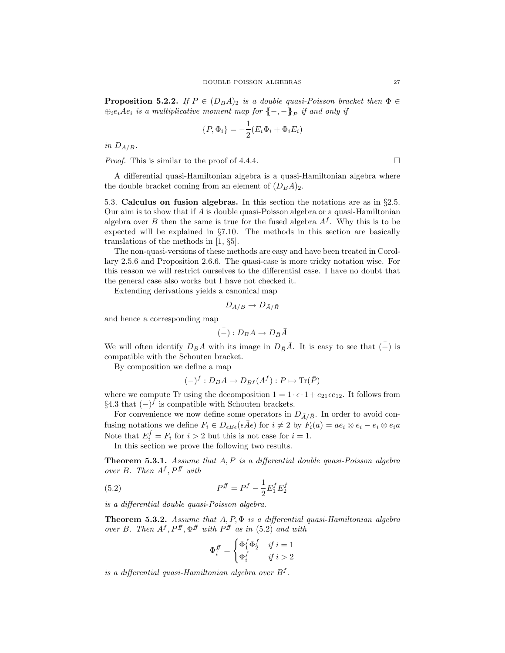**Proposition 5.2.2.** *If*  $P \in (D_B A)_2$  *is a double quasi-Poisson bracket then*  $\Phi \in$  $\oplus_i e_iAe_i$  *is a multiplicative moment map for*  $\{-,-\}$ <sub>P</sub> *if and only if* 

$$
\{P, \Phi_i\} = -\frac{1}{2}(E_i\Phi_i + \Phi_i E_i)
$$

*in*  $D_{A/B}$ .

*Proof.* This is similar to the proof of 4.4.4.

A differential quasi-Hamiltonian algebra is a quasi-Hamiltonian algebra where the double bracket coming from an element of  $(D_B A)_2$ .

5.3. Calculus on fusion algebras. In this section the notations are as in  $\S 2.5$ . Our aim is to show that if  $A$  is double quasi-Poisson algebra or a quasi-Hamiltonian algebra over B then the same is true for the fused algebra  $A<sup>f</sup>$ . Why this is to be expected will be explained in §7.10. The methods in this section are basically translations of the methods in [1, §5].

The non-quasi-versions of these methods are easy and have been treated in Corollary 2.5.6 and Proposition 2.6.6. The quasi-case is more tricky notation wise. For this reason we will restrict ourselves to the differential case. I have no doubt that the general case also works but I have not checked it.

Extending derivations yields a canonical map

$$
D_{A/B}\to D_{\bar{A}/\bar{B}}
$$

and hence a corresponding map

$$
(-): D_B A \to D_{\bar{B}} \bar{A}
$$

We will often identify  $D_B A$  with its image in  $D_{\bar{B}} \bar{A}$ . It is easy to see that  $\bar{(-)}$  is compatible with the Schouten bracket.

By composition we define a map

$$
(-)^f: D_B A \to D_{B^f}(A^f): P \mapsto \text{Tr}(\bar{P})
$$

where we compute Tr using the decomposition  $1 = 1 \cdot \epsilon \cdot 1 + e_{21} \epsilon e_{12}$ . It follows from §4.3 that  $(-)$ <sup>f</sup> is compatible with Schouten brackets.

For convenience we now define some operators in  $D_{\bar{A}/\bar{B}}$ . In order to avoid confusing notations we define  $F_i \in D_{\epsilon B \epsilon}(\epsilon \bar{A} \epsilon)$  for  $i \neq 2$  by  $F_i(a) = ae_i \otimes e_i - e_i \otimes e_i a$ Note that  $E_i^f = F_i$  for  $i > 2$  but this is not case for  $i = 1$ .

In this section we prove the following two results.

Theorem 5.3.1. *Assume that* A, P *is a differential double quasi-Poisson algebra over* B. Then  $A^f$ ,  $P^f$  *with* 

(5.2) 
$$
P^{ff} = P^f - \frac{1}{2} E_1^f E_2^f
$$

*is a differential double quasi-Poisson algebra.*

Theorem 5.3.2. *Assume that* A, P, Φ *is a differential quasi-Hamiltonian algebra over* B. Then  $A^f$ ,  $P^f$ ,  $\Phi^f$  *with*  $P^f$  *as in* (5.2) *and with* 

$$
\Phi_i^{\text{ff}} = \begin{cases} \Phi_1^f \Phi_2^f & \text{if } i = 1 \\ \Phi_i^f & \text{if } i > 2 \end{cases}
$$

*is a differential quasi-Hamiltonian algebra over* B<sup>f</sup> *.*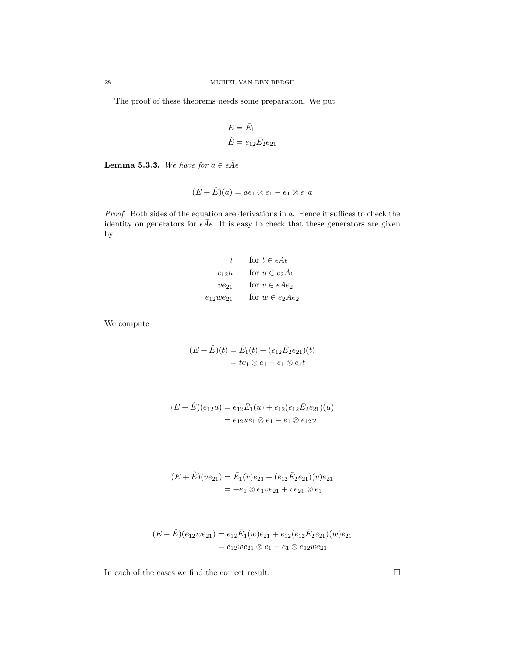The proof of these theorems needs some preparation. We put

$$
E = \bar{E}_1
$$
  

$$
\hat{E} = e_{12}\bar{E}_2e_{21}
$$

**Lemma 5.3.3.** We have for  $a \in \epsilon \overline{A} \epsilon$ 

$$
(E+\hat{E})(a)=ae_1\otimes e_1-e_1\otimes e_1a
$$

*Proof.* Both sides of the equation are derivations in a. Hence it suffices to check the identity on generators for  $\epsilon \bar{A} \epsilon$ . It is easy to check that these generators are given by

$$
t \quad \text{for } t \in \epsilon A \epsilon
$$

$$
e_{12}u \quad \text{for } u \in e_2 A \epsilon
$$

$$
ve_{21} \quad \text{for } v \in \epsilon A e_2
$$

$$
e_{12}we_{21} \quad \text{for } w \in e_2 A e_2
$$

We compute

$$
(E + \hat{E})(t) = \bar{E}_1(t) + (e_{12}\bar{E}_2e_{21})(t)
$$
  
=  $te_1 \otimes e_1 - e_1 \otimes e_1t$ 

$$
(E + \hat{E})(e_{12}u) = e_{12}\bar{E}_1(u) + e_{12}(e_{12}\bar{E}_2e_{21})(u)
$$
  
=  $e_{12}ue_1 \otimes e_1 - e_1 \otimes e_{12}u$ 

$$
(E + \hat{E})(ve_{21}) = \bar{E}_1(v)e_{21} + (e_{12}\bar{E}_2e_{21})(v)e_{21}
$$
  
=  $-e_1 \otimes e_1ve_{21} + ve_{21} \otimes e_1$ 

$$
(E+\hat{E})(e_{12}we_{21}) = e_{12}\bar{E}_1(w)e_{21} + e_{12}(e_{12}\bar{E}_2e_{21})(w)e_{21}
$$
  
=  $e_{12}we_{21} \otimes e_1 - e_1 \otimes e_{12}we_{21}$ 

In each of the cases we find the correct result.  $\hfill \Box$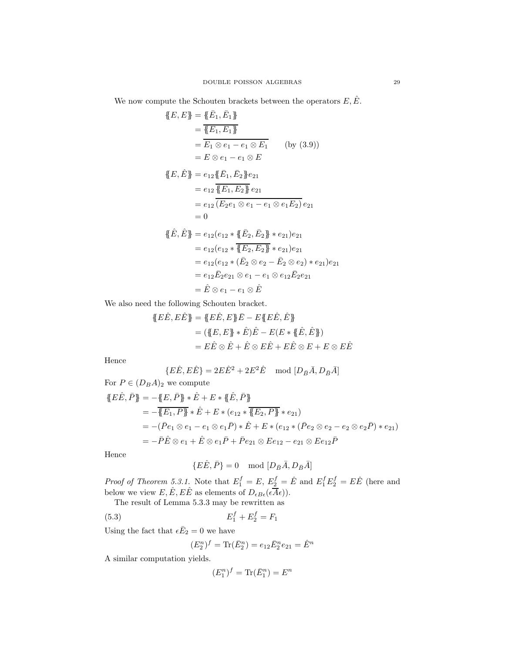We now compute the Schouten brackets between the operators  $E, \hat{E}$ .

$$
\{E, E\} = \{\bar{E}_1, \bar{E}_1\}
$$
\n
$$
= \overline{\{E_1, E_1\}}
$$
\n
$$
= \overline{E_1 \otimes e_1 - e_1 \otimes E_1} \qquad \text{(by (3.9))}
$$
\n
$$
= E \otimes e_1 - e_1 \otimes E
$$
\n
$$
\{E, \hat{E}\} = e_{12} \{\!\!\{E_1, \bar{E}_2\}\!\!\{e_{21}\}\!\!\{e_{21}\}\!\!\{e_{221}\}\!\!\{e_{212}\}\!\!\{e_{221}\}\!\!\{e_{222}\}\!\!\{e_{221}\}\!\!\{e_{221}\}\!\!\{e_{221}\}\!\!\{e_{221}\}\!\!\{e_{221}\}\!\!\{e_{221}\}\!\!\{e_{221}\}\!\!\{e_{221}\}\!\!\{e_{221}\}\!\!\{e_{221}\}\!\!\{e_{221}\}\!\!\{e_{221}\}\!\!\{e_{221}\}\!\!\{e_{221}\}\!\!\{e_{221}\}\!\!\{e_{221}\}\!\!\{e_{221}\}\!\!\{e_{221}\}\!\!\{e_{221}\}\!\!\{e_{221}\}\!\!\{e_{221}\}\!\!\{e_{221}\}\!\!\{e_{221}\}\!\!\{e_{221}\}\!\!\{e_{221}\}\!\!\{e_{221}\}\!\!\{e_{221}\}\!\!\{e_{221}\}\!\!\{e_{221}\}\!\!\{e_{221}\}\!\!\{e_{221}\}\!\!\{e_{221}\}\!\!\{e_{221}\}\!\!\{e_{221}\}\!\!\{e_{221}\}\!\!\{e_{221}\}\!\!\{e_{221}\}\!\!\{e_{221}\}\!\!\{e_{221}\}\!\!\{e_{221}\}\!\!\{e_{221}\}\!\!\{e_{221}\}\!\!\{e_{221}\}\!\!\{e_{221}\}\!\!\{e_{221}\}\!\!\{e_{221}\}\!\!\{e_{221}\}\!\!\{e_{221}\}\!\!\{e_{221}\}\!\!\{e_{221}\}\!\!\{e_{221}\}\!\!\{e_{221}\}\!\!\{e_{221}\}\!\!\{e_{221}\}\
$$

We also need the following Schouten bracket.

$$
\{E\hat{E}, E\hat{E}\} = \{E\hat{E}, E\}\bar{E} - E\{E\hat{E}, \hat{E}\}
$$
  
= 
$$
(\{E, E\} * \hat{E})\hat{E} - E(E * \{\hat{E}, \hat{E}\})
$$
  
= 
$$
E\hat{E} \otimes \hat{E} + \hat{E} \otimes E\hat{E} + E\hat{E} \otimes E + E \otimes E\hat{E}
$$

Hence

$$
\{E\hat{E}, E\hat{E}\} = 2E\hat{E}^2 + 2E^2\hat{E} \mod [D_{\bar{B}}\bar{A}, D_{\bar{B}}\bar{A}]
$$

For  $P \in (D_B A)_2$  we compute

$$
\begin{aligned} \n\{\overline{E}\hat{E}, \overline{P}\} &= -\{\overline{E}, \overline{P}\} * \hat{E} + E * \{\hat{E}, \overline{P}\} \\
&= -\overline{\{E_1, P\}} * \hat{E} + E * (e_{12} * \overline{\{E_2, P\}} * e_{21}) \\
&= -(\overline{P}e_1 \otimes e_1 - e_1 \otimes e_1 \overline{P}) * \hat{E} + E * (e_{12} * (\overline{P}e_2 \otimes e_2 - e_2 \otimes e_2 \overline{P}) * e_{21}) \\
&= -\overline{P}\hat{E} \otimes e_1 + \hat{E} \otimes e_1 \overline{P} + \overline{P}e_{21} \otimes E e_{12} - e_{21} \otimes E e_{12} \overline{P}\n\end{aligned}
$$

Hence

$$
\{E\hat{E}, \bar{P}\} = 0 \mod [D_{\bar{B}}\bar{A}, D_{\bar{B}}\bar{A}]
$$

*Proof of Theorem 5.3.1.* Note that  $E_1^f = E$ ,  $E_2^f = \hat{E}$  and  $E_1^f E_2^f = E\hat{E}$  (here and below we view  $E, \hat{E}, E\hat{E}$  as elements of  $D_{\epsilon B\epsilon}(\epsilon \overline{A}\epsilon)$ .

The result of Lemma 5.3.3 may be rewritten as

(5.3) 
$$
E_1^f + E_2^f = F_1
$$

Using the fact that  $\epsilon \bar{E}_2 = 0$  we have

$$
(E_2^n)^f = \text{Tr}(\bar{E}_2^n) = e_{12}\bar{E}_2^n e_{21} = \hat{E}^n
$$

A similar computation yields.

$$
(E_1^n)^f = \text{Tr}(\bar{E}_1^n) = E^n
$$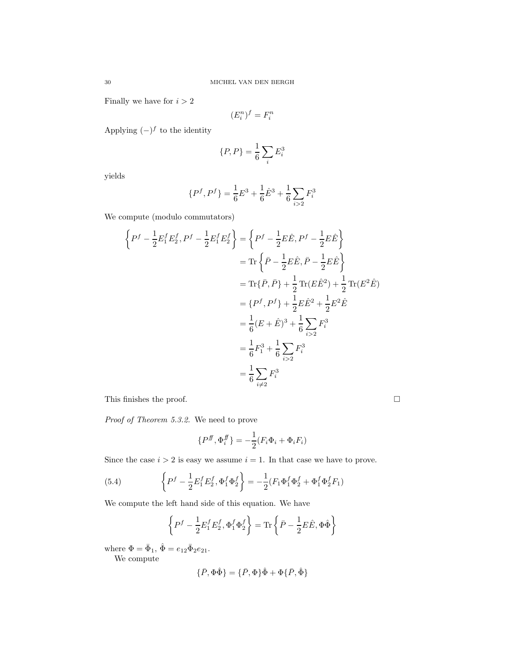Finally we have for  $i > 2$ 

$$
(E_i^n)^f = F_i^n
$$

Applying  $(-)$ <sup>f</sup> to the identity

$$
\{P, P\} = \frac{1}{6} \sum_i E_i^3
$$

yields

$$
\{P^f, P^f\} = \frac{1}{6}E^3 + \frac{1}{6}\hat{E}^3 + \frac{1}{6}\sum_{i>2}F_i^3
$$

We compute (modulo commutators)

$$
\left\{ P^f - \frac{1}{2} E_1^f E_2^f, P^f - \frac{1}{2} E_1^f E_2^f \right\} = \left\{ P^f - \frac{1}{2} E \hat{E}, P^f - \frac{1}{2} E \hat{E} \right\}
$$
  

$$
= \text{Tr} \left\{ \bar{P} - \frac{1}{2} E \hat{E}, \bar{P} - \frac{1}{2} E \hat{E} \right\}
$$
  

$$
= \text{Tr} \{ \bar{P}, \bar{P} \} + \frac{1}{2} \text{Tr} (E \hat{E}^2) + \frac{1}{2} \text{Tr} (E^2 \hat{E})
$$
  

$$
= \{ P^f, P^f \} + \frac{1}{2} E \hat{E}^2 + \frac{1}{2} E^2 \hat{E}
$$
  

$$
= \frac{1}{6} (E + \hat{E})^3 + \frac{1}{6} \sum_{i>2} F_i^3
$$
  

$$
= \frac{1}{6} F_1^3 + \frac{1}{6} \sum_{i>2} F_i^3
$$
  

$$
= \frac{1}{6} \sum_{i \neq 2} F_i^3
$$

This finishes the proof.  $\Box$ 

*Proof of Theorem 5.3.2.* We need to prove

$$
\{P^{\text{ff}}, \Phi_i^{\text{ff}}\} = -\frac{1}{2}(F_i\Phi_i + \Phi_i F_i)
$$

Since the case  $i > 2$  is easy we assume  $i = 1$ . In that case we have to prove.

(5.4) 
$$
\left\{P^f - \frac{1}{2}E_1^f E_2^f, \Phi_1^f \Phi_2^f\right\} = -\frac{1}{2}(F_1 \Phi_1^f \Phi_2^f + \Phi_1^f \Phi_2^f F_1)
$$

We compute the left hand side of this equation. We have

$$
\left\{P^f - \frac{1}{2}E_1^f E_2^f, \Phi_1^f \Phi_2^f\right\} = \text{Tr}\left\{\bar{P} - \frac{1}{2}E\hat{E}, \Phi \hat{\Phi}\right\}
$$

where  $\Phi = \bar{\Phi}_1, \, \hat{\Phi} = e_{12} \bar{\Phi}_2 e_{21}.$ 

We compute

$$
\{\bar{P}, \Phi\hat{\Phi}\} = \{\bar{P}, \Phi\}\hat{\Phi} + \Phi\{\bar{P}, \hat{\Phi}\}\
$$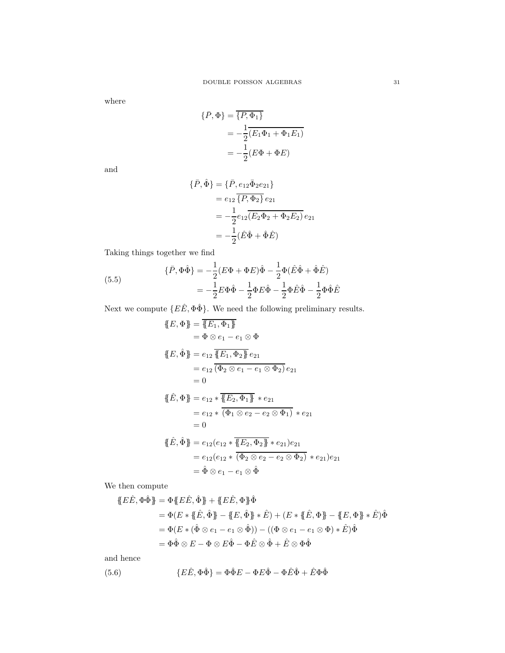where

$$
\begin{aligned} \{\bar{P}, \Phi\} &= \overline{\{P, \Phi_1\}} \\ &= -\frac{1}{2} (\overline{E_1 \Phi_1 + \Phi_1 E_1)} \\ &= -\frac{1}{2} (E \Phi + \Phi E) \end{aligned}
$$

and

$$
\begin{aligned} \{\bar{P}, \hat{\Phi}\} &= \{\bar{P}, e_{12}\bar{\Phi}_2 e_{21}\} \\ &= e_{12} \{\overline{P}, \Phi_2\} \, e_{21} \\ &= -\frac{1}{2} e_{12} (\overline{E_2 \Phi_2 + \Phi_2 E_2}) \, e_{21} \\ &= -\frac{1}{2} (\hat{E}\hat{\Phi} + \hat{\Phi}\hat{E}) \end{aligned}
$$

Taking things together we find

(5.5) 
$$
\{\bar{P}, \Phi\hat{\Phi}\} = -\frac{1}{2}(E\Phi + \Phi E)\hat{\Phi} - \frac{1}{2}\Phi(\hat{E}\hat{\Phi} + \hat{\Phi}\hat{E}) \n= -\frac{1}{2}E\Phi\hat{\Phi} - \frac{1}{2}\Phi E\hat{\Phi} - \frac{1}{2}\Phi\hat{E}\hat{\Phi} - \frac{1}{2}\Phi\hat{\Phi}\hat{E}
$$

Next we compute  $\{E\hat{E}, \Phi\hat{\Phi}\}$ . We need the following preliminary results.

$$
\begin{aligned}\n\{\!\{E,\Phi\}\!\} &= \overline{\{\!\{E_1,\Phi_1\}\!\}} \\
&= \Phi \otimes e_1 - e_1 \otimes \Phi \\
\{\!\{E,\hat{\Phi}\}\!\} &= e_{12} \,\overline{\{\!\{E_1,\Phi_2\}\!\}\, e_{21}} \\
&= e_{12} \,\overline{\{\Phi_2 \otimes e_1 - e_1 \otimes \Phi_2\}} \, e_{21} \\
&= 0 \\
\{\!\{E,\Phi\}\!\} &= e_{12} * \overline{\{\!\{E_2,\Phi_1\}\!\}\, * e_{21} \\
&= e_{12} * \overline{\{\Phi_1 \otimes e_2 - e_2 \otimes \Phi_1\}} \, * e_{21} \\
&= 0 \\
\{\!\{E,\hat{\Phi}\}\!\} &= e_{12}(e_{12} * \overline{\{\!\{E_2,\Phi_2\}\!\}\, * e_{21}) e_{21} \\
&= e_{12}(e_{12} * \overline{\{\Phi_2 \otimes e_2 - e_2 \otimes \Phi_2\}} \, * e_{21}) e_{21} \\
&= \hat{\Phi} \otimes e_1 - e_1 \otimes \hat{\Phi}\n\end{aligned}
$$

We then compute

$$
\begin{aligned} \n\{\stackrel{\frown}{E}\stackrel{\frown}{E},\stackrel{\frown}{\Phi}\stackrel{\frown}{\Phi}\} &= \Phi \{\stackrel{\frown}{E}\stackrel{\frown}{E},\stackrel{\frown}{\Phi}\} + \{\stackrel{\frown}{E}\stackrel{\frown}{E},\Phi\}\stackrel{\frown}{\Phi} \\ &= \Phi(E * \{\stackrel{\frown}{E},\stackrel{\frown}{\Phi}\} - \{E,\stackrel{\frown}{\Phi}\} * \stackrel{\frown}{E}) + (E * \{\stackrel{\frown}{E},\Phi\} - \{E,\Phi\} * \stackrel{\frown}{E})\hat{\Phi} \\ &= \Phi(E * (\hat{\Phi} \otimes e_1 - e_1 \otimes \hat{\Phi})) - ((\Phi \otimes e_1 - e_1 \otimes \Phi) * \stackrel{\frown}{E})\hat{\Phi} \\ &= \Phi\hat{\Phi} \otimes E - \Phi \otimes E\hat{\Phi} - \Phi\hat{E} \otimes \hat{\Phi} + \stackrel{\frown}{E} \otimes \Phi\hat{\Phi} \n\end{aligned}
$$

and hence

(5.6) 
$$
{E\hat{E}, \Phi\hat{\Phi}} = \Phi\hat{\Phi}E - \Phi E\hat{\Phi} - \Phi\hat{E}\hat{\Phi} + \hat{E}\Phi\hat{\Phi}
$$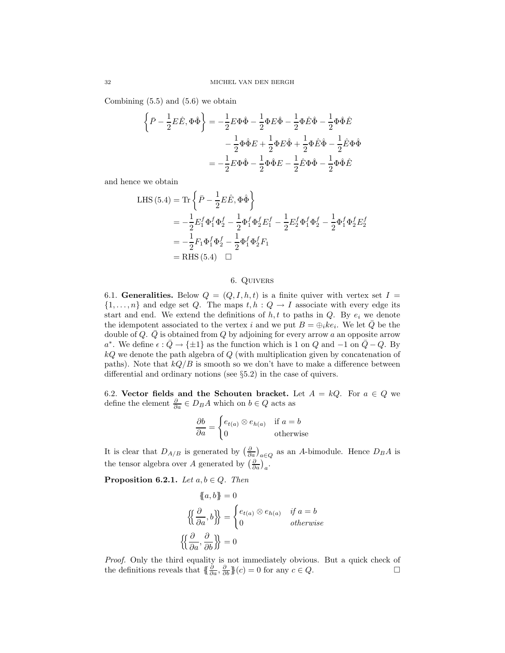Combining  $(5.5)$  and  $(5.6)$  we obtain

$$
\left\{\bar{P} - \frac{1}{2}E\hat{E}, \Phi\hat{\Phi}\right\} = -\frac{1}{2}E\Phi\hat{\Phi} - \frac{1}{2}\Phi E\hat{\Phi} - \frac{1}{2}\Phi\hat{E}\hat{\Phi} - \frac{1}{2}\Phi\hat{\Phi}\hat{E}
$$

$$
-\frac{1}{2}\Phi\hat{\Phi}E + \frac{1}{2}\Phi E\hat{\Phi} + \frac{1}{2}\Phi\hat{E}\hat{\Phi} - \frac{1}{2}\hat{E}\Phi\hat{\Phi}
$$

$$
= -\frac{1}{2}E\Phi\hat{\Phi} - \frac{1}{2}\Phi\hat{\Phi}E - \frac{1}{2}\hat{E}\Phi\hat{\Phi} - \frac{1}{2}\Phi\hat{\Phi}\hat{E}
$$

and hence we obtain

LHS (5.4) = Tr 
$$
\left\{ \bar{P} - \frac{1}{2} E \hat{E}, \Phi \hat{\Phi} \right\}
$$
  
\n=  $-\frac{1}{2} E_1^f \Phi_1^f \Phi_2^f - \frac{1}{2} \Phi_1^f \Phi_2^f E_1^f - \frac{1}{2} E_2^f \Phi_1^f \Phi_2^f - \frac{1}{2} \Phi_1^f \Phi_2^f E_2^f$   
\n=  $-\frac{1}{2} F_1 \Phi_1^f \Phi_2^f - \frac{1}{2} \Phi_1^f \Phi_2^f F_1$   
\n= RHS (5.4)  $\square$ 

# 6. Quivers

6.1. Generalities. Below  $Q = (Q, I, h, t)$  is a finite quiver with vertex set  $I =$  $\{1,\ldots,n\}$  and edge set Q. The maps  $t, h : Q \to I$  associate with every edge its start and end. We extend the definitions of  $h, t$  to paths in Q. By  $e_i$  we denote the idempotent associated to the vertex i and we put  $B = \bigoplus_i ke_i$ . We let  $\overline{Q}$  be the double of Q.  $\overline{Q}$  is obtained from Q by adjoining for every arrow a an opposite arrow  $a^*$ . We define  $\epsilon : \overline{Q} \to {\pm 1}$  as the function which is 1 on  $Q$  and  $-1$  on  $\overline{Q} - Q$ . By  $kQ$  we denote the path algebra of  $Q$  (with multiplication given by concatenation of paths). Note that  $kQ/B$  is smooth so we don't have to make a difference between differential and ordinary notions (see §5.2) in the case of quivers.

6.2. Vector fields and the Schouten bracket. Let  $A = kQ$ . For  $a \in Q$  we define the element  $\frac{\partial}{\partial a} \in D_B A$  which on  $b \in Q$  acts as

$$
\frac{\partial b}{\partial a} = \begin{cases} e_{t(a)} \otimes e_{h(a)} & \text{if } a = b \\ 0 & \text{otherwise} \end{cases}
$$

It is clear that  $D_{A/B}$  is generated by  $\left(\frac{\partial}{\partial a}\right)_{a\in Q}$  as an A-bimodule. Hence  $D_B A$  is the tensor algebra over A generated by  $\left(\frac{\partial}{\partial a}\right)_a$ .

**Proposition 6.2.1.** *Let*  $a, b \in Q$ *. Then* 

$$
\{a, b\} = 0
$$

$$
\left\{\left\{\frac{\partial}{\partial a}, b\right\}\right\} = \begin{cases} e_{t(a)} \otimes e_{h(a)} & \text{if } a = b \\ 0 & \text{otherwise} \end{cases}
$$

$$
\left\{\left\{\frac{\partial}{\partial a}, \frac{\partial}{\partial b}\right\}\right\} = 0
$$

*Proof.* Only the third equality is not immediately obvious. But a quick check of the definitions reveals that  $\{\frac{\partial}{\partial a}, \frac{\partial}{\partial b}\}(c) = 0$  for any  $c \in Q$ .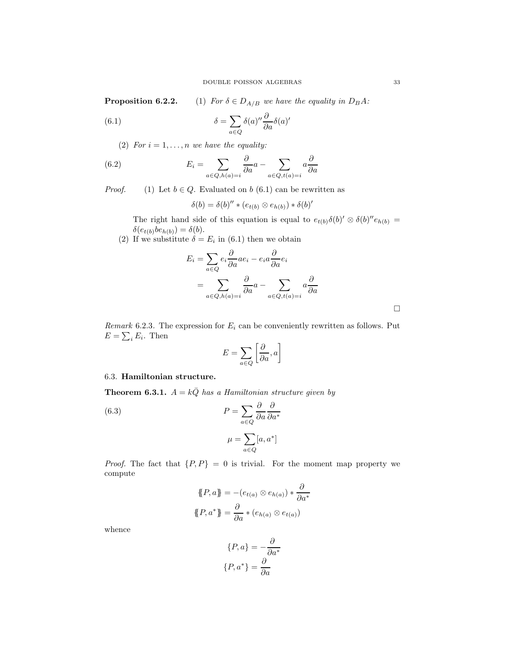**Proposition 6.2.2.** (1) *For*  $\delta \in D_{A/B}$  *we have the equality in*  $D_B A$ *:* 

(6.1) 
$$
\delta = \sum_{a \in Q} \delta(a)'' \frac{\partial}{\partial a} \delta(a)'
$$

(2) *For*  $i = 1, \ldots, n$  *we have the equality:* 

(6.2) 
$$
E_i = \sum_{a \in Q, h(a) = i} \frac{\partial}{\partial a} a - \sum_{a \in Q, t(a) = i} a \frac{\partial}{\partial a}
$$

*Proof.* (1) Let  $b \in Q$ . Evaluated on b (6.1) can be rewritten as

$$
\delta(b) = \delta(b)'' * (e_{t(b)} \otimes e_{h(b)}) * \delta(b)'
$$

The right hand side of this equation is equal to  $e_{t(b)}\delta(b)'\otimes \delta(b)''e_{h(b)}=$  $\delta(e_{t(b)}be_{h(b)}) = \delta(b).$ 

(2) If we substitute  $\delta = E_i$  in (6.1) then we obtain

$$
E_i = \sum_{a \in Q} e_i \frac{\partial}{\partial a} a e_i - e_i a \frac{\partial}{\partial a} e_i
$$
  
= 
$$
\sum_{a \in Q, h(a) = i} \frac{\partial}{\partial a} a - \sum_{a \in Q, t(a) = i} a \frac{\partial}{\partial a}
$$

*Remark* 6.2.3. The expression for  $E_i$  can be conveniently rewritten as follows. Put  $E = \sum_i E_i$ . Then

$$
E = \sum_{a \in Q} \left[ \frac{\partial}{\partial a}, a \right]
$$

# 6.3. Hamiltonian structure.

**Theorem 6.3.1.**  $A = k\overline{Q}$  *has a Hamiltonian structure given by* 

(6.3) 
$$
P = \sum_{a \in Q} \frac{\partial}{\partial a} \frac{\partial}{\partial a^*}
$$

$$
\mu = \sum_{a \in Q} [a, a^*]
$$

*Proof.* The fact that  $\{P, P\} = 0$  is trivial. For the moment map property we compute

$$
\{P, a\} = -(e_{t(a)} \otimes e_{h(a)}) * \frac{\partial}{\partial a^*}
$$

$$
\{P, a^*\} = \frac{\partial}{\partial a} * (e_{h(a)} \otimes e_{t(a)})
$$

whence

$$
\{P, a\} = -\frac{\partial}{\partial a^*}
$$

$$
\{P, a^*\} = \frac{\partial}{\partial a}
$$

 $\Box$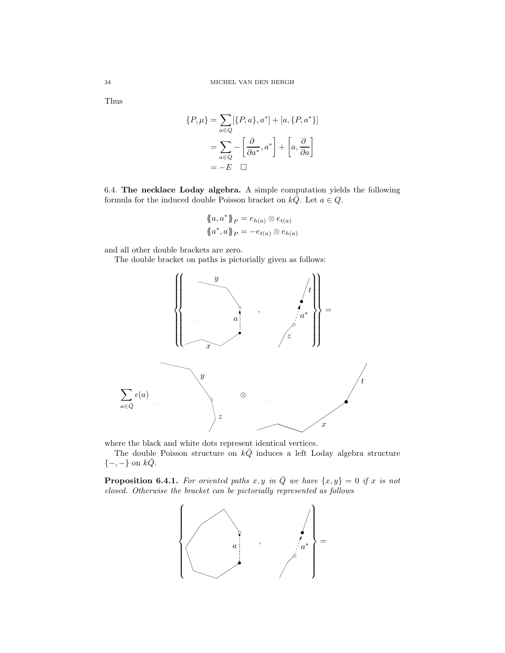Thus

$$
\{P, \mu\} = \sum_{a \in Q} [\{P, a\}, a^*] + [a, \{P, a^*\}]
$$

$$
= \sum_{a \in Q} - \left[\frac{\partial}{\partial a^*}, a^*\right] + \left[a, \frac{\partial}{\partial a}\right]
$$

$$
= -E \quad \Box
$$

6.4. The necklace Loday algebra. A simple computation yields the following formula for the induced double Poisson bracket on  $k\overline{Q}$ . Let  $a \in Q$ .

$$
\{a, a^*\}_P = e_{h(a)} \otimes e_{t(a)}
$$

$$
\{a^*, a\}_P = -e_{t(a)} \otimes e_{h(a)}
$$

and all other double brackets are zero.

The double bracket on paths is pictorially given as follows:



where the black and white dots represent identical vertices.

The double Poisson structure on  $k\overline{Q}$  induces a left Loday algebra structure  $\{-,-\}$  on  $k\overline{Q}$ .

**Proposition 6.4.1.** For oriented paths x, y in  $\overline{Q}$  we have  $\{x, y\} = 0$  if x is not *closed. Otherwise the bracket can be pictorially represented as follows*

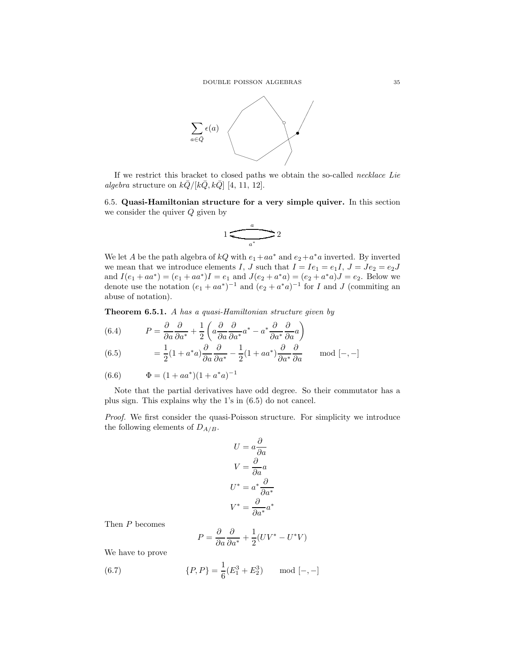

If we restrict this bracket to closed paths we obtain the so-called *necklace Lie algebra* structure on  $k\overline{Q}/[k\overline{Q}, k\overline{Q}]$  [4, 11, 12].

6.5. Quasi-Hamiltonian structure for a very simple quiver. In this section we consider the quiver  $Q$  given by

$$
1 \underbrace{\overbrace{\qquad \qquad \qquad }^{a}}_{a^{*}} 2
$$

We let A be the path algebra of  $kQ$  with  $e_1 + aa^*$  and  $e_2 + a^*a$  inverted. By inverted we mean that we introduce elements I, J such that  $I = Ie_1 = e_1I$ ,  $J = Je_2 = e_2J$ and  $I(e_1 + aa^*) = (e_1 + aa^*)I = e_1$  and  $J(e_2 + a^*a) = (e_2 + a^*a)J = e_2$ . Below we denote use the notation  $(e_1 + aa^*)^{-1}$  and  $(e_2 + a^*a)^{-1}$  for I and J (commiting an abuse of notation).

Theorem 6.5.1. A *has a quasi-Hamiltonian structure given by*

(6.4) 
$$
P = \frac{\partial}{\partial a} \frac{\partial}{\partial a^*} + \frac{1}{2} \left( a \frac{\partial}{\partial a} \frac{\partial}{\partial a^*} a^* - a^* \frac{\partial}{\partial a^*} \frac{\partial}{\partial a} a \right)
$$

(6.5) 
$$
= \frac{1}{2}(1 + a^*a)\frac{\partial}{\partial a}\frac{\partial}{\partial a^*} - \frac{1}{2}(1 + aa^*)\frac{\partial}{\partial a^*}\frac{\partial}{\partial a} \quad \text{mod } [-,-]
$$

(6.6) 
$$
\Phi = (1 + aa^*)(1 + a^*a)^{-1}
$$

Note that the partial derivatives have odd degree. So their commutator has a plus sign. This explains why the 1's in (6.5) do not cancel.

*Proof.* We first consider the quasi-Poisson structure. For simplicity we introduce the following elements of  $D_{A/B}$ .

$$
U = a \frac{\partial}{\partial a}
$$

$$
V = \frac{\partial}{\partial a} a
$$

$$
U^* = a^* \frac{\partial}{\partial a^*}
$$

$$
V^* = \frac{\partial}{\partial a^*} a^*
$$

Then P becomes

$$
P = \frac{\partial}{\partial a} \frac{\partial}{\partial a^*} + \frac{1}{2} (UV^* - U^*V)
$$

We have to prove

(6.7) 
$$
\{P, P\} = \frac{1}{6}(E_1^3 + E_2^3) \quad \text{mod } [-, -]
$$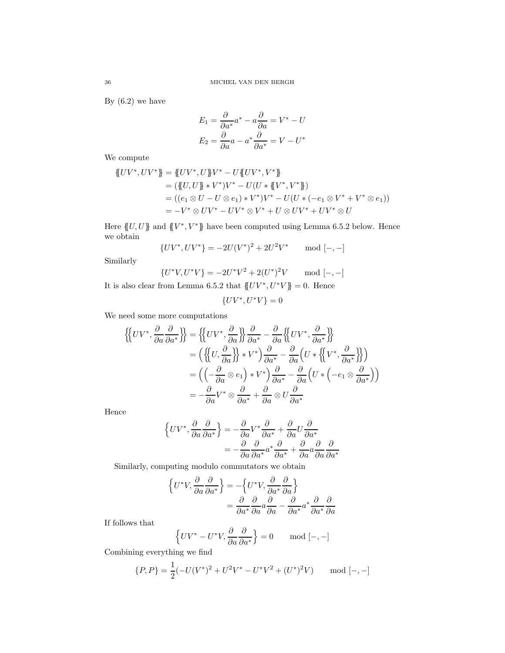By  $(6.2)$  we have

$$
E_1 = \frac{\partial}{\partial a^*} a^* - a \frac{\partial}{\partial a} = V^* - U
$$

$$
E_2 = \frac{\partial}{\partial a} a - a^* \frac{\partial}{\partial a^*} = V - U^*
$$

We compute

$$
\begin{aligned} \n\{UV^*, UV^*\} &= \{UV^*, U\}V^* - U\{UV^*, V^*\} \\ \n&= (\{U, U\} * V^*)V^* - U(U*\{V^*, V^*\}) \\ \n&= ((e_1 \otimes U - U \otimes e_1) * V^*)V^* - U(U*(-e_1 \otimes V^* + V^* \otimes e_1)) \\ \n&= -V^* \otimes UV^* - UV^* \otimes V^* + U \otimes UV^* + UV^* \otimes U \n\end{aligned}
$$

Here  $\{U, U\}$  and  $\{V^*, V^*\}$  have been computed using Lemma 6.5.2 below. Hence we obtain

$$
{UV^*, UV^*} = -2U(V^*)^2 + 2U^2V^* \quad \text{mod } [-, -]
$$

Similarly

$$
\{U^*V, U^*V\} = -2U^*V^2 + 2(U^*)^2V \quad \text{mod } [-,-]
$$

It is also clear from Lemma 6.5.2 that  $\langle U V^*, U^* V \rangle = 0$ . Hence

$$
\{UV^*,U^*V\}=0
$$

We need some more computations

$$
\begin{aligned}\n\left\{\n\left\{UV^*, \frac{\partial}{\partial a} \frac{\partial}{\partial a^*}\right\}\n\right\} &= \left\{\n\left\{UV^*, \frac{\partial}{\partial a}\right\}\n\right\} \frac{\partial}{\partial a^*} - \frac{\partial}{\partial a} \left\{\n\left\{UV^*, \frac{\partial}{\partial a^*}\right\}\n\right\} \\
&= \left(\left\{\n\left\{U, \frac{\partial}{\partial a}\right\}\right\} * V^*\right) \frac{\partial}{\partial a^*} - \frac{\partial}{\partial a} \left(U * \left\{\n\left\{V^*, \frac{\partial}{\partial a^*}\right\}\right\}\n\right) \\
&= \left(\left(-\frac{\partial}{\partial a} \otimes e_1\right) * V^*\right) \frac{\partial}{\partial a^*} - \frac{\partial}{\partial a} \left(U * \left(-e_1 \otimes \frac{\partial}{\partial a^*}\right)\right)\n\right) \\
&= -\frac{\partial}{\partial a} V^* \otimes \frac{\partial}{\partial a^*} + \frac{\partial}{\partial a} \otimes U \frac{\partial}{\partial a^*}\n\end{aligned}
$$

Hence

$$
\left\{UV^*, \frac{\partial}{\partial a}\frac{\partial}{\partial a^*}\right\} = -\frac{\partial}{\partial a}V^*\frac{\partial}{\partial a^*} + \frac{\partial}{\partial a}U\frac{\partial}{\partial a^*}
$$

$$
= -\frac{\partial}{\partial a}\frac{\partial}{\partial a^*}a^*\frac{\partial}{\partial a^*} + \frac{\partial}{\partial a}\frac{\partial}{\partial a}\frac{\partial}{\partial a^*}
$$

Similarly, computing modulo commutators we obtain

$$
\begin{aligned} \left\{ U^* V, \frac{\partial}{\partial a} \frac{\partial}{\partial a^*} \right\} &= -\left\{ U^* V, \frac{\partial}{\partial a^*} \frac{\partial}{\partial a} \right\} \\ &= \frac{\partial}{\partial a^*} \frac{\partial}{\partial a} a \frac{\partial}{\partial a} - \frac{\partial}{\partial a^*} a^* \frac{\partial}{\partial a^*} \frac{\partial}{\partial a} \end{aligned}
$$

If follows that

$$
\left\{ UV^* - U^*V, \frac{\partial}{\partial a} \frac{\partial}{\partial a^*} \right\} = 0 \quad \text{mod } [-,-]
$$

Combining everything we find

$$
\{P, P\} = \frac{1}{2}(-U(V^*)^2 + U^2V^* - U^*V^2 + (U^*)^2V) \quad \text{mod } [-, -]
$$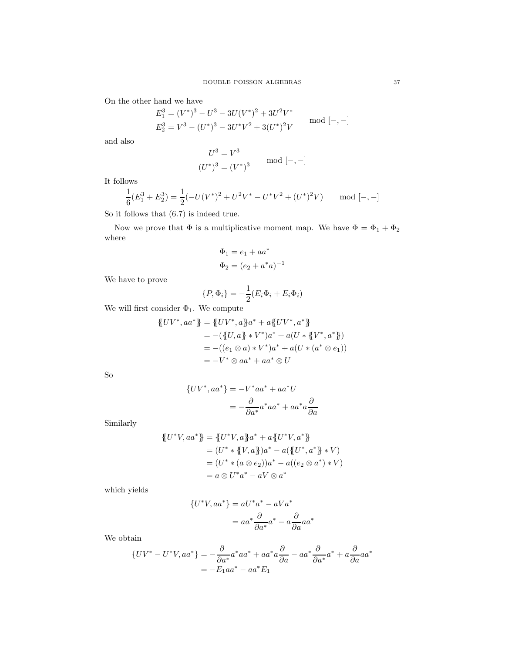On the other hand we have

$$
E_1^3 = (V^*)^3 - U^3 - 3U(V^*)^2 + 3U^2V^*
$$
  
\n
$$
E_2^3 = V^3 - (U^*)^3 - 3U^*V^2 + 3(U^*)^2V
$$
 mod [-,-]

and also

$$
U^3 = V^3
$$
  

$$
(U^*)^3 = (V^*)^3
$$
 mod [-,-]

It follows

$$
\frac{1}{6}(E_1^3 + E_2^3) = \frac{1}{2}(-U(V^*)^2 + U^2V^* - U^*V^2 + (U^*)^2V) \quad \text{mod } [-,-]
$$

So it follows that (6.7) is indeed true.

Now we prove that  $\Phi$  is a multiplicative moment map. We have  $\Phi = \Phi_1 + \Phi_2$ where

$$
\Phi_1 = e_1 + aa^*
$$
  

$$
\Phi_2 = (e_2 + a^*a)^{-1}
$$

We have to prove

$$
\{P,\Phi_i\} = -\frac{1}{2}(E_i\Phi_i + E_i\Phi_i)
$$

We will first consider  $\Phi_1.$  We compute

$$
\begin{aligned} \n\{UV^*, aa^*\} &= \{UV^*, a\}a^* + a\{UV^*, a^*\} \\ \n&= -(\{U, a\} * V^*)a^* + a(U*\{V^*, a^*\}) \\ \n&= -((e_1 \otimes a) * V^*)a^* + a(U*(a^* \otimes e_1)) \\ \n&= -V^* \otimes aa^* + aa^* \otimes U \n\end{aligned}
$$

So

$$
{\begin{aligned} \{UV^*,aa^*\} & = -V^*aa^* + aa^*U \\ & = -\frac{\partial}{\partial a^*}a^*aa^* + aa^*a\frac{\partial}{\partial a} \end{aligned}}
$$

Similarly

$$
\begin{aligned} \{\!\!\{U^*V, aa^*\}\!\} &= \{\!\!\{U^*V, a\}\!\!\} a^* + a \{\!\!\{U^*V, a^*\}\!\} \\ &= (U^* * \{\!\!\{V, a\}\!\!\}) a^* - a (\{\!\!\{U^*, a^*\}\!\} * V) \\ &= (U^* * (a \otimes e_2)) a^* - a ((e_2 \otimes a^*) * V) \\ &= a \otimes U^* a^* - aV \otimes a^* \end{aligned}
$$

which yields

$$
{U^*V, aa^*} = aU^*a^* - aVa^* = aa^* \frac{\partial}{\partial a^*} a^* - a\frac{\partial}{\partial a}aa^*
$$

We obtain

$$
\{UV^* - U^*V, aa^*\} = -\frac{\partial}{\partial a^*}a^*aa^* + aa^*a\frac{\partial}{\partial a} - aa^*\frac{\partial}{\partial a^*}a^* + a\frac{\partial}{\partial a}aa^*
$$

$$
= -E_1aa^* - aa^*E_1
$$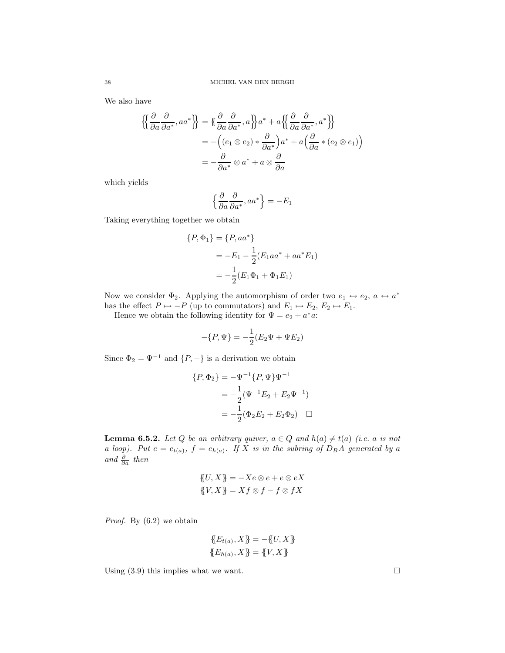We also have

$$
\begin{aligned} \left\{ \left\{ \frac{\partial}{\partial a} \frac{\partial}{\partial a^*}, aa^* \right\} \right\} &= \left\{ \frac{\partial}{\partial a} \frac{\partial}{\partial a^*}, a \right\} a^* + a \left\{ \left\{ \frac{\partial}{\partial a} \frac{\partial}{\partial a^*}, a^* \right\} \right\} \\ &= - \left( (e_1 \otimes e_2) * \frac{\partial}{\partial a^*} \right) a^* + a \left( \frac{\partial}{\partial a} * (e_2 \otimes e_1) \right) \\ &= - \frac{\partial}{\partial a^*} \otimes a^* + a \otimes \frac{\partial}{\partial a} \end{aligned}
$$

which yields

$$
\left\{\frac{\partial}{\partial a}\frac{\partial}{\partial a^*}, aa^*\right\} = -E_1
$$

Taking everything together we obtain

$$
\{P, \Phi_1\} = \{P, aa^*\}
$$
  
=  $-E_1 - \frac{1}{2}(E_1aa^* + aa^*E_1)$   
=  $-\frac{1}{2}(E_1\Phi_1 + \Phi_1E_1)$ 

Now we consider  $\Phi_2$ . Applying the automorphism of order two  $e_1 \leftrightarrow e_2$ ,  $a \leftrightarrow a^*$ has the effect  $P \mapsto -P$  (up to commutators) and  $E_1 \mapsto E_2, E_2 \mapsto E_1$ .

Hence we obtain the following identity for  $\Psi = e_2 + a^*a$ :

$$
-\{P,\Psi\} = -\frac{1}{2}(E_2\Psi + \Psi E_2)
$$

Since  $\Phi_2 = \Psi^{-1}$  and  $\{P, -\}$  is a derivation we obtain

$$
\{P, \Phi_2\} = -\Psi^{-1} \{P, \Psi\} \Psi^{-1}
$$

$$
= -\frac{1}{2} (\Psi^{-1} E_2 + E_2 \Psi^{-1})
$$

$$
= -\frac{1}{2} (\Phi_2 E_2 + E_2 \Phi_2) \quad \Box
$$

**Lemma 6.5.2.** Let Q be an arbitrary quiver,  $a \in Q$  and  $h(a) \neq t(a)$  (i.e. a is not *a loop*). Put  $e = e_{t(a)}$ ,  $f = e_{h(a)}$ . If X is in the subring of  $D_B A$  generated by a  $and \frac{\partial}{\partial a}$  *then* 

$$
\{U, X\} = -Xe \otimes e + e \otimes eX
$$

$$
\{V, X\} = Xf \otimes f - f \otimes fX
$$

*Proof.* By (6.2) we obtain

$$
\{E_{t(a)}, X\} = -\{U, X\}
$$

$$
\{E_{h(a)}, X\} = \{V, X\}
$$

Using  $(3.9)$  this implies what we want.  $\square$ 

$$
^{38}
$$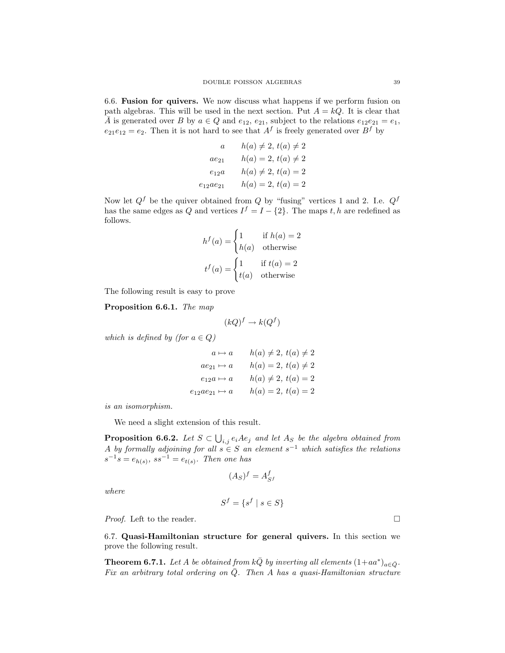6.6. Fusion for quivers. We now discuss what happens if we perform fusion on path algebras. This will be used in the next section. Put  $A = kQ$ . It is clear that  $\overline{A}$  is generated over B by  $a \in Q$  and  $e_{12}$ ,  $e_{21}$ , subject to the relations  $e_{12}e_{21} = e_1$ ,  $e_{21}e_{12} = e_2$ . Then it is not hard to see that  $A<sup>f</sup>$  is freely generated over  $B<sup>f</sup>$  by

$$
a \t h(a) \neq 2, t(a) \neq 2
$$
  
\n
$$
ae_{21} \t h(a) = 2, t(a) \neq 2
$$
  
\n
$$
e_{12}a \t h(a) \neq 2, t(a) = 2
$$
  
\n
$$
e_{12}ae_{21} \t h(a) = 2, t(a) = 2
$$

Now let  $Q^f$  be the quiver obtained from Q by "fusing" vertices 1 and 2. I.e.  $Q^f$ has the same edges as Q and vertices  $I^f = I - \{2\}$ . The maps t, h are redefined as follows.

$$
h^f(a) = \begin{cases} 1 & \text{if } h(a) = 2\\ h(a) & \text{otherwise} \end{cases}
$$

$$
t^f(a) = \begin{cases} 1 & \text{if } t(a) = 2\\ t(a) & \text{otherwise} \end{cases}
$$

The following result is easy to prove

Proposition 6.6.1. *The map*

$$
(kQ)^f \to k(Q^f)
$$

*which is defined by (for*  $a \in Q$ )

$$
a \mapsto a \qquad h(a) \neq 2, t(a) \neq 2
$$
  
\n
$$
ae_{21} \mapsto a \qquad h(a) = 2, t(a) \neq 2
$$
  
\n
$$
e_{12}a \mapsto a \qquad h(a) \neq 2, t(a) = 2
$$
  
\n
$$
e_{12}ae_{21} \mapsto a \qquad h(a) = 2, t(a) = 2
$$

*is an isomorphism.*

We need a slight extension of this result.

**Proposition 6.6.2.** Let  $S \subset \bigcup_{i,j} e_iAe_j$  and let  $A_S$  be the algebra obtained from A *by formally adjoining for all*  $s \in S$  *an element*  $s^{-1}$  *which satisfies the relations*  $s^{-1}s = e_{h(s)}, \, ss^{-1} = e_{t(s)}$ *. Then one has* 

$$
(A_S)^f = A_{S^f}^f
$$

*where*

$$
S^f = \{ s^f \mid s \in S \}
$$

*Proof.* Left to the reader. □

6.7. Quasi-Hamiltonian structure for general quivers. In this section we prove the following result.

**Theorem 6.7.1.** Let A be obtained from  $k\overline{Q}$  by inverting all elements  $(1+aa^*)_{a\in\overline{Q}}$ . *Fix an arbitrary total ordering on*  $\overline{Q}$ *. Then* A *has a quasi-Hamiltonian structure*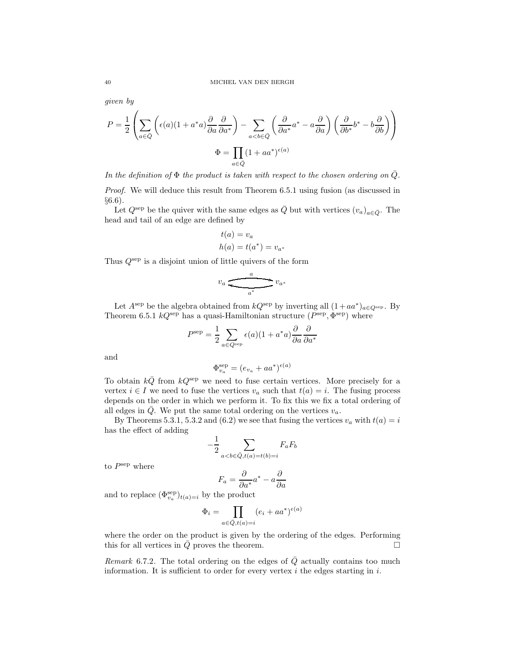*given by*

$$
P = \frac{1}{2} \left( \sum_{a \in \bar{Q}} \left( \epsilon(a) (1 + a^*a) \frac{\partial}{\partial a} \frac{\partial}{\partial a^*} \right) - \sum_{a < b \in \bar{Q}} \left( \frac{\partial}{\partial a^*} a^* - a \frac{\partial}{\partial a} \right) \left( \frac{\partial}{\partial b^*} b^* - b \frac{\partial}{\partial b} \right) \right)
$$
  

$$
\Phi = \prod_{a \in \bar{Q}} (1 + a a^*)^{\epsilon(a)}
$$

*In the definition of*  $\Phi$  *the product is taken with respect to the chosen ordering on*  $Q$ *. Proof.* We will deduce this result from Theorem 6.5.1 using fusion (as discussed in §6.6).

Let  $Q^{\text{sep}}$  be the quiver with the same edges as  $\overline{Q}$  but with vertices  $(v_a)_{a\in\overline{Q}}$ . The head and tail of an edge are defined by

$$
t(a) = v_a
$$
  

$$
h(a) = t(a^*) = v_{a^*}
$$

Thus  $Q^{\text{sep}}$  is a disjoint union of little quivers of the form

$$
v_a \xleftarrow{\phantom{0}\smash{\overbrace{\qquad \qquad \qquad}}\phantom{0}} v_{a^*}
$$

Let  $A^{\text{sep}}$  be the algebra obtained from  $kQ^{\text{sep}}$  by inverting all  $(1+aa^*)_{a\in Q^{\text{sep}}}$ . By Theorem 6.5.1  $kQ^{\text{sep}}$  has a quasi-Hamiltonian structure  $(P^{\text{sep}}, \Phi^{\text{sep}})$  where

$$
P^{\text{sep}} = \frac{1}{2} \sum_{a \in Q^{\text{sep}}} \epsilon(a)(1 + a^*a) \frac{\partial}{\partial a} \frac{\partial}{\partial a^*}
$$

and

$$
\Phi_{v_a}^{\text{sep}} = (e_{v_a} + aa^*)^{\epsilon(a)}
$$

To obtain  $k\overline{Q}$  from  $kQ^{\text{sep}}$  we need to fuse certain vertices. More precisely for a vertex  $i \in I$  we need to fuse the vertices  $v_a$  such that  $t(a) = i$ . The fusing process depends on the order in which we perform it. To fix this we fix a total ordering of all edges in  $\overline{Q}$ . We put the same total ordering on the vertices  $v_a$ .

By Theorems 5.3.1, 5.3.2 and (6.2) we see that fusing the vertices  $v_a$  with  $t(a) = i$ has the effect of adding

$$
-\frac{1}{2}\sum_{a
$$

to  $P^{\text{sep}}$  where

$$
F_a = \frac{\partial}{\partial a^*} a^* - a \frac{\partial}{\partial a}
$$

and to replace  $(\Phi_{v_a}^{\text{sep}})_{t(a)=i}$  by the product

$$
\Phi_i = \prod_{a \in \bar{Q}, t(a) = i} (e_i + aa^*)^{\epsilon(a)}
$$

where the order on the product is given by the ordering of the edges. Performing this for all vertices in  $Q$  proves the theorem.

*Remark* 6.7.2. The total ordering on the edges of Q actually contains too much information. It is sufficient to order for every vertex  $i$  the edges starting in  $i$ .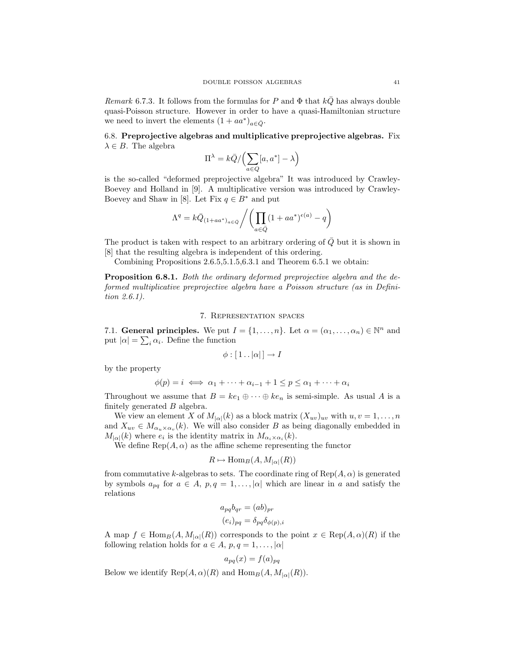*Remark* 6.7.3. It follows from the formulas for P and  $\Phi$  that  $kQ$  has always double quasi-Poisson structure. However in order to have a quasi-Hamiltonian structure we need to invert the elements  $(1 + aa^*)_{a \in \bar{Q}}$ .

# 6.8. Preprojective algebras and multiplicative preprojective algebras. Fix  $\lambda \in B$ . The algebra

$$
\Pi^{\lambda} = k\bar{Q} / \left( \sum_{a \in Q} [a, a^*] - \lambda \right)
$$

is the so-called "deformed preprojective algebra" It was introduced by Crawley-Boevey and Holland in [9]. A multiplicative version was introduced by Crawley-Boevey and Shaw in [8]. Let Fix  $q \in B^*$  and put

$$
\Lambda^{q} = k\bar{Q}_{(1+aa^*)_{a\in\bar{Q}}}/\left(\prod_{a\in\bar{Q}}(1+aa^*)^{\epsilon(a)} - q\right)
$$

The product is taken with respect to an arbitrary ordering of  $Q$  but it is shown in [8] that the resulting algebra is independent of this ordering.

Combining Propositions 2.6.5,5.1.5,6.3.1 and Theorem 6.5.1 we obtain:

Proposition 6.8.1. *Both the ordinary deformed preprojective algebra and the deformed multiplicative preprojective algebra have a Poisson structure (as in Definition 2.6.1).*

## 7. Representation spaces

7.1. General principles. We put  $I = \{1, \ldots, n\}$ . Let  $\alpha = (\alpha_1, \ldots, \alpha_n) \in \mathbb{N}^n$  and put  $|\alpha| = \sum_i \alpha_i$ . Define the function

$$
\phi : [1 \dots |\alpha|] \to I
$$

by the property

$$
\phi(p) = i \iff \alpha_1 + \dots + \alpha_{i-1} + 1 \le p \le \alpha_1 + \dots + \alpha_i
$$

Throughout we assume that  $B = ke_1 \oplus \cdots \oplus ke_n$  is semi-simple. As usual A is a finitely generated B algebra.

We view an element X of  $M_{\vert\alpha\vert}(k)$  as a block matrix  $(X_{uv})_{uv}$  with  $u, v = 1, \ldots, n$ and  $X_{uv} \in M_{\alpha_u \times \alpha_v}(k)$ . We will also consider B as being diagonally embedded in  $M_{|\alpha|}(k)$  where  $e_i$  is the identity matrix in  $M_{\alpha_i \times \alpha_i}(k)$ .

We define  $\text{Rep}(A, \alpha)$  as the affine scheme representing the functor

$$
R \mapsto \operatorname{Hom}_B(A, M_{|\alpha|}(R))
$$

from commutative k-algebras to sets. The coordinate ring of  $\text{Rep}(A, \alpha)$  is generated by symbols  $a_{pq}$  for  $a \in A$ ,  $p, q = 1, \ldots, |\alpha|$  which are linear in a and satisfy the relations

$$
a_{pq}b_{qr} = (ab)_{pr}
$$

$$
(e_i)_{pq} = \delta_{pq}\delta_{\phi(p),i}
$$

A map  $f \in \text{Hom}_{B}(A, M_{|\alpha|}(R))$  corresponds to the point  $x \in \text{Rep}(A, \alpha)(R)$  if the following relation holds for  $a \in A$ ,  $p, q = 1, \ldots, |\alpha|$ 

$$
a_{pq}(x) = f(a)_{pq}
$$

Below we identify  $\text{Rep}(A, \alpha)(R)$  and  $\text{Hom}_B(A, M_{|\alpha|}(R)).$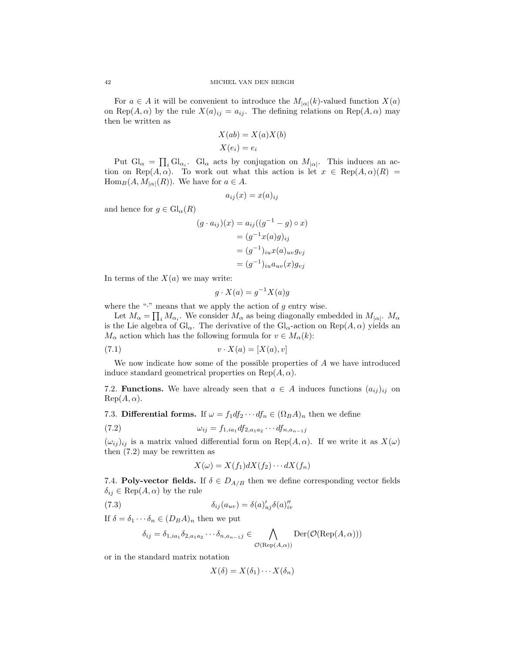For  $a \in A$  it will be convenient to introduce the  $M_{|\alpha|}(k)$ -valued function  $X(a)$ on Rep(A,  $\alpha$ ) by the rule  $X(a)_{ij} = a_{ij}$ . The defining relations on Rep(A,  $\alpha$ ) may then be written as

$$
X(ab) = X(a)X(b)
$$

$$
X(e_i) = e_i
$$

Put  $Gl_{\alpha} = \prod_i Gl_{\alpha_i}$ . Gl<sub>α</sub> acts by conjugation on  $M_{|\alpha|}$ . This induces an action on Rep(A,  $\alpha$ ). To work out what this action is let  $x \in \text{Rep}(A, \alpha)(R) =$  $\text{Hom}_{B}(A, M_{|\alpha|}(R)).$  We have for  $a \in A$ .

$$
a_{ij}(x) = x(a)_{ij}
$$

and hence for  $g \in Gl_{\alpha}(R)$ 

$$
(g \cdot a_{ij})(x) = a_{ij}((g^{-1} - g) \circ x)
$$

$$
= (g^{-1}x(a)g)_{ij}
$$

$$
= (g^{-1})_{iu}x(a)_{uv}g_{vj}
$$

$$
= (g^{-1})_{iu}a_{uv}(x)g_{vj}
$$

In terms of the  $X(a)$  we may write:

$$
g \cdot X(a) = g^{-1} X(a)g
$$

where the " $\cdot$ " means that we apply the action of  $g$  entry wise.

Let  $M_{\alpha} = \prod_i M_{\alpha_i}$ . We consider  $M_{\alpha}$  as being diagonally embedded in  $M_{|\alpha|}$ .  $M_{\alpha}$ is the Lie algebra of  $Gl_{\alpha}$ . The derivative of the  $Gl_{\alpha}$ -action on  $Rep(A, \alpha)$  yields an  $M_{\alpha}$  action which has the following formula for  $v \in M_{\alpha}(k)$ :

$$
(7.1) \t\t v \cdot X(a) = [X(a), v]
$$

We now indicate how some of the possible properties of A we have introduced induce standard geometrical properties on Rep $(A, \alpha)$ .

7.2. **Functions.** We have already seen that  $a \in A$  induces functions  $(a_{ij})_{ij}$  on  $\text{Rep}(A,\alpha).$ 

7.3. Differential forms. If  $\omega = f_1 df_2 \cdots df_n \in (\Omega_B A)_n$  then we define

(7.2) 
$$
\omega_{ij} = f_{1,ia_1} df_{2,a_1a_2} \cdots df_{n,a_{n-1}j}
$$

 $(\omega_{ij})_{ij}$  is a matrix valued differential form on Rep(A,  $\alpha$ ). If we write it as  $X(\omega)$ then (7.2) may be rewritten as

$$
X(\omega) = X(f_1)dX(f_2)\cdots dX(f_n)
$$

7.4. **Poly-vector fields.** If  $\delta \in D_{A/B}$  then we define corresponding vector fields  $\delta_{ij} \in \text{Rep}(A, \alpha)$  by the rule

(7.3) 
$$
\delta_{ij}(a_{uv}) = \delta(a)_{uj}' \delta(a)_{iv}''
$$

If  $\delta = \delta_1 \cdots \delta_n \in (D_B A)_n$  then we put

$$
\delta_{ij} = \delta_{1,ia_1} \delta_{2,a_1a_2} \cdots \delta_{n,a_{n-1}j} \in \bigwedge_{\mathcal{O}(\text{Rep}(A,\alpha))} \text{Der}(\mathcal{O}(\text{Rep}(A,\alpha)))
$$

or in the standard matrix notation

$$
X(\delta) = X(\delta_1) \cdots X(\delta_n)
$$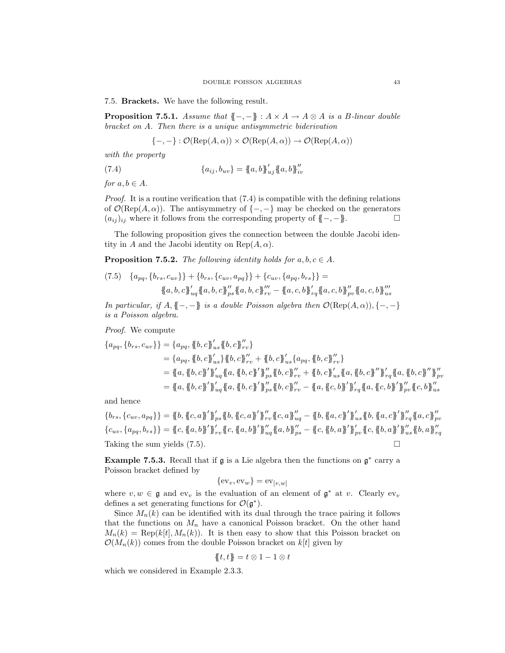7.5. Brackets. We have the following result.

**Proposition 7.5.1.** *Assume that*  $\{-,-\}$  :  $A \times A \rightarrow A \otimes A$  *is a B-linear double bracket on* A*. Then there is a unique antisymmetric biderivation*

$$
\{-,-\} : \mathcal{O}(\text{Rep}(A,\alpha)) \times \mathcal{O}(\text{Rep}(A,\alpha)) \to \mathcal{O}(\text{Rep}(A,\alpha))
$$

*with the property*

(7.4)  ${a_{ij}, b_{uv}} = {a, b}_{uj}^{\gamma} {a, b}_{uj}^{\gamma}$ 

*for*  $a, b \in A$ *.* 

*Proof.* It is a routine verification that (7.4) is compatible with the defining relations of  $\mathcal{O}(\text{Rep}(A, \alpha))$ . The antisymmetry of  $\{-, -\}$  may be checked on the generators  $(a_{ij})_{ij}$  where it follows from the corresponding property of  $\ell = -\ell$  $(a_{ij})_{ij}$  where it follows from the corresponding property of  ${(-, -)}$ .

The following proposition gives the connection between the double Jacobi identity in A and the Jacobi identity on  $\text{Rep}(A, \alpha)$ .

**Proposition 7.5.2.** *The following identity holds for*  $a, b, c \in A$ *.* 

(7.5) 
$$
\{a_{pq}, \{b_{rs}, c_{uv}\}\} + \{b_{rs}, \{c_{uv}, a_{pq}\}\} + \{c_{uv}, \{a_{pq}, b_{rs}\}\} =
$$

$$
\{a, b, c\}_{uq}^{\prime} \{a, b, c\}_{p s}^{\prime\prime} \{a, b, c\}_{r v}^{\prime\prime\prime} - \{a, c, b\}_{r q}^{\prime\prime} \{a, c, b\}_{p v}^{\prime\prime} \{a, c, b\}_{u s}^{\prime\prime\prime}
$$

*In particular, if*  $A, \{-, -\}$  *is a double Poisson algebra then*  $\mathcal{O}(\text{Rep}(A, \alpha)), \{-, -\}$ *is a Poisson algebra.*

*Proof.* We compute

$$
\{a_{pq}, \{b_{rs}, c_{uv}\}\} = \{a_{pq}, \{b, c\}_{us}^{\prime\prime} \{b, c\}_{rv}^{\prime\prime}\}\
$$
  
\n
$$
= \{a_{pq}, \{b, c\}_{us}^{\prime\prime} \{b, c\}_{rv}^{\prime\prime\prime}\} + \{b, c\}_{us}^{\prime\prime} \{a_{pq}, \{b, c\}_{rv}^{\prime\prime}\}\
$$
  
\n
$$
= \{a, \{b, c\}_{us}^{\prime\prime} \{a, \{a, c\}_{rs}^{\prime\prime}\}_{rs}^{\prime\prime} \{b, c\}_{rv}^{\prime\prime\prime}\} + \{b, c\}_{us}^{\prime\prime} \{a, \{b, c\}_{rs}^{\prime\prime}\}\
$$
  
\n
$$
= \{a, \{b, c\}_{s}^{\prime\prime}\}_{uq}^{\prime\prime} \{a, \{b, c\}_{rs}^{\prime\prime}\}_{rs}^{\prime\prime} \{b, c\}_{rv}^{\prime\prime\prime\prime} + \{b, c\}_{us}^{\prime\prime} \{a, \{b, c\}_{rs}^{\prime\prime}\}_{rq}^{\prime\prime} \{a, \{b, c\}_{rs}^{\prime\prime}\}_{rq}^{\prime\prime\prime} \{a, \{c, b\}_{rs}^{\prime\prime}\}_{rq}^{\prime\prime\prime} \{c, b\}_{us}^{\prime\prime\prime}}^{\prime\prime\prime\prime}
$$

and hence

 $\{b_{rs}, \{c_{uv}, a_{pq}\}\} = \{\!\!\{b, \{\!\!\{c, a\}\!\!\}'\!\!\}_{ps} \{\!\!\{b, \{\!\!\{c, a\}\!\!\}'\!\!\}_{rr}'' \{\!\!\{c, a\}\!\!\}_{uq}'' - \{\!\!\{b, \{\!\!\{a, c\}\!\!\}'\!\!\}_{us}'' \{\!\!\{b, \{\!\!\{c, c\}\!\!\}''_{rr} \{\!\!\{a, c\}\!\!\}''_{uq} \}$  ${c_{uv}, a_{pq}, b_{rs}} = {c, {a,b}'}'_{rv} {c, {a,b}'}_{wq} {c, {a,b}'}_{ps} = {c, {b,a}'}_{pv} {c, {b,a}'}_{wq} {c, {b,a}'}_{ps}$ Taking the sum yields (7.5).

**Example 7.5.3.** Recall that if  $\mathfrak{g}$  is a Lie algebra then the functions on  $\mathfrak{g}^*$  carry a Poisson bracket defined by

$$
\{\mathrm{ev}_v, \mathrm{ev}_w\} = \mathrm{ev}_{[v,w]}
$$

where  $v, w \in \mathfrak{g}$  and  $ev_v$  is the evaluation of an element of  $\mathfrak{g}^*$  at v. Clearly  $ev_v$ defines a set generating functions for  $\mathcal{O}(\mathfrak{g}^*).$ 

Since  $M_n(k)$  can be identified with its dual through the trace pairing it follows that the functions on  $M_n$  have a canonical Poisson bracket. On the other hand  $M_n(k) = \text{Rep}(k[t], M_n(k)).$  It is then easy to show that this Poisson bracket on  $\mathcal{O}(M_n(k))$  comes from the double Poisson bracket on k[t] given by

$$
\{\!\!\{t,t\}\!\!\}=t\otimes 1-1\otimes t
$$

which we considered in Example 2.3.3.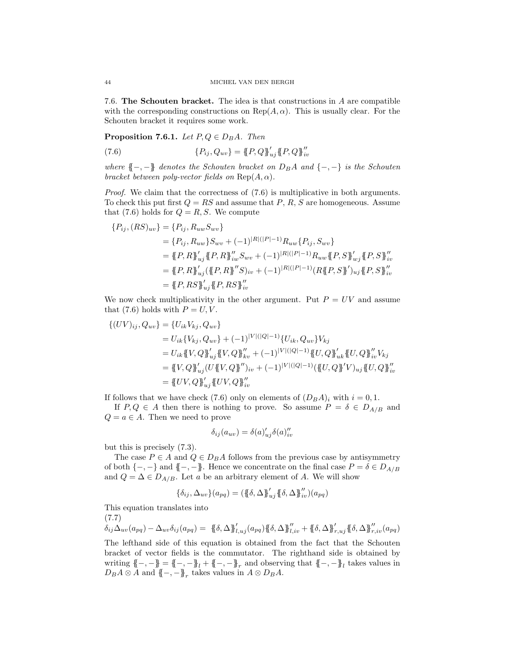7.6. The Schouten bracket. The idea is that constructions in A are compatible with the corresponding constructions on  $\text{Rep}(A, \alpha)$ . This is usually clear. For the Schouten bracket it requires some work.

**Proposition 7.6.1.** *Let*  $P, Q \in D_B A$ *. Then* 

(7.6) 
$$
\{P_{ij}, Q_{uv}\} = \{P, Q\}_{uj}^{\prime} \{P, Q\}_{iv}^{\prime\prime}
$$

*where*  $\{-,-\}$  *denotes the Schouten bracket on*  $D_B A$  *and*  $\{-,-\}$  *is the Schouten bracket between poly-vector fields on*  $\text{Rep}(A, \alpha)$ *.* 

*Proof.* We claim that the correctness of  $(7.6)$  is multiplicative in both arguments. To check this put first  $Q = RS$  and assume that  $P, R, S$  are homogeneous. Assume that (7.6) holds for  $Q = R, S$ . We compute

$$
\{P_{ij}, (RS)_{uv}\} = \{P_{ij}, R_{uw}S_{wv}\}\
$$
  
\n
$$
= \{P_{ij}, R_{uw}\}S_{wv} + (-1)^{|R|(|P|-1)}R_{uw}\{P_{ij}, S_{wv}\}\
$$
  
\n
$$
= \{\!\{P, R\}\!\}^{\prime}_{uj}\{\!\{P, R\}\!\}^{\prime\prime}_{iw}S_{wv} + (-1)^{|R|(|P|-1)}R_{uw}\{\!\{P, S\}\!\}^{\prime}_{wj}\{\!\{P, S\}\!\}^{\prime\prime}_{iv}
$$
  
\n
$$
= \{\!\{P, R\}\!\}^{\prime\prime}_{uj}\{\!\{P, R\}\!\}^{\prime\prime}S)_{iv} + (-1)^{|R|(|P|-1)}(R\{\!\{P, S\}\!\}^{\prime\prime}_{uj}\{\!\{P, S\}\!\}^{\prime\prime}_{iv}
$$
  
\n
$$
= \{\!\{P, RS\}\!\}^{\prime\prime}_{uj}\{\!\{P, RS\}\!\}^{\prime\prime}_{iv}
$$

We now check multiplicativity in the other argument. Put  $P = UV$  and assume that (7.6) holds with  $P = U, V$ .

$$
\begin{aligned} \{(UV)_{ij}, Q_{uv}\} &= \{U_{ik}V_{kj}, Q_{uv}\} \\ &= U_{ik}\{V_{kj}, Q_{uv}\} + (-1)^{|V|(|Q|-1)} \{U_{ik}, Q_{uv}\}V_{kj} \\ &= U_{ik}\{V, Q\}_{uj}^{\prime\prime}\{V, Q\}_{kv}^{\prime\prime} + (-1)^{|V|(|Q|-1)} \{U, Q\}_{uk}^{\prime\prime}\{U, Q\}_{iv}^{\prime\prime}V_{kj} \\ &= \{V, Q\}_{uj}^{\prime\prime}(U\{V, Q\}_{u}^{\prime\prime})_{iv} + (-1)^{|V|(|Q|-1)} (\{U, Q\}_{u}^{\prime\prime})_{uj}\{U, Q\}_{iv}^{\prime\prime} \\ &= \{UV, Q\}_{uj}^{\prime\prime}\{UV, Q\}_{iv}^{\prime\prime} \end{aligned}
$$

If follows that we have check (7.6) only on elements of  $(D_B A)_i$  with  $i = 0, 1$ .

If  $P, Q \in A$  then there is nothing to prove. So assume  $P = \delta \in D_{A/B}$  and  $Q = a \in A$ . Then we need to prove

$$
\delta_{ij}(a_{uv}) = \delta(a)'_{uj}\delta(a)''_{iv}
$$

but this is precisely (7.3).

The case  $P \in A$  and  $Q \in D_B A$  follows from the previous case by antisymmetry of both  $\{-, -\}$  and  $\{-, -\}$ . Hence we concentrate on the final case  $P = \delta \in D_{A/B}$ and  $Q = \Delta \in D_{A/B}$ . Let a be an arbitrary element of A. We will show

$$
\{\delta_{ij}, \Delta_{uv}\}(a_{pq}) = (\{\!\{\delta, \Delta\}\!\}^{\prime}_{uj} \{\!\{\delta, \Delta\}\!\}^{\prime \prime}_{iv})(a_{pq})
$$

This equation translates into

(7.7)

$$
\delta_{ij}\Delta_{uv}(a_{pq}) - \Delta_{uv}\delta_{ij}(a_{pq}) = \{\{\delta, \Delta\}_{l,uj}^J(a_{pq})\{\{\delta, \Delta\}_{l,iv}^J + \{\{\delta, \Delta\}_{l,uj}^J\{\{\delta, \Delta\}_{l,iv}^J + \{\delta, \Delta\}_{l,uv}^J\}\}\}
$$

The lefthand side of this equation is obtained from the fact that the Schouten bracket of vector fields is the commutator. The righthand side is obtained by writing  $\{-,-\} = {\{-,-\}_l} + {\{-,-\}_r}$  and observing that  ${\{-,-\}_l}$  takes values in  $D_B A \otimes A$  and  $\{-, -\}_r$  takes values in  $A \otimes D_B A$ .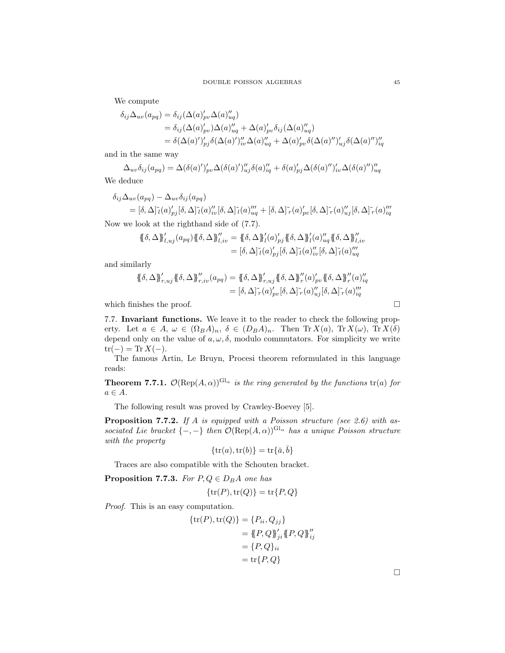We compute

$$
\delta_{ij}\Delta_{uv}(a_{pq}) = \delta_{ij}(\Delta(a)_{pv}'\Delta(a)_{uq}'')
$$
  
\n
$$
= \delta_{ij}(\Delta(a)_{pv}')\Delta(a)_{uq}'' + \Delta(a)_{pv}'\delta_{ij}(\Delta(a)_{uq}'')
$$
  
\n
$$
= \delta(\Delta(a)')_{pj}'\delta(\Delta(a)')_{uq}''\Delta(a)_{uq}'' + \Delta(a)_{pv}'\delta(\Delta(a)'')_{uj}'\delta(\Delta(a)'')_{iq}''
$$

and in the same way

$$
\Delta_{uv}\delta_{ij}(a_{pq}) = \Delta(\delta(a)')'_{pv}\Delta(\delta(a)')''_{uj}\delta(a)''_{iq} + \delta(a)_{pj}'\Delta(\delta(a)'')'_{iv}\Delta(\delta(a)'')''_{uq}
$$

We deduce

$$
\delta_{ij}\Delta_{uv}(a_{pq}) - \Delta_{uv}\delta_{ij}(a_{pq})
$$
\n
$$
= [\delta, \Delta] \tilde{\iota}(a)_{pj}'[\delta, \Delta] \tilde{\iota}(a)_{iv}''[\delta, \Delta] \tilde{\iota}(a)_{uq}'' + [\delta, \Delta] \tilde{\iota}(a)_{pv}'[\delta, \Delta] \tilde{\iota}(a)_{uj}''[\delta, \Delta] \tilde{\iota}(a)_{iq}''
$$

Now we look at the righthand side of (7.7).

$$
\{\!\{\delta,\Delta\}\!\}^{\prime}_{l,uj}(a_{pq})\{\!\{\delta,\Delta\}\!\}^{\prime\prime}_{l,iv} = \{\!\{\delta,\Delta\}\!\}^{\prime}_{l}(a)^{\prime}_{pj}\{\!\}\delta,\Delta\}\!\}^{\prime\prime}_{l}(a)^{\prime\prime}_{uq}\{\!\}\delta,\Delta\!\}^{\prime\prime}_{l,i,v} = [\delta,\Delta]\!\tilde{\iota}(a)^{\prime\prime}_{pj}[\delta,\Delta]\!\tilde{\iota}(a)^{\prime\prime}_{iv}[\delta,\Delta]\!\tilde{\iota}(a)^{\prime\prime\prime}_{uq}
$$

and similarly

$$
\{\!\{\delta,\Delta\}\!\}^{\prime}_{r,uj}\{\!\}\{\delta,\Delta\}\!\}^{\prime\prime}_{r,iv}(a_{pq}) = \{\!\{\delta,\Delta\}\!\}^{\prime}_{r,uj}\{\!\}\{\delta,\Delta\}\!\}^{\prime\prime}_{r}(a)_{pv}'\{\!\}\{\delta,\Delta\}\!\}^{\prime\prime}_{r}(a)_{uq}^{\prime\prime}
$$

$$
= [\delta,\Delta]^{\sim}_{r}(a)_{pv}'[\delta,\Delta]^{\sim}_{r}(a)_{uj}^{\prime\prime}[\delta,\Delta]^{\sim}_{r}(a)_{uq}^{\prime\prime}
$$

which finishes the proof.

7.7. Invariant functions. We leave it to the reader to check the following property. Let  $a \in A$ ,  $\omega \in (\Omega_B A)_n$ ,  $\delta \in (D_B A)_n$ . Then  $\text{Tr } X(a)$ ,  $\text{Tr } X(\omega)$ ,  $\text{Tr } X(\delta)$ depend only on the value of  $a, \omega, \delta$ , modulo commutators. For simplicity we write  $tr(-) = Tr X(-).$ 

The famous Artin, Le Bruyn, Procesi theorem reformulated in this language reads:

**Theorem 7.7.1.**  $\mathcal{O}(Rep(A, \alpha))^{Gl_{\alpha}}$  *is the ring generated by the functions* tr(*a*) *for*  $a \in A$ .

The following result was proved by Crawley-Boevey [5].

Proposition 7.7.2. *If* A *is equipped with a Poisson structure (see 2.6) with associated Lie bracket*  $\{-,-\}$  *then*  $\mathcal{O}(Rep(A, \alpha))^{Gl_{\alpha}}$  *has a unique Poisson structure with the property*

$$
\{\operatorname{tr}(a),\operatorname{tr}(b)\}=\operatorname{tr}\{\bar a,\bar b\}
$$

Traces are also compatible with the Schouten bracket.

**Proposition 7.7.3.** *For*  $P, Q \in D_B A$  *one has* 

$$
\{\operatorname{tr}(P),\operatorname{tr}(Q)\}=\operatorname{tr}\{P,Q\}
$$

*Proof.* This is an easy computation.

{tr(P),tr(Q)} = {Pii, Qjj} <sup>=</sup> {{P, Q}}′ ji{{P, Q}}′′ ij = {P, Q}ii = tr{P, Q}

 $\Box$ 

$$
\Box
$$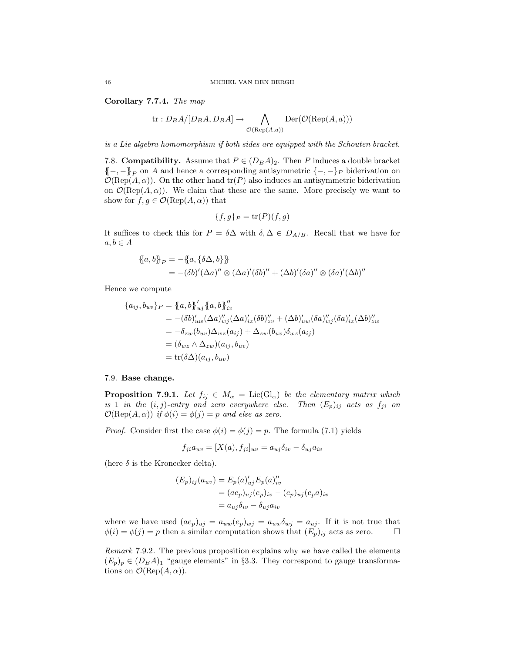Corollary 7.7.4. *The map*

$$
\text{tr}: D_B A / [D_B A, D_B A] \to \bigwedge_{\mathcal{O}(\text{Rep}(A, a))} \text{Der}(\mathcal{O}(\text{Rep}(A, a)))
$$

*is a Lie algebra homomorphism if both sides are equipped with the Schouten bracket.*

7.8. **Compatibility.** Assume that  $P \in (D_B A)_2$ . Then P induces a double bracket  ${(-, -)}\$ p on A and hence a corresponding antisymmetric  ${-, -}$ P biderivation on  $\mathcal{O}(\text{Rep}(A,\alpha))$ . On the other hand  $\text{tr}(P)$  also induces an antisymmetric biderivation on  $\mathcal{O}(\text{Rep}(A,\alpha))$ . We claim that these are the same. More precisely we want to show for  $f, g \in \mathcal{O}(\text{Rep}(A, \alpha))$  that

$$
\{f,g\}_P = \operatorname{tr}(P)(f,g)
$$

It suffices to check this for  $P = \delta \Delta$  with  $\delta, \Delta \in D_{A/B}$ . Recall that we have for  $a, b \in A$ 

$$
\{a, b\}_P = -\{a, \{\delta \Delta, b\}\}\
$$
  
=  $-(\delta b)'(\Delta a)'' \otimes (\Delta a)'(\delta b)'' + (\Delta b)'(\delta a)'' \otimes (\delta a)'(\Delta b)''$ 

Hence we compute

$$
\{a_{ij}, b_{uv}\}_P = \{a, b\}_{uj}'' \{a, b\}_{iv}''
$$
  
=  $-(\delta b)_{uw}' (\Delta a)_{wj}' (\Delta a)_{iz}' (\delta b)_{zv}'' + (\Delta b)_{uw}' (\delta a)_{wj}' (\delta a)_{iz}' (\Delta b)_{zw}''$   
=  $-\delta_{zw} (b_{uv}) \Delta_{wz} (a_{ij}) + \Delta_{zw} (b_{uv}) \delta_{wz} (a_{ij})$   
=  $(\delta_{wz} \wedge \Delta_{zw})(a_{ij}, b_{uv})$   
=  $tr(\delta \Delta)(a_{ij}, b_{uv})$ 

### 7.9. Base change.

**Proposition 7.9.1.** *Let*  $f_{ij} \in M_\alpha = \text{Lie}(\text{Gl}_\alpha)$  *be the elementary matrix which is* 1 *in the*  $(i, j)$ *-entry and zero everywhere else. Then*  $(E_p)_{ij}$  *acts as*  $f_{ji}$  *on*  $\mathcal{O}(\text{Rep}(A, \alpha))$  *if*  $\phi(i) = \phi(j) = p$  *and else as zero.* 

*Proof.* Consider first the case  $\phi(i) = \phi(j) = p$ . The formula (7.1) yields

$$
f_{ji}a_{uv} = [X(a), f_{ji}]_{uv} = a_{uj}\delta_{iv} - \delta_{uj}a_{iv}
$$

(here  $\delta$  is the Kronecker delta).

$$
(E_p)_{ij}(a_{uv}) = E_p(a)_{uj}' E_p(a)_{iv}''
$$
  
=  $(ae_p)_{uj}(e_p)_{iv} - (e_p)_{uj}(e_p a)_{iv}$   
=  $a_{uj}\delta_{iv} - \delta_{uj} a_{iv}$ 

where we have used  $(ae_p)_{uj} = a_{uw}(e_p)_{wj} = a_{uw}\delta_{wj} = a_{uj}$ . If it is not true that  $\phi(i) = \phi(j) = p$  then a similar computation shows that  $(E_p)_{ij}$  acts as zero.  $\Box$ 

*Remark* 7.9.2*.* The previous proposition explains why we have called the elements  $(E_p)_p \in (D_B A)_1$  "gauge elements" in §3.3. They correspond to gauge transformations on  $\mathcal{O}(\text{Rep}(A,\alpha)).$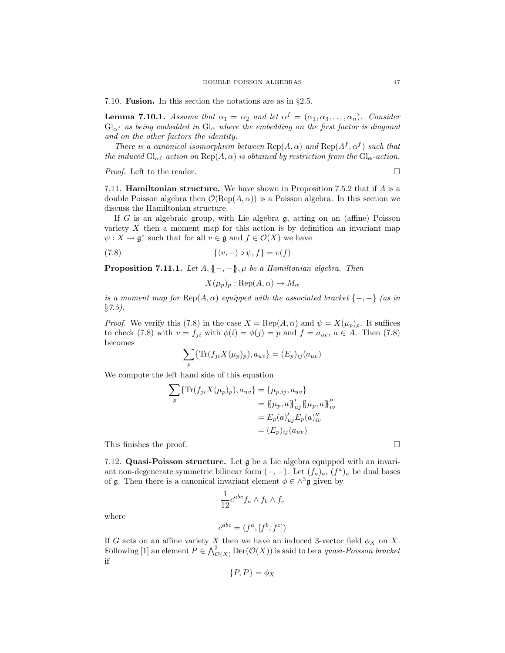7.10. Fusion. In this section the notations are as in §2.5.

**Lemma 7.10.1.** *Assume that*  $\alpha_1 = \alpha_2$  *and let*  $\alpha^f = (\alpha_1, \alpha_3, \dots, \alpha_n)$ *. Consider*  $Gl_{\alpha}$ *f* as being embedded in  $Gl_{\alpha}$  where the embedding on the first factor is diagonal *and on the other factors the identity.*

*There is a canonical isomorphism between*  $\text{Rep}(A, \alpha)$  *and*  $\text{Rep}(A^f, \alpha^f)$  *such that the induced*  $Gl_{\alpha}$ *f action on*  $Rep(A, \alpha)$  *is obtained by restriction from the*  $Gl_{\alpha}$ *-action.* 

*Proof.* Left to the reader. □

7.11. Hamiltonian structure. We have shown in Proposition 7.5.2 that if A is a double Poisson algebra then  $\mathcal{O}(\text{Rep}(A, \alpha))$  is a Poisson algebra. In this section we discuss the Hamiltonian structure.

If G is an algebraic group, with Lie algebra  $\mathfrak{g}$ , acting on an (affine) Poisson variety  $X$  then a moment map for this action is by definition an invariant map  $\psi: X \to \mathfrak{g}^*$  such that for all  $v \in \mathfrak{g}$  and  $f \in \mathcal{O}(X)$  we have

(7.8) 
$$
\{\langle v, -\rangle \circ \psi, f\} = v(f)
$$

**Proposition 7.11.1.** *Let*  $A, \{-,-\}$ ,  $\mu$  *be a Hamiltonian algebra. Then* 

$$
X(\mu_p)_p : \text{Rep}(A, \alpha) \to M_\alpha
$$

*is a moment map for*  $\text{Rep}(A, \alpha)$  *equipped with the associated bracket*  $\{-,-\}$  *(as in* §*7.5).*

*Proof.* We verify this (7.8) in the case  $X = \text{Rep}(A, \alpha)$  and  $\psi = X(\mu_p)_p$ . It suffices to check (7.8) with  $v = f_{ji}$  with  $\phi(i) = \phi(j) = p$  and  $f = a_{uv}, a \in A$ . Then (7.8) becomes

$$
\sum_{p} \{ \text{Tr}(f_{ji}X(\mu_p)_p), a_{uv} \} = (E_p)_{ij}(a_{uv})
$$

We compute the left hand side of this equation

$$
\sum_{p} \{ \text{Tr}(f_{ji}X(\mu_{p})_{p}), a_{uv} \} = \{ \mu_{p,ij}, a_{uv} \} = \{ \mu_{p}, a \}_{uj}^{P} \{ \mu_{p}, a \}_{iv}^{P'} = E_{p}(a)_{uj}^{P} E_{p}(a)_{iv}^{P'} = (E_{p})_{ij}(a_{uv})
$$

This finishes the proof.  $\Box$ 

7.12. Quasi-Poisson structure. Let g be a Lie algebra equipped with an invariant non-degenerate symmetric bilinear form  $(-, -)$ . Let  $(f_a)_a$ ,  $(f^a)_a$  be dual bases of g. Then there is a canonical invariant element  $\phi \in \wedge^3$ g given by

$$
\frac{1}{12}c^{abc}f_a \wedge f_b \wedge f_c
$$

where

$$
c^{abc} = (f^a, [f^b, f^c])
$$

If G acts on an affine variety X then we have an induced 3-vector field  $\phi_X$  on X. Following [1] an element  $P \in \bigwedge^2_{\mathcal{O}(X)} \text{Der}(\mathcal{O}(X))$  is said to be a *quasi-Poisson bracket* if

$$
\{P, P\} = \phi_X
$$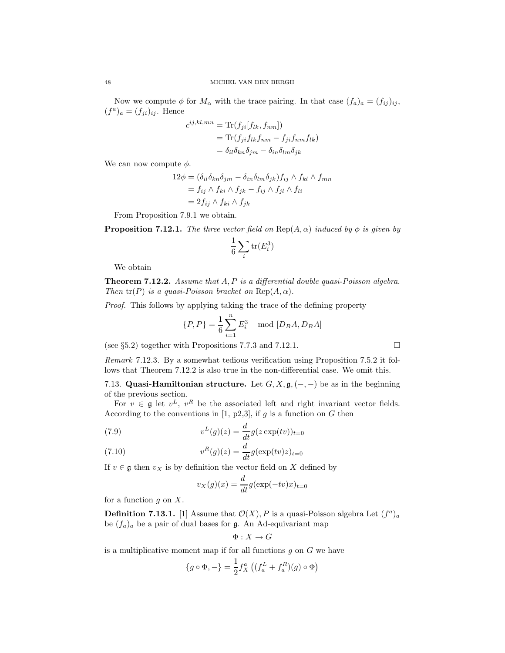Now we compute  $\phi$  for  $M_{\alpha}$  with the trace pairing. In that case  $(f_a)_a = (f_{ij})_{ij}$ ,  $(f^a)_a = (f_{ji})_{ij}$ . Hence

$$
c^{ij,kl,mn} = \text{Tr}(f_{ji}[f_{lk}, f_{nm}])
$$
  
= 
$$
\text{Tr}(f_{ji}f_{lk}f_{nm} - f_{ji}f_{nm}f_{lk})
$$
  
= 
$$
\delta_{il}\delta_{kn}\delta_{jm} - \delta_{in}\delta_{lm}\delta_{jk}
$$

We can now compute  $\phi$ .

$$
12\phi = (\delta_{il}\delta_{kn}\delta_{jm} - \delta_{in}\delta_{lm}\delta_{jk})f_{ij} \wedge f_{kl} \wedge f_{mn}
$$
  
=  $f_{ij} \wedge f_{ki} \wedge f_{jk} - f_{ij} \wedge f_{jl} \wedge f_{li}$   
=  $2f_{ij} \wedge f_{ki} \wedge f_{jk}$ 

From Proposition 7.9.1 we obtain.

**Proposition 7.12.1.** *The three vector field on*  $\text{Rep}(A, \alpha)$  *induced by*  $\phi$  *is given by* 

$$
\frac{1}{6}\sum_{i} \text{tr}(E_i^3)
$$

We obtain

Theorem 7.12.2. *Assume that* A, P *is a differential double quasi-Poisson algebra. Then*  $tr(P)$  *is a quasi-Poisson bracket on*  $Rep(A, \alpha)$ *.* 

*Proof.* This follows by applying taking the trace of the defining property

$$
\{P, P\} = \frac{1}{6} \sum_{i=1}^{n} E_i^3 \mod [D_B A, D_B A]
$$

(see §5.2) together with Propositions 7.7.3 and 7.12.1.

*Remark* 7.12.3*.* By a somewhat tedious verification using Proposition 7.5.2 it follows that Theorem 7.12.2 is also true in the non-differential case. We omit this.

7.13. Quasi-Hamiltonian structure. Let  $G, X, \mathfrak{g}, (-, -)$  be as in the beginning of the previous section.

For  $v \in \mathfrak{g}$  let  $v^L$ ,  $v^R$  be the associated left and right invariant vector fields. According to the conventions in [1, p2,3], if  $g$  is a function on  $G$  then

(7.9) 
$$
v^{L}(g)(z) = \frac{d}{dt}g(z \exp(tv))_{t=0}
$$

(7.10) 
$$
v^R(g)(z) = \frac{d}{dt}g(\exp(tv)z)_{t=0}
$$

If  $v \in \mathfrak{g}$  then  $v_X$  is by definition the vector field on X defined by

$$
v_X(g)(x) = \frac{d}{dt}g(\exp(-tv)x)_{t=0}
$$

for a function  $q$  on  $X$ .

**Definition 7.13.1.** [1] Assume that  $\mathcal{O}(X)$ , P is a quasi-Poisson algebra Let  $(f^a)_a$ be  $(f_a)_a$  be a pair of dual bases for g. An Ad-equivariant map

$$
\Phi:X\to G
$$

is a multiplicative moment map if for all functions  $g$  on  $G$  we have

$$
\{g \circ \Phi, -\} = \frac{1}{2} f_X^a \left( (f_a^L + f_a^R)(g) \circ \Phi \right)
$$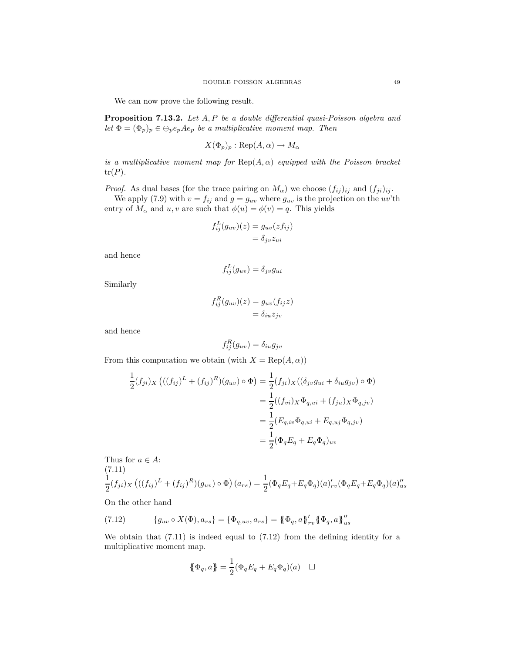We can now prove the following result.

Proposition 7.13.2. *Let* A, P *be a double differential quasi-Poisson algebra and let*  $\Phi = (\Phi_p)_p \in \bigoplus_{p}e_pAe_p$  *be a multiplicative moment map. Then* 

$$
X(\Phi_p)_p : \text{Rep}(A, \alpha) \to M_\alpha
$$

*is a multiplicative moment map for*  $\text{Rep}(A, \alpha)$  *equipped with the Poisson bracket*  $tr(P)$ .

*Proof.* As dual bases (for the trace pairing on  $M_{\alpha}$ ) we choose  $(f_{ij})_{ij}$  and  $(f_{ji})_{ij}$ .

We apply (7.9) with  $v = f_{ij}$  and  $g = g_{uv}$  where  $g_{uv}$  is the projection on the uv'th entry of  $M_{\alpha}$  and  $u, v$  are such that  $\phi(u) = \phi(v) = q$ . This yields

$$
f_{ij}^{L}(g_{uv})(z) = g_{uv}(zf_{ij})
$$
  
=  $\delta_{jv}z_{ui}$ 

and hence

$$
f_{ij}^L(g_{uv}) = \delta_{jv}g_{ui}
$$

Similarly

$$
f_{ij}^{R}(g_{uv})(z) = g_{uv}(f_{ij}z)
$$
  
=  $\delta_{iu}z_{jv}$ 

and hence

$$
f_{ij}^R(g_{uv}) = \delta_{iu}g_{jv}
$$

From this computation we obtain (with  $X = \text{Rep}(A, \alpha)$ )

$$
\frac{1}{2}(f_{ji})_X \left(((f_{ij})^L + (f_{ij})^R)(g_{uv}) \circ \Phi\right) = \frac{1}{2}(f_{ji})_X ((\delta_{jv}g_{ui} + \delta_{iu}g_{jv}) \circ \Phi)
$$
\n
$$
= \frac{1}{2}((f_{vi})_X \Phi_{q,ui} + (f_{ju})_X \Phi_{q,jv})
$$
\n
$$
= \frac{1}{2}(E_{q,iv} \Phi_{q,ui} + E_{q,uj} \Phi_{q,jv})
$$
\n
$$
= \frac{1}{2}(\Phi_q E_q + E_q \Phi_q)_{uv}
$$

Thus for 
$$
a \in A
$$
:  
\n(7.11)  
\n
$$
\frac{1}{2}(f_{ji})_X \left(((f_{ij})^L + (f_{ij})^R)(g_{uv}) \circ \Phi\right)(a_{rs}) = \frac{1}{2}(\Phi_q E_q + E_q \Phi_q)(a)_{rv}'(\Phi_q E_q + E_q \Phi_q)(a)_{us}''
$$

On the other hand

(7.12) 
$$
\{g_{uv} \circ X(\Phi), a_{rs}\} = \{\Phi_{q,uv}, a_{rs}\} = \{\Phi_q, a\}_{rv}^{\prime\prime} \{\!\!\{\Phi_q, a\}_{us}^{\prime\prime\prime}
$$

We obtain that  $(7.11)$  is indeed equal to  $(7.12)$  from the defining identity for a multiplicative moment map.

$$
\{\!\!\{ \Phi_q, a \}\!\!\} = \frac{1}{2} (\Phi_q E_q + E_q \Phi_q)(a) \quad \Box
$$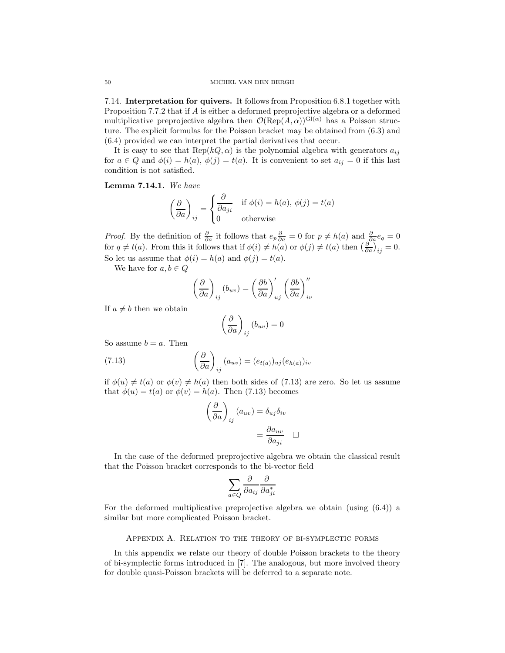7.14. Interpretation for quivers. It follows from Proposition 6.8.1 together with Proposition 7.7.2 that if A is either a deformed preprojective algebra or a deformed multiplicative preprojective algebra then  $\mathcal{O}(\text{Rep}(A, \alpha))^{\text{Gl}(\alpha)}$  has a Poisson structure. The explicit formulas for the Poisson bracket may be obtained from (6.3) and (6.4) provided we can interpret the partial derivatives that occur.

It is easy to see that  $\text{Rep}(kQ, \alpha)$  is the polynomial algebra with generators  $a_{ij}$ for  $a \in Q$  and  $\phi(i) = h(a), \phi(j) = t(a)$ . It is convenient to set  $a_{ij} = 0$  if this last condition is not satisfied.

Lemma 7.14.1. *We have*

$$
\left(\frac{\partial}{\partial a}\right)_{ij} = \begin{cases} \frac{\partial}{\partial a_{ji}} & \text{if } \phi(i) = h(a), \ \phi(j) = t(a) \\ 0 & \text{otherwise} \end{cases}
$$

*Proof.* By the definition of  $\frac{\partial}{\partial a}$  it follows that  $e_p \frac{\partial}{\partial a} = 0$  for  $p \neq h(a)$  and  $\frac{\partial}{\partial a} e_q = 0$ for  $q \neq t(a)$ . From this it follows that if  $\phi(i) \neq h(a)$  or  $\phi(j) \neq t(a)$  then  $\left(\frac{\partial}{\partial a}\right)_{ij} = 0$ . So let us assume that  $\phi(i) = h(a)$  and  $\phi(j) = t(a)$ .

We have for  $a, b \in Q$ 

$$
\left(\frac{\partial}{\partial a}\right)_{ij}(b_{uv}) = \left(\frac{\partial b}{\partial a}\right)'_{uj} \left(\frac{\partial b}{\partial a}\right)''_{iv}
$$

If  $a \neq b$  then we obtain

$$
\left(\frac{\partial}{\partial a}\right)_{ij}(b_{uv}) = 0
$$

So assume  $b = a$ . Then

(7.13) 
$$
\left(\frac{\partial}{\partial a}\right)_{ij}(a_{uv}) = (e_{t(a)})_{uj}(e_{h(a)})_{iv}
$$

if  $\phi(u) \neq t(a)$  or  $\phi(v) \neq h(a)$  then both sides of (7.13) are zero. So let us assume that  $\phi(u) = t(a)$  or  $\phi(v) = h(a)$ . Then (7.13) becomes

$$
\left(\frac{\partial}{\partial a}\right)_{ij} (a_{uv}) = \delta_{uj}\delta_{iv}
$$

$$
= \frac{\partial a_{uv}}{\partial a_{ji}} \quad \Box
$$

In the case of the deformed preprojective algebra we obtain the classical result that the Poisson bracket corresponds to the bi-vector field

$$
\sum_{a\in Q}\frac{\partial}{\partial a_{ij}}\frac{\partial}{\partial a_{ji}^*}
$$

For the deformed multiplicative preprojective algebra we obtain (using (6.4)) a similar but more complicated Poisson bracket.

## Appendix A. Relation to the theory of bi-symplectic forms

In this appendix we relate our theory of double Poisson brackets to the theory of bi-symplectic forms introduced in [7]. The analogous, but more involved theory for double quasi-Poisson brackets will be deferred to a separate note.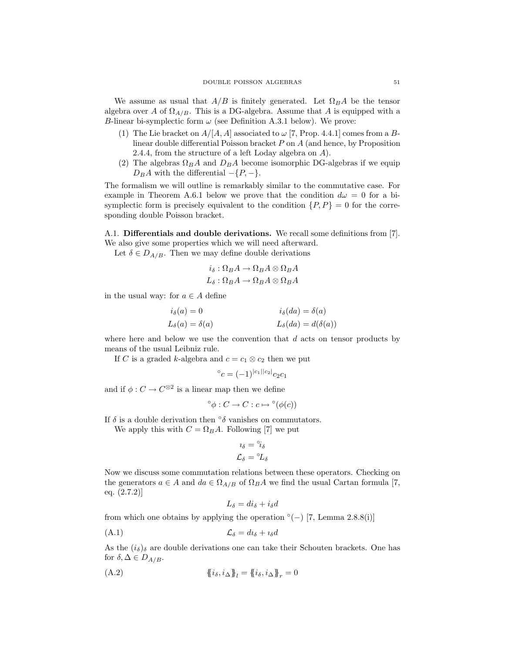We assume as usual that  $A/B$  is finitely generated. Let  $\Omega_B A$  be the tensor algebra over A of  $\Omega_{A/B}$ . This is a DG-algebra. Assume that A is equipped with a B-linear bi-symplectic form  $\omega$  (see Definition A.3.1 below). We prove:

- (1) The Lie bracket on  $A/[A, A]$  associated to  $\omega$  [7, Prop. 4.4.1] comes from a Blinear double differential Poisson bracket  $P$  on  $A$  (and hence, by Proposition 2.4.4, from the structure of a left Loday algebra on A).
- (2) The algebras  $\Omega_B A$  and  $D_B A$  become isomorphic DG-algebras if we equip  $D_B A$  with the differential  $-\{P, -\}.$

The formalism we will outline is remarkably similar to the commutative case. For example in Theorem A.6.1 below we prove that the condition  $d\omega = 0$  for a bisymplectic form is precisely equivalent to the condition  $\{P, P\} = 0$  for the corresponding double Poisson bracket.

A.1. Differentials and double derivations. We recall some definitions from [7].

We also give some properties which we will need afterward. Let  $\delta \in D_{A/B}$ . Then we may define double derivations

$$
i_{\delta}:\Omega_B A \to \Omega_B A \otimes \Omega_B A
$$

$$
L_{\delta}:\Omega_B A\to \Omega_B A\otimes \Omega_B A
$$

in the usual way: for  $a \in A$  define

| $i_{\delta}(a)=0$           | $i_{\delta}(da) = \delta(a)$    |
|-----------------------------|---------------------------------|
| $L_{\delta}(a) = \delta(a)$ | $L_{\delta}(da) = d(\delta(a))$ |

where here and below we use the convention that  $d$  acts on tensor products by means of the usual Leibniz rule.

If C is a graded k-algebra and  $c = c_1 \otimes c_2$  then we put

$$
{}^{\circ}c = (-1)^{|c_1||c_2|}c_2c_1
$$

and if  $\phi: C \to C^{\otimes 2}$  is a linear map then we define

$$
^{\circ}\phi:C\rightarrow C:c\mapsto{}^{\circ}(\phi(c))
$$

If  $\delta$  is a double derivation then  $\delta$  vanishes on commutators.

We apply this with  $C = \Omega_B A$ . Following [7] we put

$$
\iota_{\delta} = {}^{\circ}\! i_{\delta}
$$

$$
\mathcal{L}_{\delta} = {}^{\circ}\! L_{\delta}
$$

Now we discuss some commutation relations between these operators. Checking on the generators  $a \in A$  and  $da \in \Omega_{A/B}$  of  $\Omega_B A$  we find the usual Cartan formula [7, eq. (2.7.2)]

$$
L_{\delta} = di_{\delta} + i_{\delta}d
$$

from which one obtains by applying the operation  $\degree(-)$  [7, Lemma 2.8.8(i)]

$$
(A.1) \t\t\t\t\t\mathcal{L}_{\delta} = d\iota_{\delta} + \iota_{\delta}d
$$

As the  $(i_{\delta})_{\delta}$  are double derivations one can take their Schouten brackets. One has for  $\delta, \Delta \in D_{A/B}$ .

(A.2) 
$$
\{\{i_{\delta}, i_{\Delta}\}\}^{l} = \{\{i_{\delta}, i_{\Delta}\}\}^{r} = 0
$$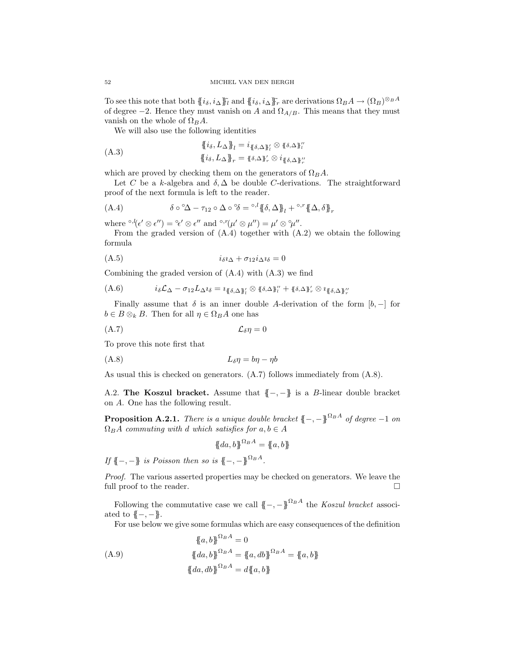To see this note that both  ${i_\delta, i_\Delta}^T\}$  and  ${i_\delta, i_\Delta}^T\}$  are derivations  $\Omega_B A \to (\Omega_B)^{\otimes_B A}$ of degree  $-2$ . Hence they must vanish on A and  $\Omega_{A/B}$ . This means that they must vanish on the whole of  $\Omega_B A$ .

We will also use the following identities

$$
\{\{i_{\delta}, L_{\Delta}\}\}^{l} = i_{\{\delta, \Delta\}\}^{l} \otimes \{\delta, \Delta\}^{l'}_{l'}
$$
\n
$$
\{i_{\delta}, L_{\Delta}\}\}^{r} = \{\delta, \Delta\}^{l'}_{r} \otimes i_{\{\delta, \Delta\}\}^{l'}_{r'}
$$

which are proved by checking them on the generators of  $\Omega_B A$ .

Let C be a k-algebra and  $\delta$ ,  $\Delta$  be double C-derivations. The straightforward proof of the next formula is left to the reader.

(A.4) 
$$
\delta \circ \Delta - \tau_{12} \circ \Delta \circ \delta = \partial \cdot \partial \{ \delta, \Delta \}^{\eta} + \partial \cdot \partial \{ \Delta, \delta \}^{\eta}
$$

where  ${}^{\circ,l}(\epsilon' \otimes \epsilon'') = {}^{\circ}\epsilon' \otimes \epsilon''$  and  ${}^{\circ,r}(\mu' \otimes \mu'') = \mu' \otimes {}^{\circ}\mu''$ .

From the graded version of  $(A.4)$  together with  $(A.2)$  we obtain the following formula

$$
(A.5) \t\t\t\t\t\t i_{\delta} \iota_{\Delta} + \sigma_{12} i_{\Delta} \iota_{\delta} = 0
$$

Combining the graded version of (A.4) with (A.3) we find

$$
(A.6) \qquad i_{\delta} \mathcal{L}_{\Delta} - \sigma_{12} L_{\Delta} i_{\delta} = i_{\{\delta, \Delta\}_l} i_{\delta} \otimes \{\delta, \Delta\}_l'' + \{\delta, \Delta\}_r' \otimes i_{\{\delta, \Delta\}_l''}
$$

Finally assume that  $\delta$  is an inner double A-derivation of the form  $[b, -]$  for  $b \in B \otimes_k B$ . Then for all  $\eta \in \Omega_B A$  one has

$$
(\mathbf{A}.\mathbf{7})\qquad \qquad \mathcal{L}_{\delta}\eta=0
$$

To prove this note first that

$$
(A.8)\t\t\t L_{\delta}\eta = b\eta - \eta b
$$

As usual this is checked on generators. (A.7) follows immediately from (A.8).

A.2. The Koszul bracket. Assume that  $\{-,-\}$  is a B-linear double bracket on A. One has the following result.

**Proposition A.2.1.** *There is a unique double bracket*  ${(-, -)}^{\Omega_B A}$  *of degree*  $-1$  *on*  $\Omega_B A$  *commuting with* d *which satisfies for*  $a, b \in A$ 

$$
\{\!\!\{da,b\}\!\!\}^{\Omega_B A} = \{\!\!\{a,b\}\!\!\}
$$

*If* {{-, -}} *is Poisson then so is* {{-, -}<sup> $\Omega_B A$ </sup>.

*Proof.* The various asserted properties may be checked on generators. We leave the full proof to the reader.

Following the commutative case we call  $\{-, -\}^{\Omega_B A}$  the *Koszul bracket* associated to  ${(-,-)}$ .

For use below we give some formulas which are easy consequences of the definition

$$
\{a, b\}^{\Omega_B A} = 0
$$
  
(A.9) 
$$
\{da, b\}^{\Omega_B A} = \{a, db\}^{\Omega_B A} = \{a, b\}
$$

$$
\{da, db\}^{\Omega_B A} = d\{a, b\}
$$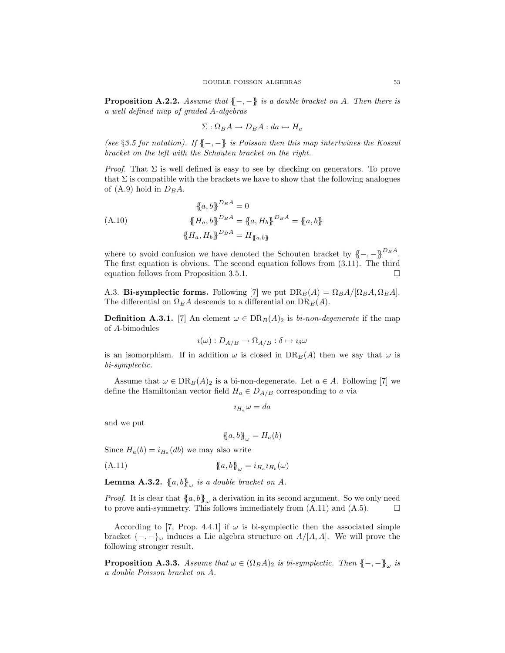Proposition A.2.2. *Assume that* {{−, −}} *is a double bracket on* A*. Then there is a well defined map of graded* A*-algebras*

$$
\Sigma: \Omega_B A \to D_B A : da \mapsto H_a
$$

*(see* §*3.5 for notation). If* {{−, −}} *is Poisson then this map intertwines the Koszul bracket on the left with the Schouten bracket on the right.*

*Proof.* That  $\Sigma$  is well defined is easy to see by checking on generators. To prove that  $\Sigma$  is compatible with the brackets we have to show that the following analogues of (A.9) hold in  $D_B A$ .

$$
\{a, b\}^{D_B A} = 0
$$
  
(A.10) 
$$
\{H_a, b\}^{D_B A} = \{a, H_b\}^{D_B A} = \{a, b\}
$$

$$
\{H_a, H_b\}^{D_B A} = H_{\{a, b\}}
$$

where to avoid confusion we have denoted the Schouten bracket by  ${(-, -)}^{D_B A}$ . The first equation is obvious. The second equation follows from (3.11). The third equation follows from Proposition 3.5.1.

A.3. Bi-symplectic forms. Following [7] we put  $DR_B(A) = \Omega_B A / [\Omega_B A, \Omega_B A]$ . The differential on  $\Omega_B A$  descends to a differential on  $DR_B(A)$ .

**Definition A.3.1.** [7] An element  $\omega \in DR_B(A)_2$  is *bi-non-degenerate* if the map of A-bimodules

$$
i(\omega):D_{A/B}\to\Omega_{A/B}:\delta\mapsto i_{\delta}\omega
$$

is an isomorphism. If in addition  $\omega$  is closed in  $DR_B(A)$  then we say that  $\omega$  is *bi-symplectic*.

Assume that  $\omega \in \text{DR}_B(A)_2$  is a bi-non-degenerate. Let  $a \in A$ . Following [7] we define the Hamiltonian vector field  $H_a \in D_{A/B}$  corresponding to a via

 $i_{H_a} \omega = da$ 

and we put

$$
\{\!\!\{a,b\}\!\!\}_{\omega} = H_a(b)
$$

Since  $H_a(b) = i_{H_a}(db)$  we may also write

(A.11)  ${a, b}_\omega = i_{H_a} i_{H_b}(\omega)$ 

**Lemma A.3.2.**  $\{a, b\}_\omega$  *is a double bracket on A.* 

*Proof.* It is clear that  $\{a, b\}$ <sub>ω</sub> a derivation in its second argument. So we only need to prove anti-symmetry. This follows immediately from  $(A.11)$  and  $(A.5)$ .

According to [7, Prop. 4.4.1] if  $\omega$  is bi-symplectic then the associated simple bracket  $\{-,-\}_\omega$  induces a Lie algebra structure on  $A/[A, A]$ . We will prove the following stronger result.

**Proposition A.3.3.** *Assume that*  $\omega \in (\Omega_B A)_2$  *is bi-symplectic. Then*  $\{-,-\}_\omega$  *is a double Poisson bracket on* A*.*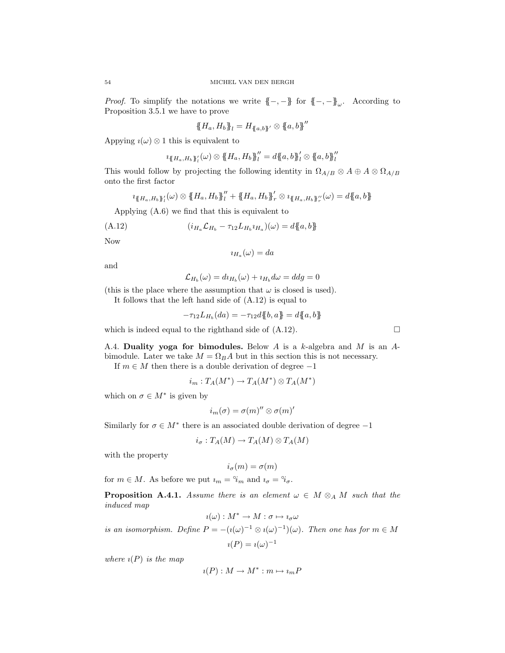*Proof.* To simplify the notations we write  $\{-,-\}$  for  $\{-,-\}_\omega$ . According to Proposition 3.5.1 we have to prove

$$
\{\!\!\{H_a,H_b\}\!\!\}_l = H_{\{\!\!\{a,b\}\!\!\}}\otimes \{\!\!\{a,b\}\!\!\}''
$$

Appying  $\iota(\omega) \otimes 1$  this is equivalent to

$$
u_{\{H_a,H_b\}_l^{\prime}}(\omega) \otimes {\{H_a,H_b\}_l^{\prime\prime}} = d{\{a,b\}_l^{\prime}} \otimes {\{a,b\}_l^{\prime\prime}}
$$

This would follow by projecting the following identity in  $\Omega_{A/B} \otimes A \oplus A \otimes \Omega_{A/B}$ onto the first factor

$$
\iota_{\{\!\!\{H_a,H_b\}\!\!\}}(\omega)\otimes\{\!\!\{H_a,H_b\}\!\!\}''_l+\{\!\!\{H_a,H_b\}\!\!\}'_r\otimes\iota_{\{\!\!\{H_a,H_b\}\!\!\}''_r}(\omega)=d\{\!\!\{a,b\}\!\!\}
$$

Applying (A.6) we find that this is equivalent to

(A.12) 
$$
(i_{H_a} \mathcal{L}_{H_b} - \tau_{12} L_{H_b} i_{H_a})(\omega) = d\{a, b\}
$$

Now

$$
\imath_{H_a}(\omega)=da
$$

and

$$
\mathcal{L}_{H_b}(\omega) = d\iota_{H_b}(\omega) + \iota_{H_b}d\omega = d\iota_{g} = 0
$$

(this is the place where the assumption that  $\omega$  is closed is used).

It follows that the left hand side of (A.12) is equal to

$$
-\tau_{12}L_{H_b}(da) = -\tau_{12}d\{b,a\} = d\{a,b\}
$$

which is indeed equal to the righthand side of  $(A.12)$ .

A.4. Duality yoga for bimodules. Below  $A$  is a  $k$ -algebra and  $M$  is an  $A$ bimodule. Later we take  $M = \Omega_B A$  but in this section this is not necessary.

If  $m \in M$  then there is a double derivation of degree  $-1$ 

$$
i_m: T_A(M^*) \to T_A(M^*) \otimes T_A(M^*)
$$

which on  $\sigma \in M^*$  is given by

$$
i_m(\sigma)=\sigma(m)''\otimes \sigma(m)'
$$

Similarly for  $\sigma \in M^*$  there is an associated double derivation of degree  $-1$ 

$$
i_{\sigma}:T_A(M)\to T_A(M)\otimes T_A(M)
$$

with the property

$$
i_{\sigma}(m)=\sigma(m)
$$

for  $m \in M$ . As before we put  $i_m = \hat{i}_m$  and  $i_\sigma = \hat{i}_\sigma$ .

**Proposition A.4.1.** *Assume there is an element*  $\omega \in M \otimes_A M$  *such that the induced map*

$$
i(\omega): M^* \to M: \sigma \mapsto i_{\sigma}\omega
$$

*is an isomorphism. Define*  $P = -(i(\omega)^{-1} \otimes i(\omega)^{-1})(\omega)$ *. Then one has for*  $m \in M$  $i(P) = i(\omega)^{-1}$ 

*where*  $\iota(P)$  *is the map* 

$$
\imath(P):M\to M^*:m\mapsto \imath_mP
$$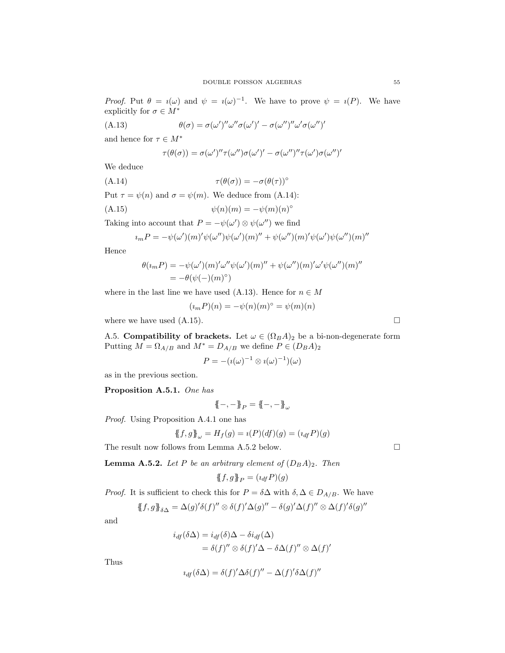*Proof.* Put  $\theta = i(\omega)$  and  $\psi = i(\omega)^{-1}$ . We have to prove  $\psi = i(P)$ . We have explicitly for  $\sigma \in M^*$ 

(A.13) 
$$
\theta(\sigma) = \sigma(\omega')'' \omega'' \sigma(\omega')' - \sigma(\omega'')'' \omega' \sigma(\omega'')'
$$

and hence for  $\tau \in M^*$ 

$$
\tau(\theta(\sigma)) = \sigma(\omega')'' \tau(\omega'') \sigma(\omega')' - \sigma(\omega'')'' \tau(\omega') \sigma(\omega'')'
$$

We deduce

(A.14) 
$$
\tau(\theta(\sigma)) = -\sigma(\theta(\tau))^{\circ}
$$

Put  $\tau = \psi(n)$  and  $\sigma = \psi(m)$ . We deduce from (A.14):

$$
(A.15) \t\t\t \psi(n)(m) = -\psi(m)(n)^\circ
$$

Taking into account that  $P = -\psi(\omega') \otimes \psi(\omega'')$  we find

$$
u_m P = -\psi(\omega')(m)'\psi(\omega'')\psi(\omega')(m)'' + \psi(\omega'')(m)'\psi(\omega')\psi(\omega'')(m)''
$$

Hence

$$
\theta(\iota_m P) = -\psi(\omega')(m)'\omega''\psi(\omega')(m)'' + \psi(\omega'')(m)'\omega'\psi(\omega'')(m)''
$$
  
=  $-\theta(\psi(-)(m)^\circ)$ 

where in the last line we have used (A.13). Hence for  $n \in M$ 

$$
(\iota_m P)(n) = -\psi(n)(m)^\circ = \psi(m)(n)
$$

where we have used  $(A.15)$ .

A.5. Compatibility of brackets. Let  $\omega \in (\Omega_B A)_2$  be a bi-non-degenerate form Putting  $M = \Omega_{A/B}$  and  $M^* = D_{A/B}$  we define  $P \in (D_B A)_2$ 

$$
P = -(i(\omega)^{-1} \otimes i(\omega)^{-1})(\omega)
$$

as in the previous section.

Proposition A.5.1. *One has*

$$
\{\!\!\{-,-\}\!\!\}_P=\{\!\!\{-,-\}\!\!\}_\omega
$$

*Proof.* Using Proposition A.4.1 one has

$$
\{\!\!\{f,g\}\!\!\}_{\omega} = H_f(g) = \imath(P)(df)(g) = (\imath_{df} P)(g)
$$

The result now follows from Lemma A.5.2 below.  $\square$ 

**Lemma A.5.2.** *Let* P *be an arbitrary element of*  $(D_B A)_2$ *. Then* 

$$
\{\!\!\{f,g\}\!\!\}_P=(\imath_{\it df}P)(g)
$$

*Proof.* It is sufficient to check this for  $P = \delta \Delta$  with  $\delta, \Delta \in D_{A/B}$ . We have

$$
\{\!\!\{\,f,g\,\}\!\!\}_{\delta\Delta}=\Delta(g)'\delta(f)''\otimes\delta(f)'\Delta(g)''-\delta(g)'\Delta(f)''\otimes\Delta(f)'\delta(g)''
$$

and

$$
i_{df}(\delta \Delta) = i_{df}(\delta) \Delta - \delta i_{df}(\Delta)
$$
  
=  $\delta(f)'' \otimes \delta(f)' \Delta - \delta \Delta(f)'' \otimes \Delta(f)'$ 

Thus

$$
u_{df}(\delta\Delta) = \delta(f)'\Delta\delta(f)'' - \Delta(f)'\delta\Delta(f)''
$$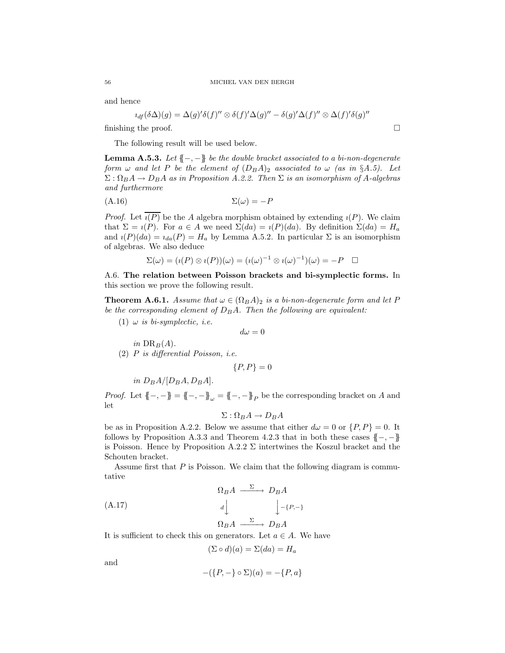and hence

$$
u_{df}(\delta \Delta)(g) = \Delta(g)'\delta(f)'' \otimes \delta(f)'\Delta(g)'' - \delta(g)'\Delta(f)'' \otimes \Delta(f)'\delta(g)''
$$

finishing the proof.  $\Box$ 

The following result will be used below.

Lemma A.5.3. *Let* {{−, −}} *be the double bracket associated to a bi-non-degenerate form*  $\omega$  *and let* P *be the element of*  $(D_B A)_2$  *associated to*  $\omega$  *(as in* §*A.5).* Let  $\Sigma: \Omega_B A \to D_B A$  *as in Proposition A.2.2. Then*  $\Sigma$  *is an isomorphism of A-algebras and furthermore*

$$
(A.16)\qquad \qquad \Sigma(\omega) = -P
$$

*Proof.* Let  $\overline{\iota(P)}$  be the A algebra morphism obtained by extending  $\iota(P)$ . We claim that  $\Sigma = i(P)$ . For  $a \in A$  we need  $\Sigma(da) = i(P)(da)$ . By definition  $\Sigma(da) = H_a$ and  $\iota(P)(da) = \iota_{da}(P) = H_a$  by Lemma A.5.2. In particular  $\Sigma$  is an isomorphism of algebras. We also deduce

$$
\Sigma(\omega) = (\imath(P) \otimes \imath(P))(\omega) = (\imath(\omega)^{-1} \otimes \imath(\omega)^{-1})(\omega) = -P \quad \Box
$$

A.6. The relation between Poisson brackets and bi-symplectic forms. In this section we prove the following result.

**Theorem A.6.1.** *Assume that*  $\omega \in (\Omega_B A)_2$  *is a bi-non-degenerate form and let* P *be the corresponding element of*  $D_B A$ *. Then the following are equivalent:* 

(1)  $\omega$  *is bi-symplectic, i.e.* 

$$
d\omega = 0
$$

*in*  $DR_B(A)$ . (2) P *is differential Poisson, i.e.*

$$
\{P, P\} = 0
$$

*in*  $D_B A / [D_B A, D_B A]$ .

*Proof.* Let  $\{-,-\} = \{-,-\}_\omega = \{-,-\}_P$  be the corresponding bracket on A and let

$$
\Sigma: \Omega_B A \to D_B A
$$

be as in Proposition A.2.2. Below we assume that either  $d\omega = 0$  or  $\{P, P\} = 0$ . It follows by Proposition A.3.3 and Theorem 4.2.3 that in both these cases  ${{-, -}$ is Poisson. Hence by Proposition A.2.2  $\Sigma$  intertwines the Koszul bracket and the Schouten bracket.

Assume first that  $P$  is Poisson. We claim that the following diagram is commutative

$$
\Omega_B A \xrightarrow{\Sigma} D_B A
$$
\n
$$
d \downarrow \qquad \qquad \downarrow_{-\{P,-\}}
$$
\n
$$
\Omega_B A \xrightarrow{\Sigma} D_B A
$$

It is sufficient to check this on generators. Let  $a \in A$ . We have

$$
(\Sigma \circ d)(a) = \Sigma(da) = H_a
$$

and

$$
-(\{P, -\}\circ\Sigma)(a) = -\{P, a\}
$$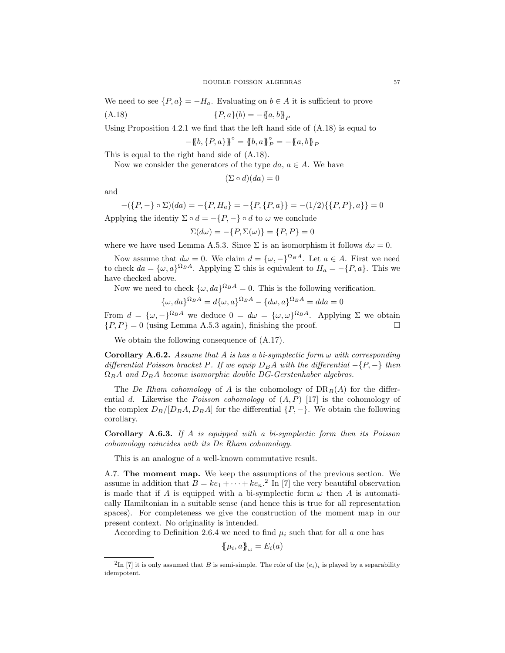We need to see  $\{P,a\} = -H_a$ . Evaluating on  $b \in A$  it is sufficient to prove

(A.18) 
$$
\{P, a\}(b) = -\{a, b\}_P
$$

Using Proposition 4.2.1 we find that the left hand side of  $(A.18)$  is equal to

$$
-\{\!\!\{b,\{P,a\}\}\!\!\}^\circ=\{\!\!\{b,a\}\!\!\}^\circ_{{\cal P}}=-\{\!\!\{a,b\}\!\!\} _{{\cal P}}
$$

This is equal to the right hand side of (A.18).

Now we consider the generators of the type  $da, a \in A$ . We have

$$
(\Sigma \circ d)(da) = 0
$$

and

$$
-(\{P, -\} \circ \Sigma)(da) = -\{P, H_a\} = -\{P, \{P, a\}\} = -(1/2)\{\{P, P\}, a\}\} = 0
$$
 Applying the identity  $\Sigma \circ d = -\{P, -\} \circ d$  to  $\omega$  we conclude

$$
\Sigma(d\omega)=-\{P,\Sigma(\omega)\}=\{P,P\}=0
$$

where we have used Lemma A.5.3. Since  $\Sigma$  is an isomorphism it follows  $d\omega = 0$ .

Now assume that  $d\omega = 0$ . We claim  $d = {\omega, -}^{\Omega_B A}$ . Let  $a \in A$ . First we need to check  $da = {\omega, a}^{\Omega_B A}$ . Applying  $\Sigma$  this is equivalent to  $H_a = -\{P, a\}$ . This we have checked above.

Now we need to check  $\{\omega, da\}^{\Omega_B A} = 0$ . This is the following verification.

$$
\{\omega, da\}^{\Omega_B A} = d\{\omega, a\}^{\Omega_B A} - \{d\omega, a\}^{\Omega_B A} = dda = 0
$$

From  $d = {\omega, -}^{\Omega_B A}$  we deduce  $0 = d\omega = {\omega, \omega}^{\Omega_B A}$ . Applying  $\Sigma$  we obtain  $\{P, P\} = 0$  (using Lemma A.5.3 again), finishing the proof.

We obtain the following consequence of (A.17).

Corollary A.6.2. *Assume that* A *is has a bi-symplectic form* ω *with corresponding*  $differential Poisson bracket P$ . If we equip  $D_B A$  with the differential  $-\{P, -\}$  then  $\Omega_B A$  and  $D_B A$  become isomorphic double DG-Gerstenhaber algebras.

The *De Rham cohomology* of A is the cohomology of  $DR_B(A)$  for the differential d. Likewise the *Poisson cohomology* of (A, P) [17] is the cohomology of the complex  $D_B/[D_B A, D_B A]$  for the differential  $\{P, -\}$ . We obtain the following corollary.

Corollary A.6.3. *If* A *is equipped with a bi-symplectic form then its Poisson cohomology coincides with its De Rham cohomology.*

This is an analogue of a well-known commutative result.

A.7. The moment map. We keep the assumptions of the previous section. We assume in addition that  $B = ke_1 + \cdots + ke_n^2$  In [7] the very beautiful observation is made that if A is equipped with a bi-symplectic form  $\omega$  then A is automatically Hamiltonian in a suitable sense (and hence this is true for all representation spaces). For completeness we give the construction of the moment map in our present context. No originality is intended.

According to Definition 2.6.4 we need to find  $\mu_i$  such that for all a one has

$$
\{\!\!\{\mu_i,a\}\!\!\}_\omega = E_i(a)
$$

<sup>&</sup>lt;sup>2</sup>In [7] it is only assumed that B is semi-simple. The role of the  $(e_i)_i$  is played by a separability idempotent.